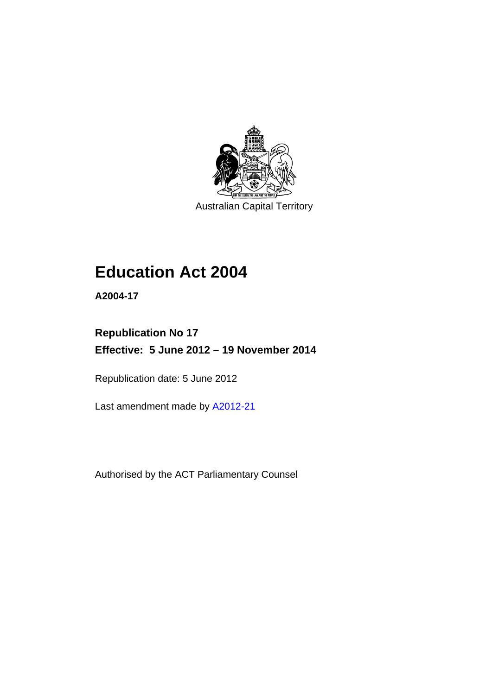

Australian Capital Territory

# **Education Act 2004**

**A2004-17** 

# **Republication No 17 Effective: 5 June 2012 – 19 November 2014**

Republication date: 5 June 2012

Last amendment made by [A2012-21](http://www.legislation.act.gov.au/a/2012-21)

Authorised by the ACT Parliamentary Counsel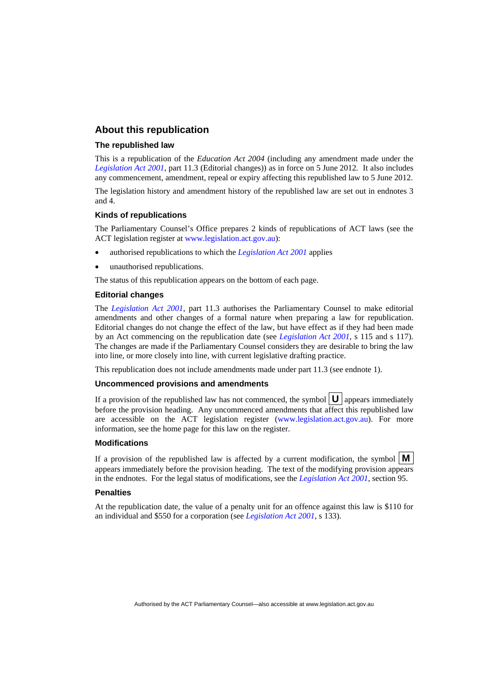### **About this republication**

### **The republished law**

This is a republication of the *Education Act 2004* (including any amendment made under the *[Legislation Act 2001](http://www.legislation.act.gov.au/a/2001-14)*, part 11.3 (Editorial changes)) as in force on 5 June 2012*.* It also includes any commencement, amendment, repeal or expiry affecting this republished law to 5 June 2012.

The legislation history and amendment history of the republished law are set out in endnotes 3 and 4.

### **Kinds of republications**

The Parliamentary Counsel's Office prepares 2 kinds of republications of ACT laws (see the ACT legislation register at [www.legislation.act.gov.au](http://www.legislation.act.gov.au/)):

- authorised republications to which the *[Legislation Act 2001](http://www.legislation.act.gov.au/a/2001-14)* applies
- unauthorised republications.

The status of this republication appears on the bottom of each page.

### **Editorial changes**

The *[Legislation Act 2001](http://www.legislation.act.gov.au/a/2001-14)*, part 11.3 authorises the Parliamentary Counsel to make editorial amendments and other changes of a formal nature when preparing a law for republication. Editorial changes do not change the effect of the law, but have effect as if they had been made by an Act commencing on the republication date (see *[Legislation Act 2001](http://www.legislation.act.gov.au/a/2001-14)*, s 115 and s 117). The changes are made if the Parliamentary Counsel considers they are desirable to bring the law into line, or more closely into line, with current legislative drafting practice.

This republication does not include amendments made under part 11.3 (see endnote 1).

### **Uncommenced provisions and amendments**

If a provision of the republished law has not commenced, the symbol  $\mathbf{U}$  appears immediately before the provision heading. Any uncommenced amendments that affect this republished law are accessible on the ACT legislation register [\(www.legislation.act.gov.au\)](http://www.legislation.act.gov.au/). For more information, see the home page for this law on the register.

### **Modifications**

If a provision of the republished law is affected by a current modification, the symbol  $\mathbf{M}$ appears immediately before the provision heading. The text of the modifying provision appears in the endnotes. For the legal status of modifications, see the *[Legislation Act 2001](http://www.legislation.act.gov.au/a/2001-14)*, section 95.

### **Penalties**

At the republication date, the value of a penalty unit for an offence against this law is \$110 for an individual and \$550 for a corporation (see *[Legislation Act 2001](http://www.legislation.act.gov.au/a/2001-14)*, s 133).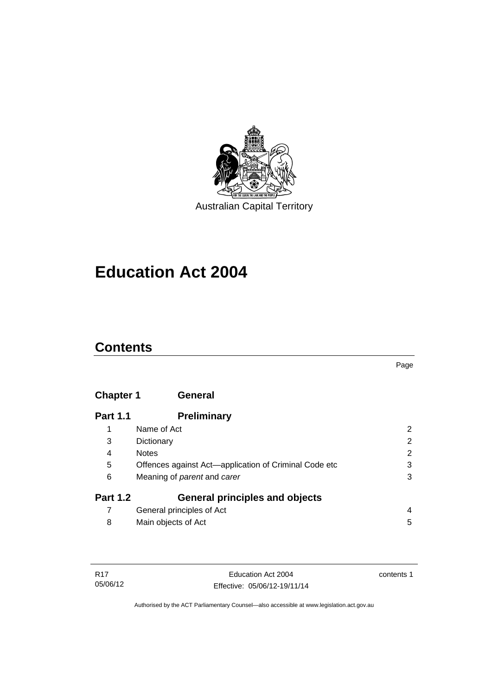

# **Education Act 2004**

# **Contents**

### Page

# **[Chapter 1](#page-13-0) General**

| <b>Part 1.1</b> | <b>Preliminary</b>                                    |                |
|-----------------|-------------------------------------------------------|----------------|
|                 | Name of Act                                           | 2              |
| 3               | Dictionary                                            | $\overline{2}$ |
| 4               | <b>Notes</b>                                          | $\overline{2}$ |
| 5               | Offences against Act—application of Criminal Code etc | 3              |
| 6               | Meaning of <i>parent</i> and <i>carer</i>             | 3              |
| <b>Part 1.2</b> | <b>General principles and objects</b>                 |                |
|                 | General principles of Act                             | 4              |
| 8               | Main objects of Act                                   | 5              |

| R17      |  |
|----------|--|
| 05/06/12 |  |

contents 1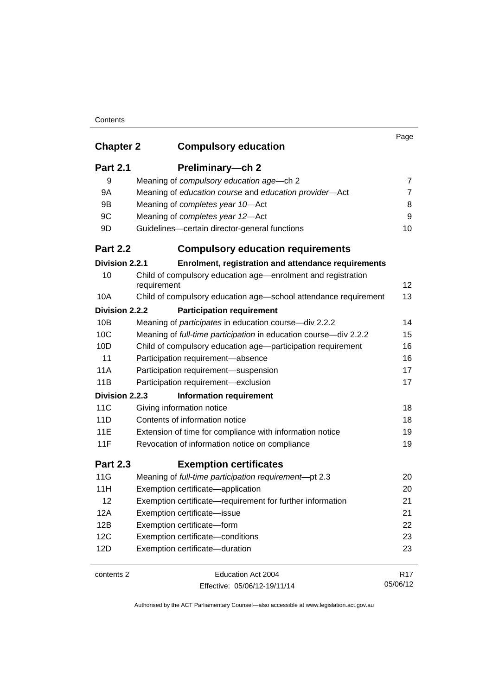| <b>Chapter 2</b> | <b>Compulsory education</b>                                                 | Page            |
|------------------|-----------------------------------------------------------------------------|-----------------|
| <b>Part 2.1</b>  | Preliminary-ch 2                                                            |                 |
| 9                | Meaning of compulsory education age-ch 2                                    | 7               |
| 9A               | Meaning of education course and education provider-Act                      | 7               |
| 9Β               | Meaning of completes year 10-Act                                            | 8               |
| 9C               | Meaning of completes year 12-Act                                            | 9               |
| 9D               | Guidelines-certain director-general functions                               | 10              |
| <b>Part 2.2</b>  | <b>Compulsory education requirements</b>                                    |                 |
| Division 2.2.1   | Enrolment, registration and attendance requirements                         |                 |
| 10               | Child of compulsory education age-enrolment and registration<br>requirement | 12              |
| 10A              | Child of compulsory education age-school attendance requirement             | 13              |
| Division 2.2.2   | <b>Participation requirement</b>                                            |                 |
| 10B              | Meaning of <i>participates</i> in education course-div 2.2.2                | 14              |
| 10C              | Meaning of full-time participation in education course-div 2.2.2            | 15              |
| 10D              | Child of compulsory education age-participation requirement                 | 16              |
| 11               | Participation requirement-absence                                           | 16              |
| 11A              | Participation requirement-suspension                                        | 17              |
| 11B              | Participation requirement-exclusion                                         | 17              |
| Division 2.2.3   | <b>Information requirement</b>                                              |                 |
| 11C              | Giving information notice                                                   | 18              |
| 11D              | Contents of information notice                                              | 18              |
| <b>11E</b>       | Extension of time for compliance with information notice                    | 19              |
| 11F              | Revocation of information notice on compliance                              | 19              |
| <b>Part 2.3</b>  | <b>Exemption certificates</b>                                               |                 |
| 11G              | Meaning of full-time participation requirement-pt 2.3                       | 20              |
| 11H              | Exemption certificate-application                                           | 20              |
| 12               | Exemption certificate—requirement for further information                   | 21              |
| 12A              | Exemption certificate-issue                                                 | 21              |
| 12B              | Exemption certificate-form                                                  | 22              |
| 12C              | Exemption certificate-conditions                                            | 23              |
| 12D              | Exemption certificate-duration                                              | 23              |
| contents 2       | Education Act 2004                                                          | R <sub>17</sub> |
|                  | Effective: 05/06/12-19/11/14                                                | 05/06/12        |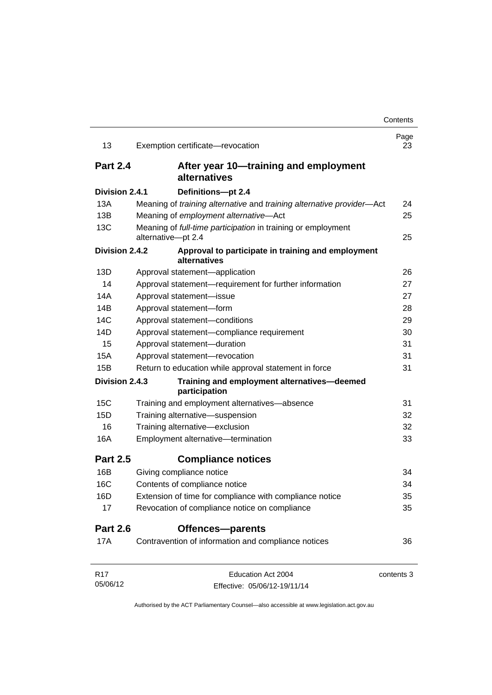| 13              | Exemption certificate-revocation                                                   | Page<br>23 |
|-----------------|------------------------------------------------------------------------------------|------------|
| <b>Part 2.4</b> | After year 10-training and employment<br>alternatives                              |            |
| Division 2.4.1  | Definitions-pt 2.4                                                                 |            |
| 13A             | Meaning of training alternative and training alternative provider-Act              | 24         |
| 13B             | Meaning of employment alternative-Act                                              | 25         |
| 13C             | Meaning of full-time participation in training or employment<br>alternative-pt 2.4 | 25         |
| Division 2.4.2  | Approval to participate in training and employment<br>alternatives                 |            |
| 13D             | Approval statement-application                                                     | 26         |
| 14              | Approval statement-requirement for further information                             | 27         |
| 14A             | Approval statement-issue                                                           | 27         |
| 14B             | Approval statement-form                                                            | 28         |
| 14C             | Approval statement-conditions                                                      | 29         |
| 14D             | Approval statement-compliance requirement                                          | 30         |
| 15              | Approval statement-duration                                                        | 31         |
| 15A             | Approval statement-revocation                                                      | 31         |
| 15B             | Return to education while approval statement in force                              | 31         |
| Division 2.4.3  | Training and employment alternatives-deemed<br>participation                       |            |
| 15C             | Training and employment alternatives-absence                                       | 31         |
| 15D             | Training alternative-suspension                                                    | 32         |
| 16              | Training alternative-exclusion                                                     | 32         |
| 16A             | Employment alternative-termination                                                 | 33         |
| <b>Part 2.5</b> | <b>Compliance notices</b>                                                          |            |
| 16B             | Giving compliance notice                                                           | 34         |
| <b>16C</b>      | Contents of compliance notice                                                      | 34         |
| 16 <sub>D</sub> | Extension of time for compliance with compliance notice                            | 35         |
| 17              | Revocation of compliance notice on compliance                                      | 35         |
| <b>Part 2.6</b> | <b>Offences-parents</b>                                                            |            |
| 17A             | Contravention of information and compliance notices                                | 36         |
| R <sub>17</sub> | Education Act 2004                                                                 | contents 3 |
| 05/06/12        | Effective: 05/06/12-19/11/14                                                       |            |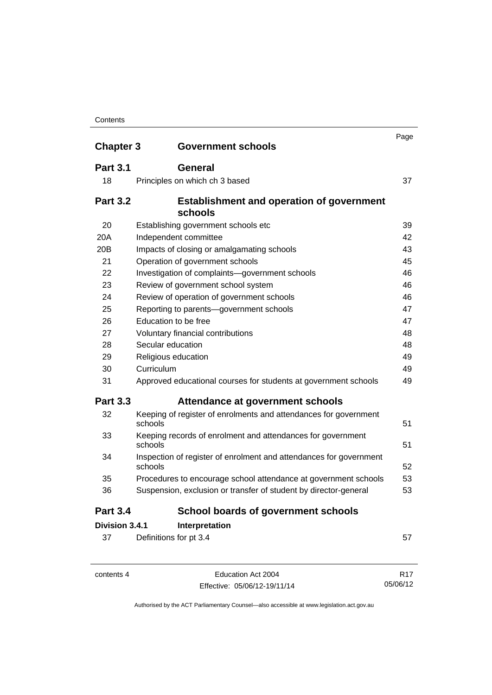| <b>Chapter 3</b> | <b>Government schools</b>                                                     | Page |
|------------------|-------------------------------------------------------------------------------|------|
| <b>Part 3.1</b>  | General                                                                       |      |
| 18               | Principles on which ch 3 based                                                | 37   |
| <b>Part 3.2</b>  | <b>Establishment and operation of government</b><br>schools                   |      |
| 20               | Establishing government schools etc                                           | 39   |
| 20A              | Independent committee                                                         | 42   |
| 20 <sub>B</sub>  | Impacts of closing or amalgamating schools                                    | 43   |
| 21               | Operation of government schools                                               | 45   |
| 22               | Investigation of complaints-government schools                                | 46   |
| 23               | Review of government school system                                            | 46   |
| 24               | Review of operation of government schools                                     | 46   |
| 25               | Reporting to parents-government schools                                       | 47   |
| 26               | Education to be free                                                          | 47   |
| 27               | Voluntary financial contributions                                             | 48   |
| 28               | Secular education                                                             | 48   |
| 29               | Religious education                                                           | 49   |
| 30               | Curriculum                                                                    | 49   |
| 31               | Approved educational courses for students at government schools               | 49   |
| <b>Part 3.3</b>  | Attendance at government schools                                              |      |
| 32               | Keeping of register of enrolments and attendances for government<br>schools   | 51   |
| 33               | Keeping records of enrolment and attendances for government<br>schools        | 51   |
| 34               | Inspection of register of enrolment and attendances for government<br>schools | 52   |
| 35               | Procedures to encourage school attendance at government schools               | 53   |
| 36               | Suspension, exclusion or transfer of student by director-general              | 53   |
| <b>Part 3.4</b>  | <b>School boards of government schools</b>                                    |      |
| Division 3.4.1   | Interpretation                                                                |      |
| 37               | Definitions for pt 3.4                                                        | 57   |

contents 4 Education Act 2004 Effective: 05/06/12-19/11/14 R17 05/06/12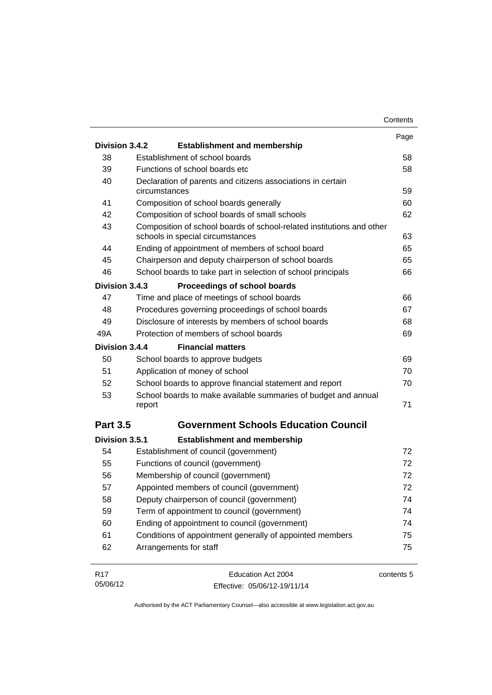|                 |                                                                                                           | Contents   |
|-----------------|-----------------------------------------------------------------------------------------------------------|------------|
|                 |                                                                                                           | Page       |
| Division 3.4.2  | <b>Establishment and membership</b>                                                                       |            |
| 38              | Establishment of school boards                                                                            | 58         |
| 39              | Functions of school boards etc                                                                            | 58         |
| 40              | Declaration of parents and citizens associations in certain<br>circumstances                              | 59         |
| 41              | Composition of school boards generally                                                                    | 60         |
| 42              | Composition of school boards of small schools                                                             | 62         |
| 43              | Composition of school boards of school-related institutions and other<br>schools in special circumstances | 63         |
| 44              | Ending of appointment of members of school board                                                          | 65         |
| 45              | Chairperson and deputy chairperson of school boards                                                       | 65         |
| 46              | School boards to take part in selection of school principals                                              | 66         |
| Division 3.4.3  | Proceedings of school boards                                                                              |            |
| 47              | Time and place of meetings of school boards                                                               | 66         |
| 48              | Procedures governing proceedings of school boards                                                         | 67         |
| 49              | Disclosure of interests by members of school boards                                                       | 68         |
| 49A             | Protection of members of school boards                                                                    | 69         |
| Division 3.4.4  | <b>Financial matters</b>                                                                                  |            |
| 50              | School boards to approve budgets                                                                          | 69         |
| 51              | Application of money of school                                                                            | 70         |
| 52              | School boards to approve financial statement and report                                                   | 70         |
| 53              | School boards to make available summaries of budget and annual<br>report                                  | 71         |
| <b>Part 3.5</b> | <b>Government Schools Education Council</b>                                                               |            |
|                 |                                                                                                           |            |
| Division 3.5.1  | <b>Establishment and membership</b>                                                                       |            |
| 54              | Establishment of council (government)                                                                     | 72         |
| 55              | Functions of council (government)                                                                         | 72         |
| 56              | Membership of council (government)                                                                        | 72         |
| 57              | Appointed members of council (government)                                                                 | 72         |
| 58              | Deputy chairperson of council (government)                                                                | 74         |
| 59              | Term of appointment to council (government)                                                               | 74         |
| 60              | Ending of appointment to council (government)                                                             | 74         |
| 61              | Conditions of appointment generally of appointed members                                                  | 75         |
| 62              | Arrangements for staff                                                                                    | 75         |
| R <sub>17</sub> | Education Act 2004                                                                                        | contents 5 |
| 05/06/12        | Effective: 05/06/12-19/11/14                                                                              |            |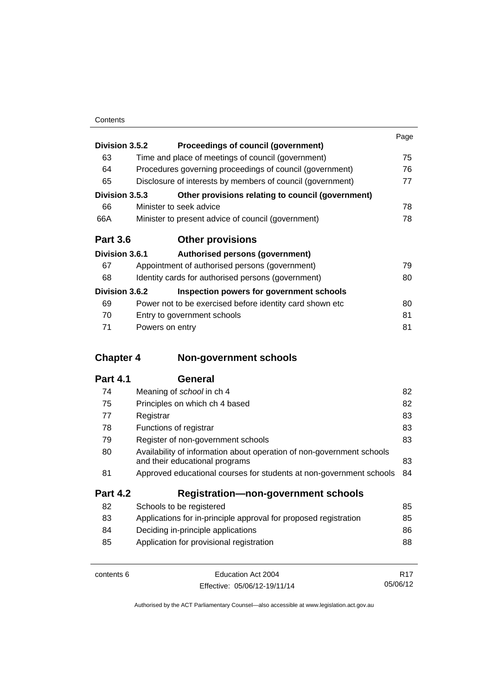|                 |                                                            | Page |
|-----------------|------------------------------------------------------------|------|
| Division 3.5.2  | Proceedings of council (government)                        |      |
| 63              | Time and place of meetings of council (government)         | 75   |
| 64              | Procedures governing proceedings of council (government)   | 76   |
| 65              | Disclosure of interests by members of council (government) | 77   |
| Division 3.5.3  | Other provisions relating to council (government)          |      |
| 66              | Minister to seek advice                                    | 78   |
| 66A             | Minister to present advice of council (government)         | 78   |
| <b>Part 3.6</b> | <b>Other provisions</b>                                    |      |
| Division 3.6.1  | Authorised persons (government)                            |      |
| 67              | Appointment of authorised persons (government)             | 79   |
| 68              | Identity cards for authorised persons (government)         | 80   |
| Division 3.6.2  | Inspection powers for government schools                   |      |
| 69              | Power not to be exercised before identity card shown etc.  | 80   |
| 70              | Entry to government schools                                | 81   |
| 71              | Powers on entry                                            | 81   |

# **Chapter 4 [Non-government schools](#page-93-0)**

| 74              | Meaning of <i>school</i> in ch 4                                                                        | 82 |
|-----------------|---------------------------------------------------------------------------------------------------------|----|
| 75              | Principles on which ch 4 based                                                                          | 82 |
| 77              | Registrar                                                                                               | 83 |
| 78              | Functions of registrar                                                                                  | 83 |
| 79              | Register of non-government schools                                                                      | 83 |
| 80              | Availability of information about operation of non-government schools<br>and their educational programs | 83 |
| 81              | Approved educational courses for students at non-government schools                                     | 84 |
| <b>Part 4.2</b> | <b>Registration-non-government schools</b>                                                              |    |
| 82              | Schools to be registered                                                                                | 85 |
| 83              | Applications for in-principle approval for proposed registration                                        | 85 |
| 84              | Deciding in-principle applications                                                                      | 86 |
| 85              | Application for provisional registration                                                                | 88 |
|                 |                                                                                                         |    |

| contents 6 | Education Act 2004           | R <sub>17</sub> |
|------------|------------------------------|-----------------|
|            | Effective: 05/06/12-19/11/14 | 05/06/12        |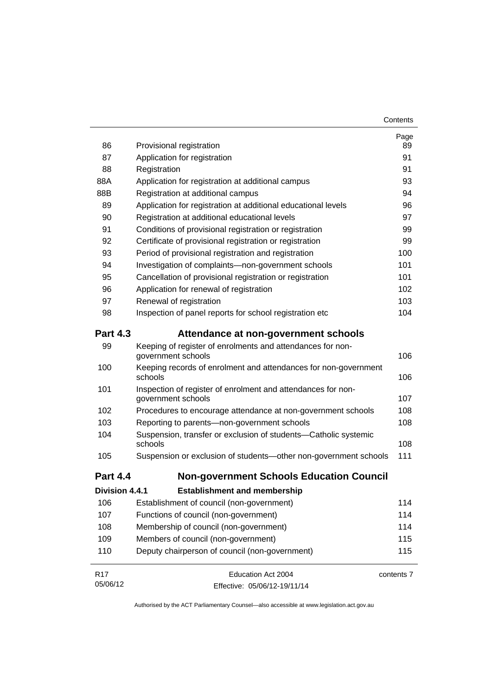| 86              | Provisional registration                                                           | Page<br>89 |
|-----------------|------------------------------------------------------------------------------------|------------|
| 87              | Application for registration                                                       | 91         |
| 88              | Registration                                                                       | 91         |
| 88A             | Application for registration at additional campus                                  | 93         |
| 88B             | Registration at additional campus                                                  | 94         |
| 89              | Application for registration at additional educational levels                      | 96         |
| 90              | Registration at additional educational levels                                      | 97         |
| 91              | Conditions of provisional registration or registration                             | 99         |
| 92              | Certificate of provisional registration or registration                            | 99         |
| 93              | Period of provisional registration and registration                                | 100        |
| 94              | Investigation of complaints-non-government schools                                 | 101        |
| 95              | Cancellation of provisional registration or registration                           | 101        |
| 96              | Application for renewal of registration                                            | 102        |
| 97              | Renewal of registration                                                            | 103        |
| 98              | Inspection of panel reports for school registration etc                            | 104        |
| <b>Part 4.3</b> | Attendance at non-government schools                                               |            |
| 99              | Keeping of register of enrolments and attendances for non-<br>government schools   | 106        |
| 100             | Keeping records of enrolment and attendances for non-government<br>schools         | 106        |
| 101             | Inspection of register of enrolment and attendances for non-<br>government schools | 107        |
| 102             | Procedures to encourage attendance at non-government schools                       | 108        |
| 103             | Reporting to parents-non-government schools                                        | 108        |
| 104             | Suspension, transfer or exclusion of students-Catholic systemic<br>schools         | 108        |
| 105             | Suspension or exclusion of students-other non-government schools                   | 111        |
| <b>Part 4.4</b> | <b>Non-government Schools Education Council</b>                                    |            |
| Division 4.4.1  | <b>Establishment and membership</b>                                                |            |
| 106             | Establishment of council (non-government)                                          | 114        |
| 107             | Functions of council (non-government)                                              | 114        |
| 108             | Membership of council (non-government)                                             | 114        |
| 109             | Members of council (non-government)                                                | 115        |
| 110             | Deputy chairperson of council (non-government)                                     | 115        |
| <b>R17</b>      | Education Act 2004                                                                 | contents 7 |
| 05/06/12        | Effective: 05/06/12-19/11/14                                                       |            |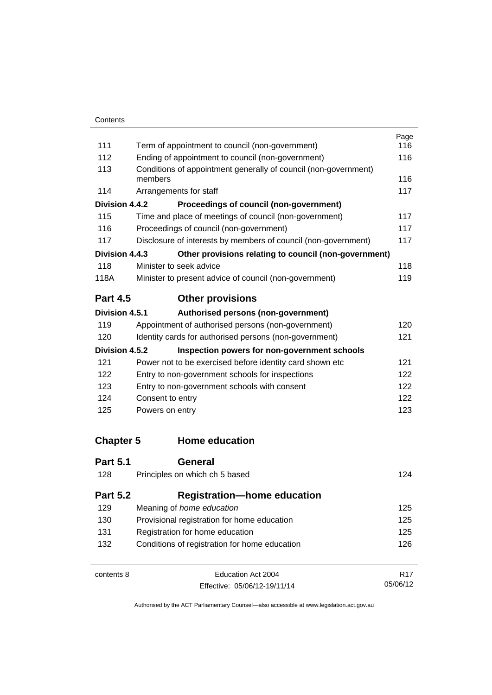|                  |                                                                            | Page |  |
|------------------|----------------------------------------------------------------------------|------|--|
| 111              | Term of appointment to council (non-government)                            | 116  |  |
| 112              | Ending of appointment to council (non-government)                          | 116  |  |
| 113              | Conditions of appointment generally of council (non-government)<br>members |      |  |
| 114              | Arrangements for staff                                                     | 117  |  |
| Division 4.4.2   | Proceedings of council (non-government)                                    |      |  |
| 115              | Time and place of meetings of council (non-government)                     | 117  |  |
| 116              | Proceedings of council (non-government)                                    | 117  |  |
| 117              | Disclosure of interests by members of council (non-government)             |      |  |
| Division 4.4.3   | Other provisions relating to council (non-government)                      |      |  |
| 118              | Minister to seek advice                                                    | 118  |  |
| 118A             | Minister to present advice of council (non-government)                     | 119  |  |
| <b>Part 4.5</b>  | <b>Other provisions</b>                                                    |      |  |
| Division 4.5.1   | Authorised persons (non-government)                                        |      |  |
| 119              | Appointment of authorised persons (non-government)                         | 120  |  |
| 120              | Identity cards for authorised persons (non-government)                     | 121  |  |
| Division 4.5.2   | Inspection powers for non-government schools                               |      |  |
| 121              | Power not to be exercised before identity card shown etc                   | 121  |  |
| 122              | Entry to non-government schools for inspections                            |      |  |
| 123              | Entry to non-government schools with consent                               |      |  |
| 124              | Consent to entry                                                           |      |  |
| 125              | Powers on entry                                                            |      |  |
| <b>Chapter 5</b> | <b>Home education</b>                                                      |      |  |
| <b>Part 5.1</b>  | General                                                                    |      |  |
| 128              | Principles on which ch 5 based                                             | 124  |  |
| <b>Part 5.2</b>  | <b>Registration-home education</b>                                         |      |  |
| 129              | Meaning of home education                                                  |      |  |
| 130              | Provisional registration for home education                                |      |  |
| 131              | Registration for home education                                            |      |  |
| 132              | Conditions of registration for home education                              |      |  |
| contents 8       | Education Act 2004                                                         |      |  |

Effective: 05/06/12-19/11/14

05/06/12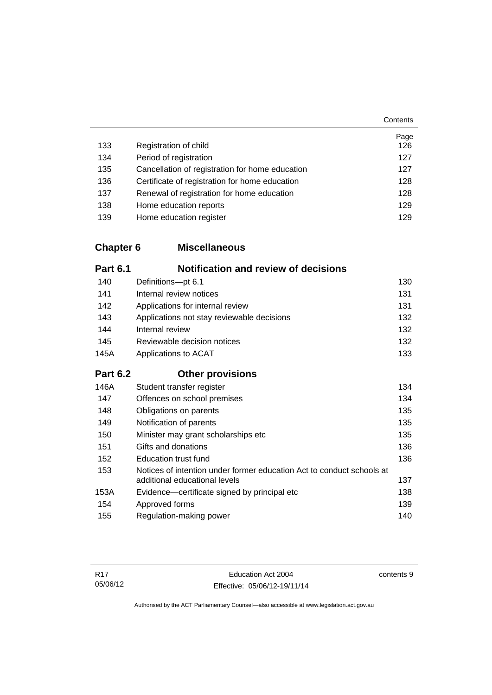|     |                                                 | Page |
|-----|-------------------------------------------------|------|
| 133 | Registration of child                           | 126  |
| 134 | Period of registration                          | 127  |
| 135 | Cancellation of registration for home education | 127  |
| 136 | Certificate of registration for home education  | 128  |
| 137 | Renewal of registration for home education      | 128  |
| 138 | Home education reports                          | 129  |
| 139 | Home education register                         | 129  |

## **Chapter 6 [Miscellaneous](#page-141-0)**

| <b>Part 6.1</b> | <b>Notification and review of decisions</b>                                                            |     |
|-----------------|--------------------------------------------------------------------------------------------------------|-----|
| 140             | Definitions-pt 6.1                                                                                     | 130 |
| 141             | Internal review notices                                                                                |     |
| 142             | Applications for internal review                                                                       | 131 |
| 143             | Applications not stay reviewable decisions                                                             | 132 |
| 144             | Internal review                                                                                        | 132 |
| 145             | Reviewable decision notices                                                                            | 132 |
| 145A            | Applications to ACAT                                                                                   |     |
| <b>Part 6.2</b> | <b>Other provisions</b>                                                                                |     |
| 146A            | Student transfer register                                                                              | 134 |
| 147             | Offences on school premises                                                                            | 134 |
| 148             | 135<br>Obligations on parents                                                                          |     |
| 149             | 135<br>Notification of parents                                                                         |     |
| 150             | Minister may grant scholarships etc                                                                    |     |
| 151             | Gifts and donations                                                                                    |     |
| 152             | <b>Education trust fund</b>                                                                            | 136 |
| 153             | Notices of intention under former education Act to conduct schools at<br>additional educational levels | 137 |
| 153A            | Evidence—certificate signed by principal etc                                                           | 138 |
| 154             | Approved forms<br>139                                                                                  |     |
| 155             | Regulation-making power<br>140                                                                         |     |
|                 |                                                                                                        |     |

**Contents**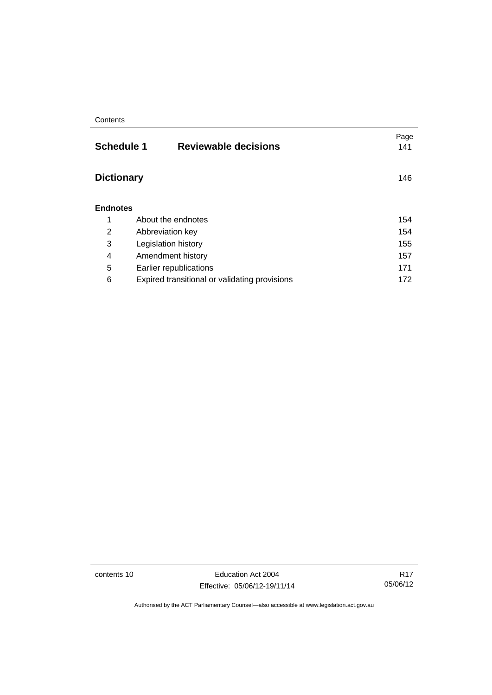| <b>Schedule 1</b><br><b>Reviewable decisions</b> | Page<br>141 |
|--------------------------------------------------|-------------|
| <b>Dictionary</b>                                | 146         |
| <b>Endnotes</b>                                  |             |
| About the endnotes                               | 154         |
| 154<br>Abbreviation key                          |             |
| 155<br>Legislation history                       |             |
| Amendment history                                | 157         |
| Earlier republications                           | 171         |
| Expired transitional or validating provisions    | 172         |
|                                                  |             |

contents 10 Education Act 2004 Effective: 05/06/12-19/11/14

R17 05/06/12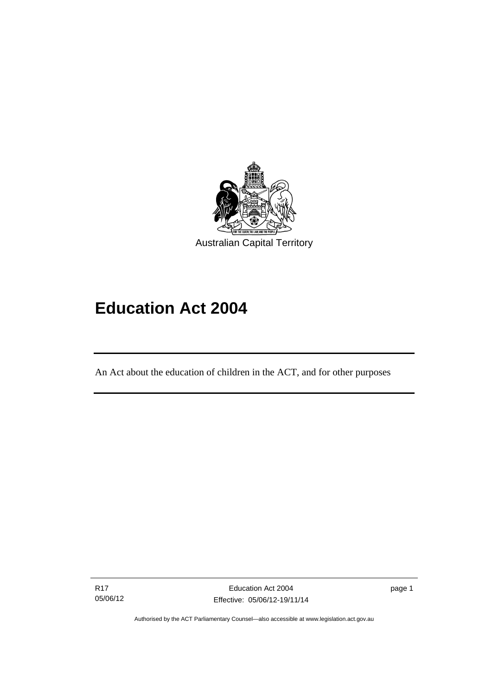

# **Education Act 2004**

An Act about the education of children in the ACT, and for other purposes

R17 05/06/12

l

page 1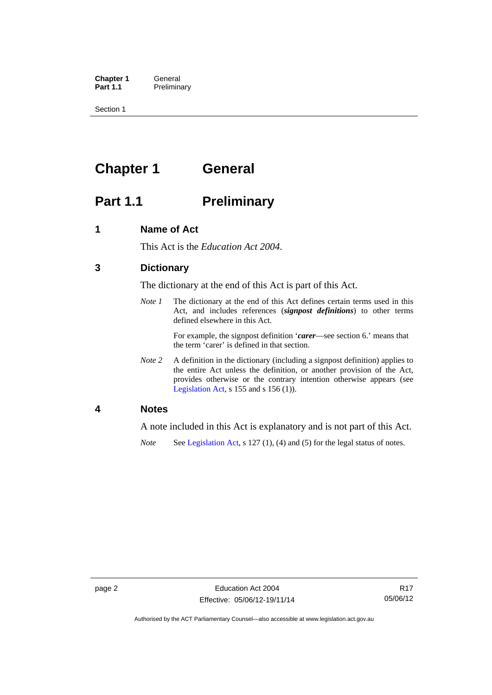**Chapter 1 General**<br>**Part 1.1 Prelimina Preliminary** 

Section 1

# <span id="page-13-0"></span>**Chapter 1 General**

# <span id="page-13-1"></span>**Part 1.1** Preliminary

### <span id="page-13-2"></span>**1 Name of Act**

This Act is the *Education Act 2004*.

## <span id="page-13-3"></span>**3 Dictionary**

The dictionary at the end of this Act is part of this Act.

*Note 1* The dictionary at the end of this Act defines certain terms used in this Act, and includes references (*signpost definitions*) to other terms defined elsewhere in this Act.

> For example, the signpost definition '*carer*—see section 6.' means that the term 'carer' is defined in that section.

*Note 2* A definition in the dictionary (including a signpost definition) applies to the entire Act unless the definition, or another provision of the Act, provides otherwise or the contrary intention otherwise appears (see [Legislation Act,](http://www.legislation.act.gov.au/a/2001-14)  $s$  155 and  $s$  156 (1)).

### <span id="page-13-4"></span>**4 Notes**

A note included in this Act is explanatory and is not part of this Act.

*Note* See [Legislation Act,](http://www.legislation.act.gov.au/a/2001-14) s 127 (1), (4) and (5) for the legal status of notes.

Authorised by the ACT Parliamentary Counsel—also accessible at www.legislation.act.gov.au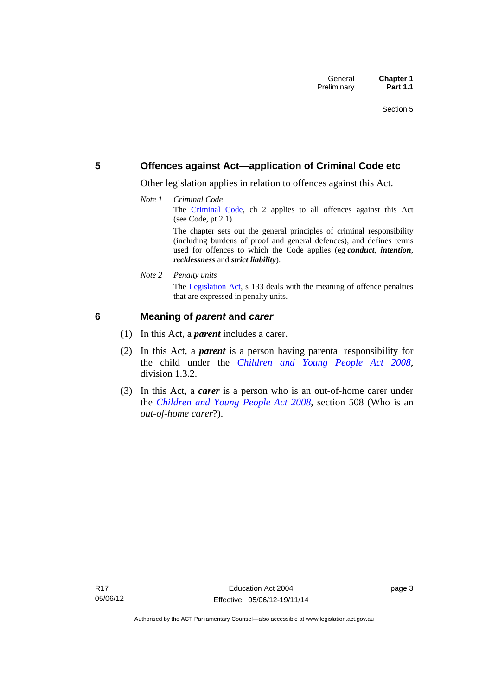### <span id="page-14-0"></span>**5 Offences against Act—application of Criminal Code etc**

Other legislation applies in relation to offences against this Act.

*Note 1 Criminal Code* The [Criminal Code,](http://www.legislation.act.gov.au/a/2002-51) ch 2 applies to all offences against this Act (see Code, pt 2.1). The chapter sets out the general principles of criminal responsibility

(including burdens of proof and general defences), and defines terms used for offences to which the Code applies (eg *conduct*, *intention*, *recklessness* and *strict liability*).

*Note 2 Penalty units* 

The [Legislation Act](http://www.legislation.act.gov.au/a/2001-14), s 133 deals with the meaning of offence penalties that are expressed in penalty units.

## <span id="page-14-1"></span>**6 Meaning of** *parent* **and** *carer*

- (1) In this Act, a *parent* includes a carer.
- (2) In this Act, a *parent* is a person having parental responsibility for the child under the *[Children and Young People Act 2008](http://www.legislation.act.gov.au/a/2008-19)*, division 1.3.2.
- (3) In this Act, a *carer* is a person who is an out-of-home carer under the *[Children and Young People Act 2008](http://www.legislation.act.gov.au/a/2008-19)*, section 508 (Who is an *out-of-home carer*?).

page 3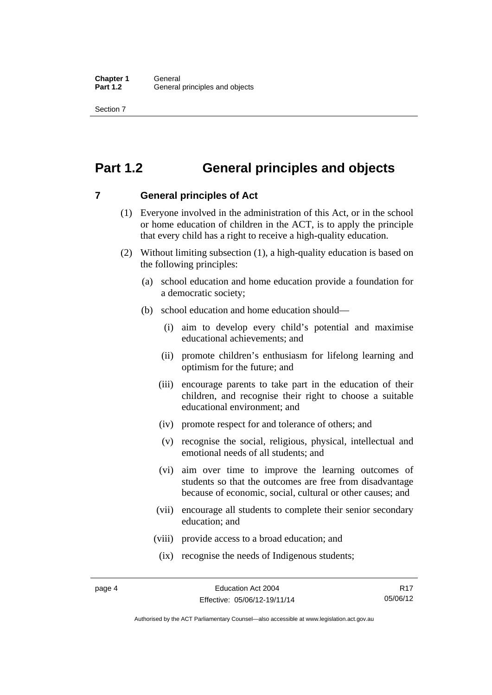Section 7

# <span id="page-15-0"></span>**Part 1.2 General principles and objects**

<span id="page-15-1"></span>**7 General principles of Act** 

- (1) Everyone involved in the administration of this Act, or in the school or home education of children in the ACT, is to apply the principle that every child has a right to receive a high-quality education.
- (2) Without limiting subsection (1), a high-quality education is based on the following principles:
	- (a) school education and home education provide a foundation for a democratic society;
	- (b) school education and home education should—
		- (i) aim to develop every child's potential and maximise educational achievements; and
		- (ii) promote children's enthusiasm for lifelong learning and optimism for the future; and
		- (iii) encourage parents to take part in the education of their children, and recognise their right to choose a suitable educational environment; and
		- (iv) promote respect for and tolerance of others; and
		- (v) recognise the social, religious, physical, intellectual and emotional needs of all students; and
		- (vi) aim over time to improve the learning outcomes of students so that the outcomes are free from disadvantage because of economic, social, cultural or other causes; and
		- (vii) encourage all students to complete their senior secondary education; and
		- (viii) provide access to a broad education; and
		- (ix) recognise the needs of Indigenous students;

R17 05/06/12

Authorised by the ACT Parliamentary Counsel—also accessible at www.legislation.act.gov.au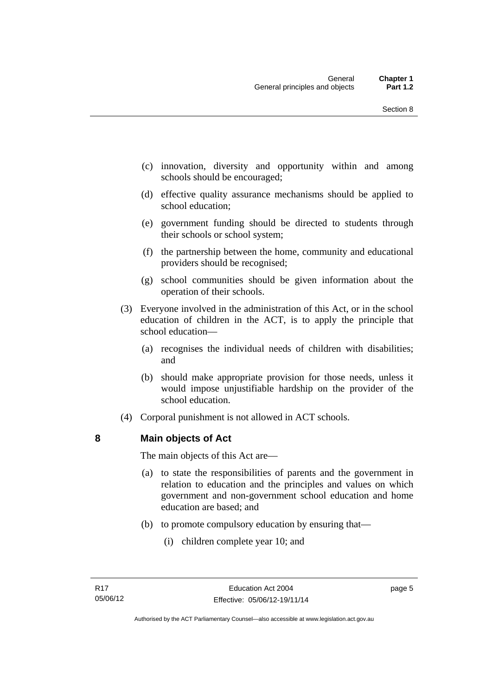- (c) innovation, diversity and opportunity within and among schools should be encouraged;
- (d) effective quality assurance mechanisms should be applied to school education;
- (e) government funding should be directed to students through their schools or school system;
- (f) the partnership between the home, community and educational providers should be recognised;
- (g) school communities should be given information about the operation of their schools.
- (3) Everyone involved in the administration of this Act, or in the school education of children in the ACT, is to apply the principle that school education—
	- (a) recognises the individual needs of children with disabilities; and
	- (b) should make appropriate provision for those needs, unless it would impose unjustifiable hardship on the provider of the school education.
- (4) Corporal punishment is not allowed in ACT schools.

### <span id="page-16-0"></span>**8 Main objects of Act**

The main objects of this Act are—

- (a) to state the responsibilities of parents and the government in relation to education and the principles and values on which government and non-government school education and home education are based; and
- (b) to promote compulsory education by ensuring that—
	- (i) children complete year 10; and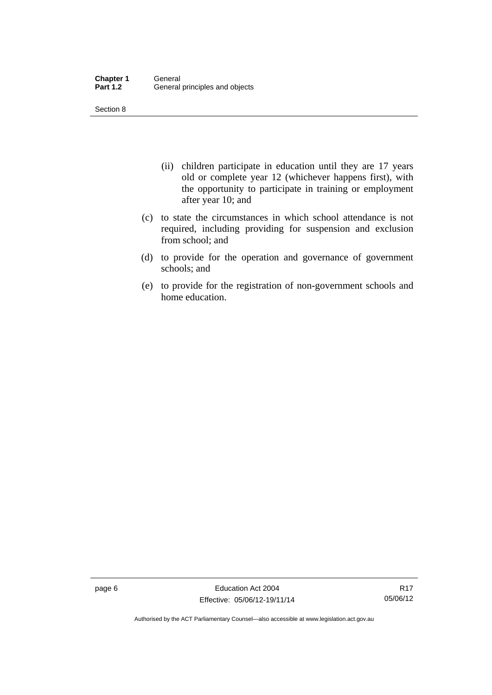Section 8

- (ii) children participate in education until they are 17 years old or complete year 12 (whichever happens first), with the opportunity to participate in training or employment after year 10; and
- (c) to state the circumstances in which school attendance is not required, including providing for suspension and exclusion from school; and
- (d) to provide for the operation and governance of government schools; and
- (e) to provide for the registration of non-government schools and home education.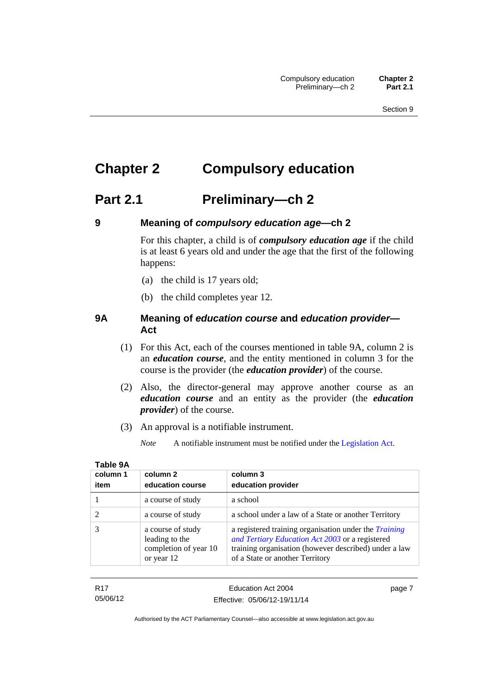# <span id="page-18-0"></span>**Chapter 2 Compulsory education**

## <span id="page-18-1"></span>**Part 2.1 Preliminary—ch 2**

<span id="page-18-2"></span>

## **9 Meaning of** *compulsory education age***—ch 2**

For this chapter, a child is of *compulsory education age* if the child is at least 6 years old and under the age that the first of the following happens:

- (a) the child is 17 years old;
- (b) the child completes year 12.

### <span id="page-18-3"></span>**9A Meaning of** *education course* **and** *education provider***— Act**

- (1) For this Act, each of the courses mentioned in table 9A, column 2 is an *education course*, and the entity mentioned in column 3 for the course is the provider (the *education provider*) of the course.
- (2) Also, the director-general may approve another course as an *education course* and an entity as the provider (the *education provider*) of the course.
- (3) An approval is a notifiable instrument.
	- *Note* A notifiable instrument must be notified under the [Legislation Act](http://www.legislation.act.gov.au/a/2001-14).

| column 1 | column 2                                                                   | column 3                                                                                                                                                                                                    |
|----------|----------------------------------------------------------------------------|-------------------------------------------------------------------------------------------------------------------------------------------------------------------------------------------------------------|
| item     | education course                                                           | education provider                                                                                                                                                                                          |
|          | a course of study                                                          | a school                                                                                                                                                                                                    |
|          | a course of study                                                          | a school under a law of a State or another Territory                                                                                                                                                        |
|          | a course of study<br>leading to the<br>completion of year 10<br>or year 12 | a registered training organisation under the <i>Training</i><br>and Tertiary Education Act 2003 or a registered<br>training organisation (however described) under a law<br>of a State or another Territory |

R17 05/06/12 page 7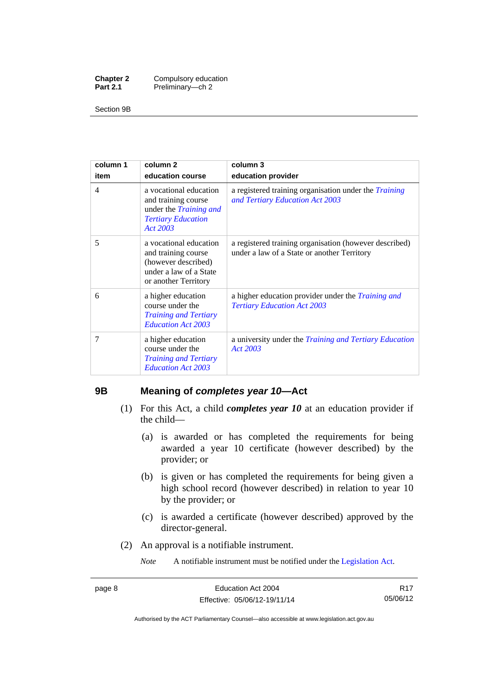| <b>Chapter 2</b> | Compulsory education |
|------------------|----------------------|
| <b>Part 2.1</b>  | Preliminary-ch 2     |

Section 9B

| column 1       | column <sub>2</sub>                                                                                                     | column 3                                                                                              |
|----------------|-------------------------------------------------------------------------------------------------------------------------|-------------------------------------------------------------------------------------------------------|
| item           | education course                                                                                                        | education provider                                                                                    |
| $\overline{4}$ | a vocational education<br>and training course<br>under the <i>Training and</i><br><b>Tertiary Education</b><br>Act 2003 | a registered training organisation under the <i>Training</i><br>and Tertiary Education Act 2003       |
| 5              | a vocational education<br>and training course<br>(however described)<br>under a law of a State<br>or another Territory  | a registered training organisation (however described)<br>under a law of a State or another Territory |
| 6              | a higher education<br>course under the<br><b>Training and Tertiary</b><br><b>Education Act 2003</b>                     | a higher education provider under the <i>Training and</i><br><b>Tertiary Education Act 2003</b>       |
| 7              | a higher education<br>course under the<br><b>Training and Tertiary</b><br><b>Education Act 2003</b>                     | a university under the <i>Training and Tertiary Education</i><br>Act 2003                             |

### <span id="page-19-0"></span>**9B Meaning of** *completes year 10***—Act**

- (1) For this Act, a child *completes year 10* at an education provider if the child—
	- (a) is awarded or has completed the requirements for being awarded a year 10 certificate (however described) by the provider; or
	- (b) is given or has completed the requirements for being given a high school record (however described) in relation to year 10 by the provider; or
	- (c) is awarded a certificate (however described) approved by the director-general.
- (2) An approval is a notifiable instrument.

*Note* A notifiable instrument must be notified under the [Legislation Act](http://www.legislation.act.gov.au/a/2001-14).

R17 05/06/12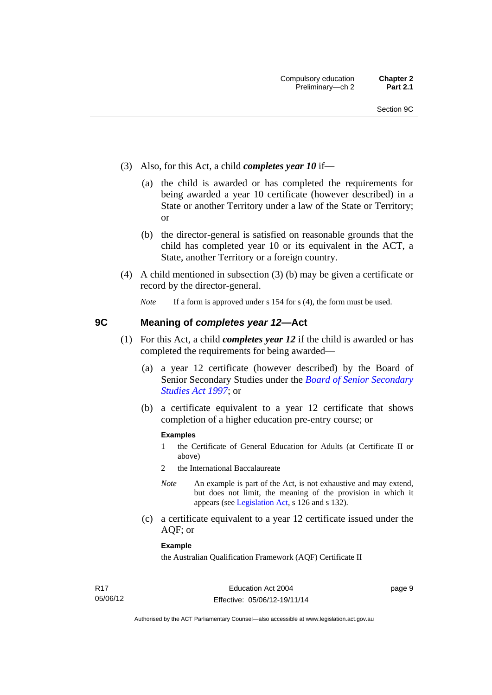- (3) Also, for this Act, a child *completes year 10* if*—*
	- (a) the child is awarded or has completed the requirements for being awarded a year 10 certificate (however described) in a State or another Territory under a law of the State or Territory; or
	- (b) the director-general is satisfied on reasonable grounds that the child has completed year 10 or its equivalent in the ACT, a State, another Territory or a foreign country.
- (4) A child mentioned in subsection (3) (b) may be given a certificate or record by the director-general.

*Note* If a form is approved under s 154 for s (4), the form must be used.

### <span id="page-20-0"></span>**9C Meaning of** *completes year 12***—Act**

- (1) For this Act, a child *completes year 12* if the child is awarded or has completed the requirements for being awarded—
	- (a) a year 12 certificate (however described) by the Board of Senior Secondary Studies under the *[Board of Senior Secondary](http://www.legislation.act.gov.au/a/1997-87)  [Studies Act 1997](http://www.legislation.act.gov.au/a/1997-87)*; or
	- (b) a certificate equivalent to a year 12 certificate that shows completion of a higher education pre-entry course; or

### **Examples**

- 1 the Certificate of General Education for Adults (at Certificate II or above)
- 2 the International Baccalaureate
- *Note* An example is part of the Act, is not exhaustive and may extend, but does not limit, the meaning of the provision in which it appears (see [Legislation Act,](http://www.legislation.act.gov.au/a/2001-14) s 126 and s 132).
- (c) a certificate equivalent to a year 12 certificate issued under the AQF; or

### **Example**

the Australian Qualification Framework (AQF) Certificate II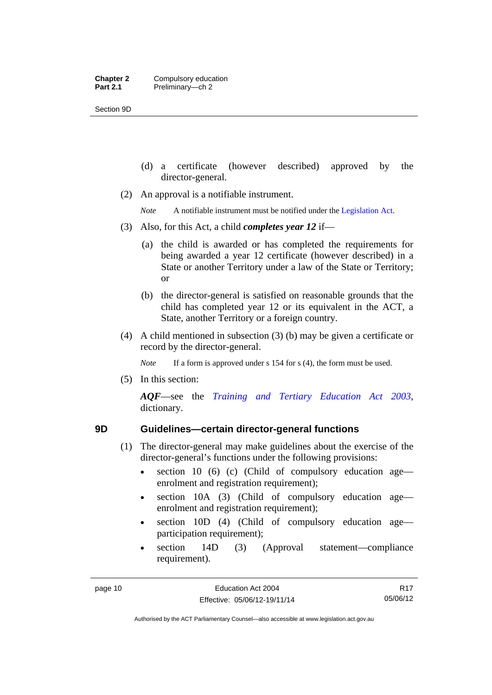Section 9D

- (d) a certificate (however described) approved by the director-general.
- (2) An approval is a notifiable instrument.

*Note* A notifiable instrument must be notified under the [Legislation Act](http://www.legislation.act.gov.au/a/2001-14).

- (3) Also, for this Act, a child *completes year 12* if—
	- (a) the child is awarded or has completed the requirements for being awarded a year 12 certificate (however described) in a State or another Territory under a law of the State or Territory; or
	- (b) the director-general is satisfied on reasonable grounds that the child has completed year 12 or its equivalent in the ACT, a State, another Territory or a foreign country.
- (4) A child mentioned in subsection (3) (b) may be given a certificate or record by the director-general.

*Note* If a form is approved under s 154 for s (4), the form must be used.

(5) In this section:

*AQF*—see the *[Training and Tertiary Education Act 2003](http://www.legislation.act.gov.au/a/2003-36)*, dictionary.

- <span id="page-21-0"></span>**9D Guidelines—certain director-general functions** 
	- (1) The director-general may make guidelines about the exercise of the director-general's functions under the following provisions:
		- $\bullet$  section 10 (6) (c) (Child of compulsory education age enrolment and registration requirement);
		- section 10A (3) (Child of compulsory education age enrolment and registration requirement);
		- section 10D (4) (Child of compulsory education age participation requirement);
		- section 14D (3) (Approval statement—compliance requirement).

R17 05/06/12

Authorised by the ACT Parliamentary Counsel—also accessible at www.legislation.act.gov.au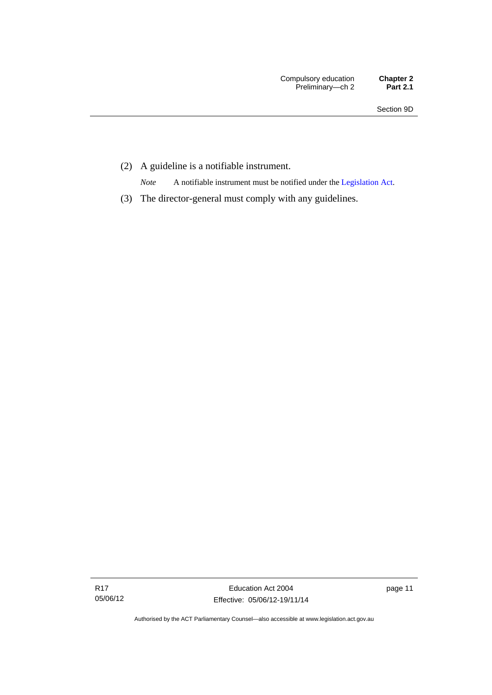(2) A guideline is a notifiable instrument.

*Note* A notifiable instrument must be notified under the [Legislation Act](http://www.legislation.act.gov.au/a/2001-14).

(3) The director-general must comply with any guidelines.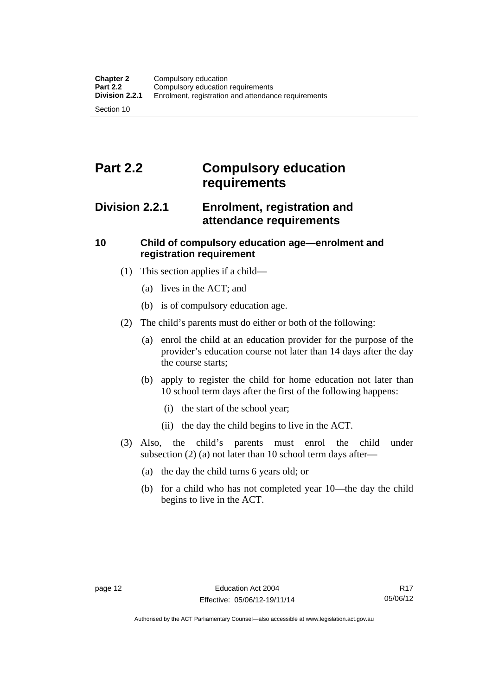# <span id="page-23-0"></span>**Part 2.2 Compulsory education requirements**

## <span id="page-23-1"></span>**Division 2.2.1 Enrolment, registration and attendance requirements**

## <span id="page-23-2"></span>**10 Child of compulsory education age—enrolment and registration requirement**

- (1) This section applies if a child—
	- (a) lives in the ACT; and
	- (b) is of compulsory education age.
- (2) The child's parents must do either or both of the following:
	- (a) enrol the child at an education provider for the purpose of the provider's education course not later than 14 days after the day the course starts;
	- (b) apply to register the child for home education not later than 10 school term days after the first of the following happens:
		- (i) the start of the school year;
		- (ii) the day the child begins to live in the ACT.
- (3) Also, the child's parents must enrol the child under subsection (2) (a) not later than 10 school term days after—
	- (a) the day the child turns 6 years old; or
	- (b) for a child who has not completed year 10—the day the child begins to live in the ACT.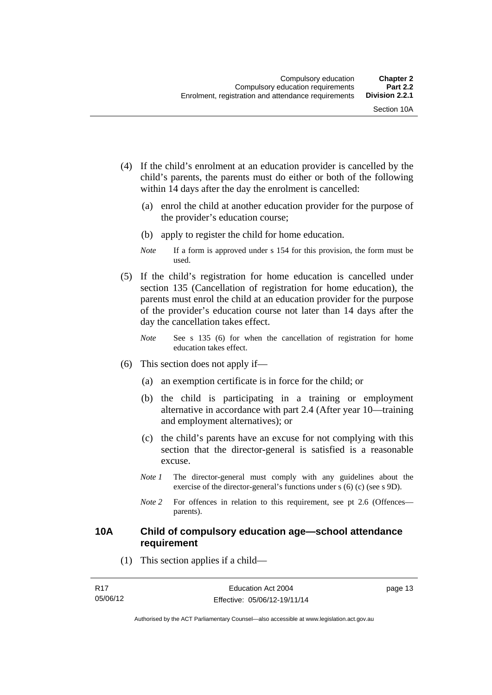- (4) If the child's enrolment at an education provider is cancelled by the child's parents, the parents must do either or both of the following within 14 days after the day the enrolment is cancelled:
	- (a) enrol the child at another education provider for the purpose of the provider's education course;
	- (b) apply to register the child for home education.
	- *Note* If a form is approved under s 154 for this provision, the form must be used.
- (5) If the child's registration for home education is cancelled under section 135 (Cancellation of registration for home education), the parents must enrol the child at an education provider for the purpose of the provider's education course not later than 14 days after the day the cancellation takes effect.
	- *Note* See s 135 (6) for when the cancellation of registration for home education takes effect.
- (6) This section does not apply if—
	- (a) an exemption certificate is in force for the child; or
	- (b) the child is participating in a training or employment alternative in accordance with part 2.4 (After year 10—training and employment alternatives); or
	- (c) the child's parents have an excuse for not complying with this section that the director-general is satisfied is a reasonable excuse.
	- *Note 1* The director-general must comply with any guidelines about the exercise of the director-general's functions under s (6) (c) (see s 9D).
	- *Note* 2 For offences in relation to this requirement, see pt 2.6 (Offences parents).

### <span id="page-24-0"></span>**10A Child of compulsory education age—school attendance requirement**

(1) This section applies if a child—

page 13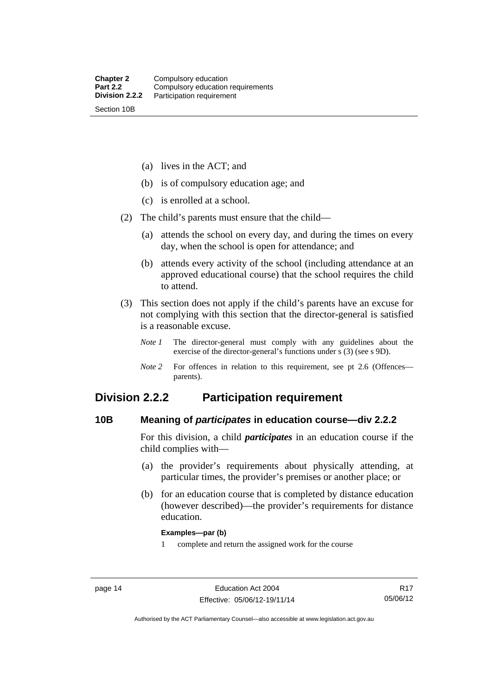(a) lives in the ACT; and

(b) is of compulsory education age; and

(c) is enrolled at a school.

(2) The child's parents must ensure that the child—

 (a) attends the school on every day, and during the times on every day, when the school is open for attendance; and

 (b) attends every activity of the school (including attendance at an approved educational course) that the school requires the child to attend.

 (3) This section does not apply if the child's parents have an excuse for not complying with this section that the director-general is satisfied is a reasonable excuse.

*Note 1* The director-general must comply with any guidelines about the exercise of the director-general's functions under s (3) (see s 9D).

*Note 2* For offences in relation to this requirement, see pt 2.6 (Offences parents).

## <span id="page-25-0"></span>**Division 2.2.2 Participation requirement**

### <span id="page-25-1"></span>**10B Meaning of** *participates* **in education course—div 2.2.2**

For this division, a child *participates* in an education course if the child complies with—

- (a) the provider's requirements about physically attending, at particular times, the provider's premises or another place; or
- (b) for an education course that is completed by distance education (however described)—the provider's requirements for distance education.

### **Examples—par (b)**

1 complete and return the assigned work for the course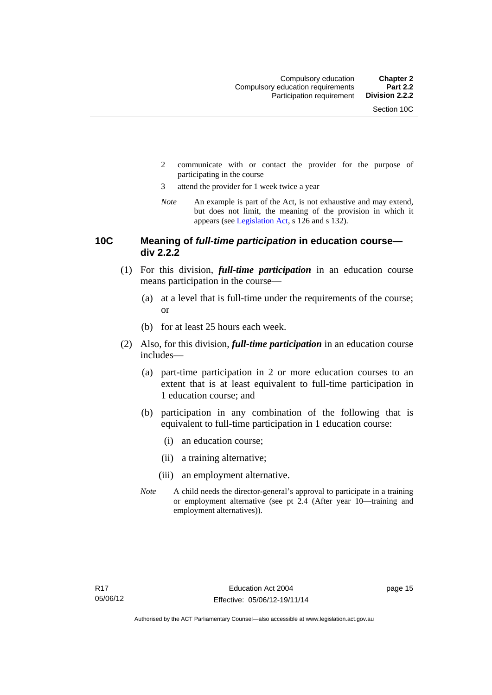- 2 communicate with or contact the provider for the purpose of participating in the course
- 3 attend the provider for 1 week twice a year
- *Note* An example is part of the Act, is not exhaustive and may extend, but does not limit, the meaning of the provision in which it appears (see [Legislation Act,](http://www.legislation.act.gov.au/a/2001-14) s 126 and s 132).

### <span id="page-26-0"></span>**10C Meaning of** *full-time participation* **in education course div 2.2.2**

- (1) For this division, *full-time participation* in an education course means participation in the course—
	- (a) at a level that is full-time under the requirements of the course; or
	- (b) for at least 25 hours each week.
- (2) Also, for this division, *full-time participation* in an education course includes—
	- (a) part-time participation in 2 or more education courses to an extent that is at least equivalent to full-time participation in 1 education course; and
	- (b) participation in any combination of the following that is equivalent to full-time participation in 1 education course:
		- (i) an education course;
		- (ii) a training alternative;
		- (iii) an employment alternative.
	- *Note* A child needs the director-general's approval to participate in a training or employment alternative (see pt 2.4 (After year 10—training and employment alternatives)).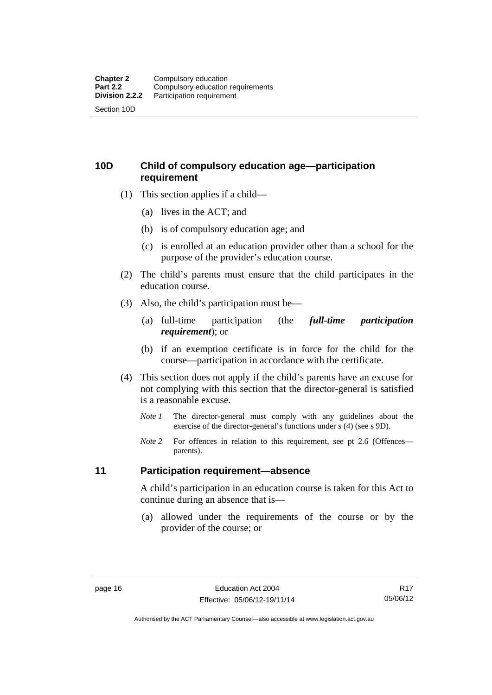## <span id="page-27-0"></span>**10D Child of compulsory education age—participation requirement**

- (1) This section applies if a child—
	- (a) lives in the ACT; and
	- (b) is of compulsory education age; and
	- (c) is enrolled at an education provider other than a school for the purpose of the provider's education course.
- (2) The child's parents must ensure that the child participates in the education course.
- (3) Also, the child's participation must be—
	- (a) full-time participation (the *full-time participation requirement*); or
	- (b) if an exemption certificate is in force for the child for the course—participation in accordance with the certificate.
- (4) This section does not apply if the child's parents have an excuse for not complying with this section that the director-general is satisfied is a reasonable excuse.
	- *Note 1* The director-general must comply with any guidelines about the exercise of the director-general's functions under s (4) (see s 9D).
	- *Note* 2 For offences in relation to this requirement, see pt 2.6 (Offences parents).

### <span id="page-27-1"></span>**11 Participation requirement—absence**

A child's participation in an education course is taken for this Act to continue during an absence that is—

 (a) allowed under the requirements of the course or by the provider of the course; or

Authorised by the ACT Parliamentary Counsel—also accessible at www.legislation.act.gov.au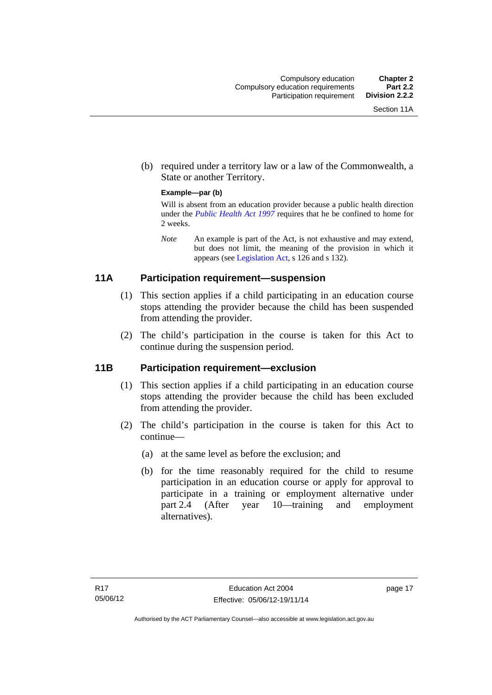(b) required under a territory law or a law of the Commonwealth, a State or another Territory.

### **Example—par (b)**

Will is absent from an education provider because a public health direction under the *[Public Health Act 1997](http://www.legislation.act.gov.au/a/1997-69)* requires that he be confined to home for 2 weeks.

*Note* An example is part of the Act, is not exhaustive and may extend, but does not limit, the meaning of the provision in which it appears (see [Legislation Act,](http://www.legislation.act.gov.au/a/2001-14) s 126 and s 132).

## <span id="page-28-0"></span>**11A Participation requirement—suspension**

- (1) This section applies if a child participating in an education course stops attending the provider because the child has been suspended from attending the provider.
- (2) The child's participation in the course is taken for this Act to continue during the suspension period.

## <span id="page-28-1"></span>**11B Participation requirement—exclusion**

- (1) This section applies if a child participating in an education course stops attending the provider because the child has been excluded from attending the provider.
- (2) The child's participation in the course is taken for this Act to continue—
	- (a) at the same level as before the exclusion; and
	- (b) for the time reasonably required for the child to resume participation in an education course or apply for approval to participate in a training or employment alternative under part 2.4 (After year 10—training and employment alternatives).

page 17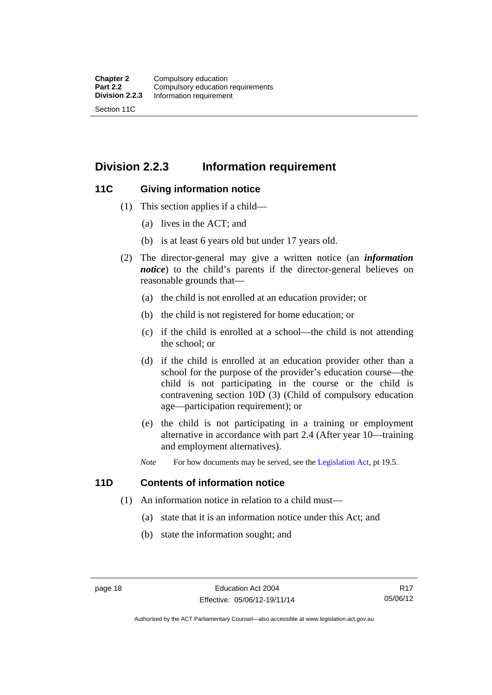## <span id="page-29-0"></span>**Division 2.2.3 Information requirement**

### <span id="page-29-1"></span>**11C Giving information notice**

- (1) This section applies if a child—
	- (a) lives in the ACT; and
	- (b) is at least 6 years old but under 17 years old.
- (2) The director-general may give a written notice (an *information notice*) to the child's parents if the director-general believes on reasonable grounds that—
	- (a) the child is not enrolled at an education provider; or
	- (b) the child is not registered for home education; or
	- (c) if the child is enrolled at a school—the child is not attending the school; or
	- (d) if the child is enrolled at an education provider other than a school for the purpose of the provider's education course—the child is not participating in the course or the child is contravening section 10D (3) (Child of compulsory education age—participation requirement); or
	- (e) the child is not participating in a training or employment alternative in accordance with part 2.4 (After year 10—training and employment alternatives).
	- *Note* For how documents may be served, see the [Legislation Act,](http://www.legislation.act.gov.au/a/2001-14) pt 19.5.

## <span id="page-29-2"></span>**11D Contents of information notice**

- (1) An information notice in relation to a child must—
	- (a) state that it is an information notice under this Act; and
	- (b) state the information sought; and

Authorised by the ACT Parliamentary Counsel—also accessible at www.legislation.act.gov.au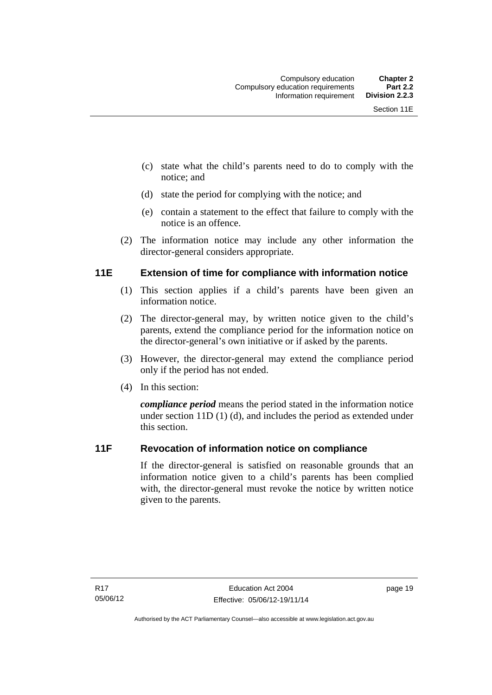- (c) state what the child's parents need to do to comply with the notice; and
- (d) state the period for complying with the notice; and
- (e) contain a statement to the effect that failure to comply with the notice is an offence.
- (2) The information notice may include any other information the director-general considers appropriate.

## <span id="page-30-0"></span>**11E Extension of time for compliance with information notice**

- (1) This section applies if a child's parents have been given an information notice.
- (2) The director-general may, by written notice given to the child's parents, extend the compliance period for the information notice on the director-general's own initiative or if asked by the parents.
- (3) However, the director-general may extend the compliance period only if the period has not ended.
- (4) In this section:

*compliance period* means the period stated in the information notice under section 11D (1) (d), and includes the period as extended under this section.

## <span id="page-30-1"></span>**11F Revocation of information notice on compliance**

If the director-general is satisfied on reasonable grounds that an information notice given to a child's parents has been complied with, the director-general must revoke the notice by written notice given to the parents.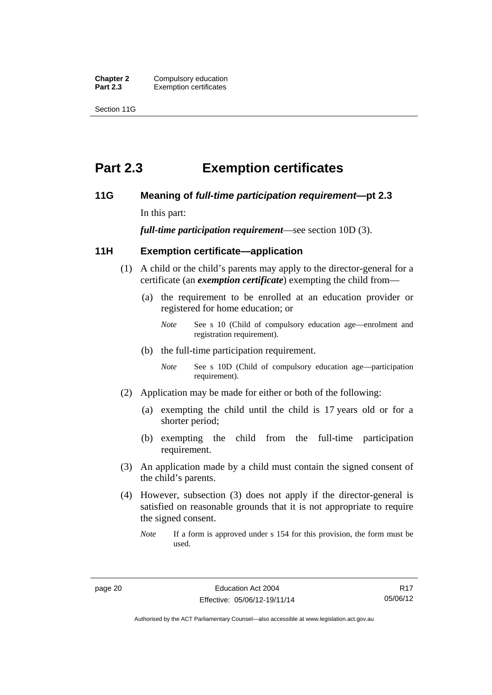**Chapter 2** Compulsory education<br>**Part 2.3** Exemption certificates **Exemption certificates** 

Section 11G

# <span id="page-31-0"></span>**Part 2.3 Exemption certificates**

### <span id="page-31-1"></span>**11G Meaning of** *full-time participation requirement***—pt 2.3**

In this part:

*full-time participation requirement*—see section 10D (3).

## <span id="page-31-2"></span>**11H Exemption certificate—application**

- (1) A child or the child's parents may apply to the director-general for a certificate (an *exemption certificate*) exempting the child from—
	- (a) the requirement to be enrolled at an education provider or registered for home education; or
		- *Note* See s 10 (Child of compulsory education age—enrolment and registration requirement).
	- (b) the full-time participation requirement.
		- *Note* See s 10D (Child of compulsory education age—participation requirement).
- (2) Application may be made for either or both of the following:
	- (a) exempting the child until the child is 17 years old or for a shorter period;
	- (b) exempting the child from the full-time participation requirement.
- (3) An application made by a child must contain the signed consent of the child's parents.
- (4) However, subsection (3) does not apply if the director-general is satisfied on reasonable grounds that it is not appropriate to require the signed consent.
	- *Note* If a form is approved under s 154 for this provision, the form must be used.

Authorised by the ACT Parliamentary Counsel—also accessible at www.legislation.act.gov.au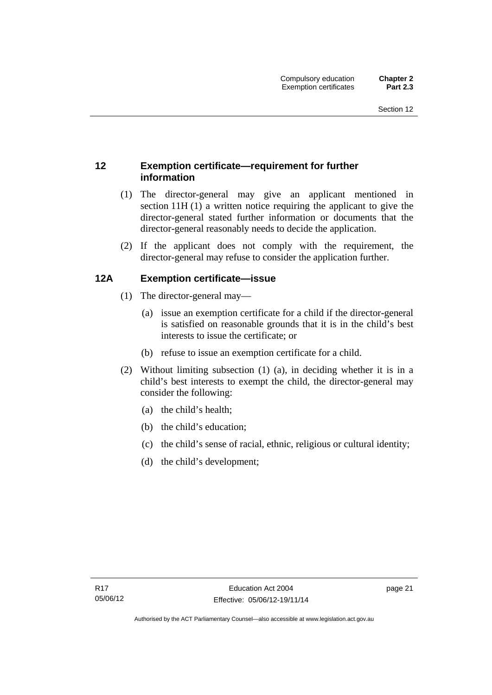## <span id="page-32-0"></span>**12 Exemption certificate—requirement for further information**

- (1) The director-general may give an applicant mentioned in section 11H (1) a written notice requiring the applicant to give the director-general stated further information or documents that the director-general reasonably needs to decide the application.
- (2) If the applicant does not comply with the requirement, the director-general may refuse to consider the application further.

## <span id="page-32-1"></span>**12A Exemption certificate—issue**

- (1) The director-general may—
	- (a) issue an exemption certificate for a child if the director-general is satisfied on reasonable grounds that it is in the child's best interests to issue the certificate; or
	- (b) refuse to issue an exemption certificate for a child.
- (2) Without limiting subsection (1) (a), in deciding whether it is in a child's best interests to exempt the child, the director-general may consider the following:
	- (a) the child's health;
	- (b) the child's education;
	- (c) the child's sense of racial, ethnic, religious or cultural identity;
	- (d) the child's development;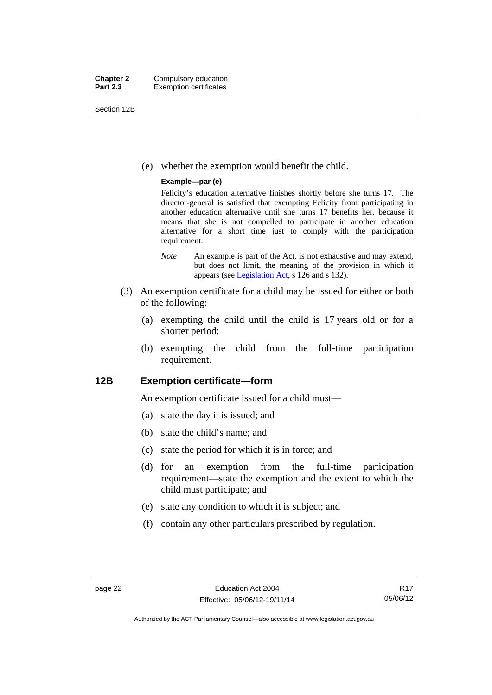Section 12B

(e) whether the exemption would benefit the child.

### **Example—par (e)**

Felicity's education alternative finishes shortly before she turns 17. The director-general is satisfied that exempting Felicity from participating in another education alternative until she turns 17 benefits her, because it means that she is not compelled to participate in another education alternative for a short time just to comply with the participation requirement.

- *Note* An example is part of the Act, is not exhaustive and may extend, but does not limit, the meaning of the provision in which it appears (see [Legislation Act,](http://www.legislation.act.gov.au/a/2001-14) s 126 and s 132).
- (3) An exemption certificate for a child may be issued for either or both of the following:
	- (a) exempting the child until the child is 17 years old or for a shorter period;
	- (b) exempting the child from the full-time participation requirement.

### <span id="page-33-0"></span>**12B Exemption certificate—form**

An exemption certificate issued for a child must—

- (a) state the day it is issued; and
- (b) state the child's name; and
- (c) state the period for which it is in force; and
- (d) for an exemption from the full-time participation requirement—state the exemption and the extent to which the child must participate; and
- (e) state any condition to which it is subject; and
- (f) contain any other particulars prescribed by regulation.

Authorised by the ACT Parliamentary Counsel—also accessible at www.legislation.act.gov.au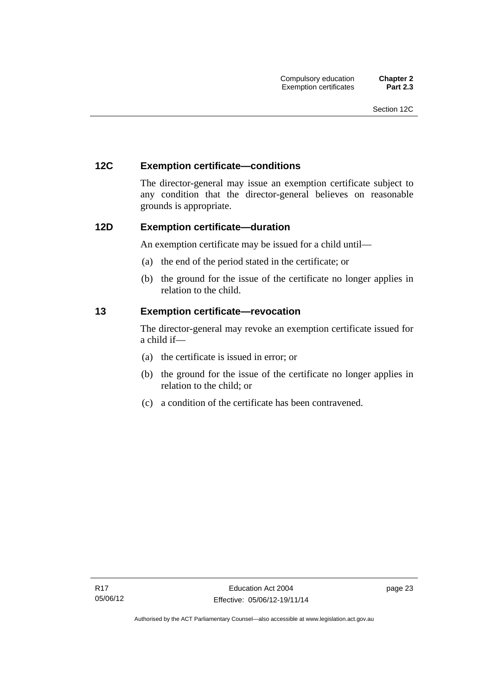### <span id="page-34-0"></span>**12C Exemption certificate—conditions**

The director-general may issue an exemption certificate subject to any condition that the director-general believes on reasonable grounds is appropriate.

### <span id="page-34-1"></span>**12D Exemption certificate—duration**

An exemption certificate may be issued for a child until—

- (a) the end of the period stated in the certificate; or
- (b) the ground for the issue of the certificate no longer applies in relation to the child.

### <span id="page-34-2"></span>**13 Exemption certificate—revocation**

The director-general may revoke an exemption certificate issued for a child if—

- (a) the certificate is issued in error; or
- (b) the ground for the issue of the certificate no longer applies in relation to the child; or
- (c) a condition of the certificate has been contravened.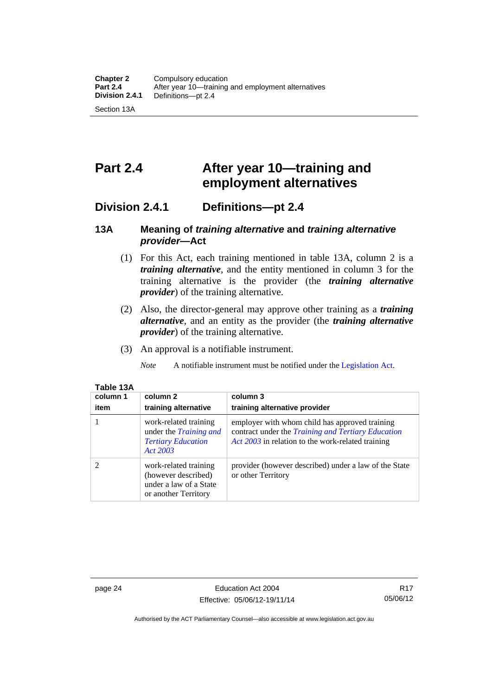# <span id="page-35-0"></span>**Part 2.4 After year 10—training and employment alternatives**

## <span id="page-35-1"></span>**Division 2.4.1 Definitions—pt 2.4**

## <span id="page-35-2"></span>**13A Meaning of** *training alternative* **and** *training alternative provider***—Act**

- (1) For this Act, each training mentioned in table 13A, column 2 is a *training alternative*, and the entity mentioned in column 3 for the training alternative is the provider (the *training alternative provider*) of the training alternative.
- (2) Also, the director-general may approve other training as a *training alternative*, and an entity as the provider (the *training alternative provider*) of the training alternative.
- (3) An approval is a notifiable instrument.

*Note* A notifiable instrument must be notified under the [Legislation Act](http://www.legislation.act.gov.au/a/2001-14).

| Table <sup>.</sup><br>J. |
|--------------------------|
|--------------------------|

| column 1<br>item | column 2<br>training alternative                                                                | column 3<br>training alternative provider                                                                                                                        |
|------------------|-------------------------------------------------------------------------------------------------|------------------------------------------------------------------------------------------------------------------------------------------------------------------|
|                  | work-related training<br>under the <i>Training and</i><br><b>Tertiary Education</b><br>Act 2003 | employer with whom child has approved training<br>contract under the <i>Training and Tertiary Education</i><br>Act 2003 in relation to the work-related training |
| 2                | work-related training<br>(however described)<br>under a law of a State<br>or another Territory  | provider (however described) under a law of the State<br>or other Territory                                                                                      |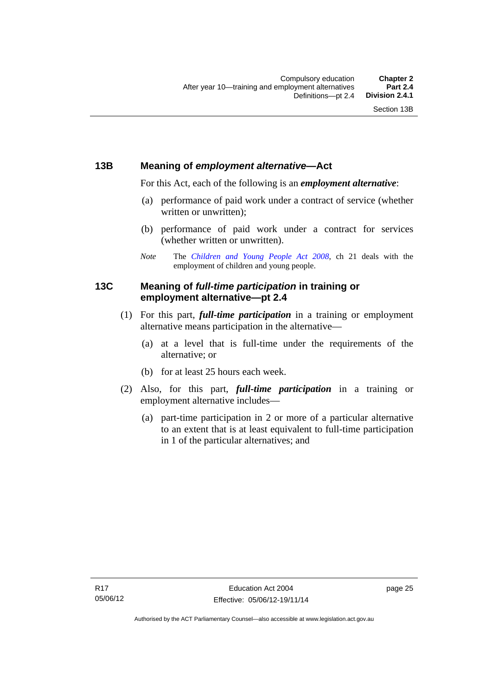# **13B Meaning of** *employment alternative***—Act**

For this Act, each of the following is an *employment alternative*:

- (a) performance of paid work under a contract of service (whether written or unwritten);
- (b) performance of paid work under a contract for services (whether written or unwritten).
- *Note* The *[Children and Young People Act 2008](http://www.legislation.act.gov.au/a/2008-19)*, ch 21 deals with the employment of children and young people.

# **13C Meaning of** *full-time participation* **in training or employment alternative—pt 2.4**

- (1) For this part, *full-time participation* in a training or employment alternative means participation in the alternative—
	- (a) at a level that is full-time under the requirements of the alternative; or
	- (b) for at least 25 hours each week.
- (2) Also, for this part, *full-time participation* in a training or employment alternative includes—
	- (a) part-time participation in 2 or more of a particular alternative to an extent that is at least equivalent to full-time participation in 1 of the particular alternatives; and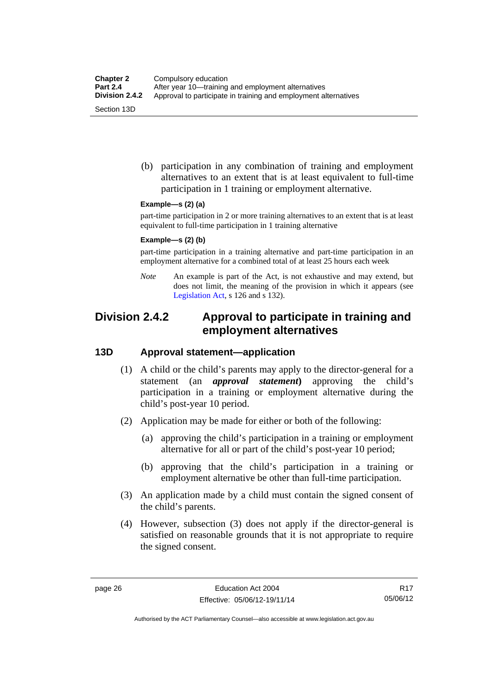(b) participation in any combination of training and employment alternatives to an extent that is at least equivalent to full-time participation in 1 training or employment alternative.

### **Example—s (2) (a)**

part-time participation in 2 or more training alternatives to an extent that is at least equivalent to full-time participation in 1 training alternative

#### **Example—s (2) (b)**

part-time participation in a training alternative and part-time participation in an employment alternative for a combined total of at least 25 hours each week

*Note* An example is part of the Act, is not exhaustive and may extend, but does not limit, the meaning of the provision in which it appears (see [Legislation Act,](http://www.legislation.act.gov.au/a/2001-14) s 126 and s 132).

# **Division 2.4.2 Approval to participate in training and employment alternatives**

## **13D Approval statement—application**

- (1) A child or the child's parents may apply to the director-general for a statement (an *approval statement***)** approving the child's participation in a training or employment alternative during the child's post-year 10 period.
- (2) Application may be made for either or both of the following:
	- (a) approving the child's participation in a training or employment alternative for all or part of the child's post-year 10 period;
	- (b) approving that the child's participation in a training or employment alternative be other than full-time participation.
- (3) An application made by a child must contain the signed consent of the child's parents.
- (4) However, subsection (3) does not apply if the director-general is satisfied on reasonable grounds that it is not appropriate to require the signed consent.

R17 05/06/12

Authorised by the ACT Parliamentary Counsel—also accessible at www.legislation.act.gov.au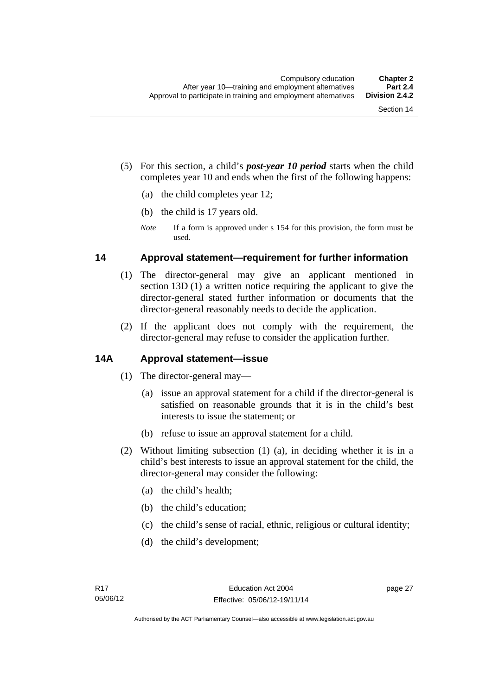- (5) For this section, a child's *post-year 10 period* starts when the child completes year 10 and ends when the first of the following happens:
	- (a) the child completes year 12;
	- (b) the child is 17 years old.
	- *Note* If a form is approved under s 154 for this provision, the form must be used.

## **14 Approval statement—requirement for further information**

- (1) The director-general may give an applicant mentioned in section 13D (1) a written notice requiring the applicant to give the director-general stated further information or documents that the director-general reasonably needs to decide the application.
- (2) If the applicant does not comply with the requirement, the director-general may refuse to consider the application further.

# **14A Approval statement—issue**

- (1) The director-general may—
	- (a) issue an approval statement for a child if the director-general is satisfied on reasonable grounds that it is in the child's best interests to issue the statement; or
	- (b) refuse to issue an approval statement for a child.
- (2) Without limiting subsection (1) (a), in deciding whether it is in a child's best interests to issue an approval statement for the child, the director-general may consider the following:
	- (a) the child's health;
	- (b) the child's education;
	- (c) the child's sense of racial, ethnic, religious or cultural identity;
	- (d) the child's development;

page 27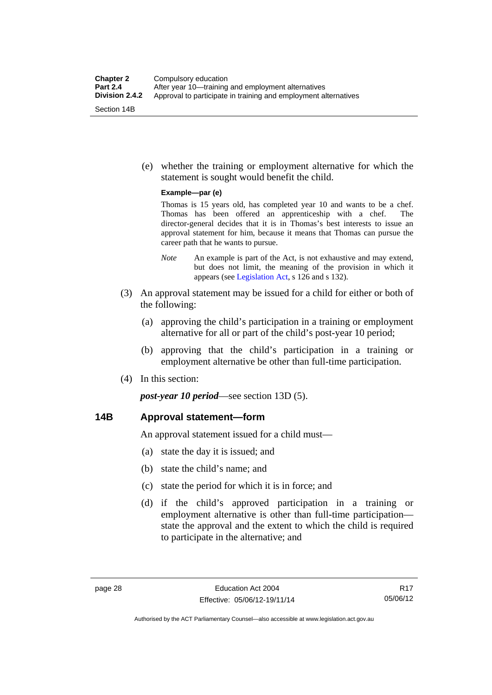(e) whether the training or employment alternative for which the statement is sought would benefit the child.

#### **Example—par (e)**

Thomas is 15 years old, has completed year 10 and wants to be a chef. Thomas has been offered an apprenticeship with a chef. The director-general decides that it is in Thomas's best interests to issue an approval statement for him, because it means that Thomas can pursue the career path that he wants to pursue.

- *Note* An example is part of the Act, is not exhaustive and may extend, but does not limit, the meaning of the provision in which it appears (see [Legislation Act,](http://www.legislation.act.gov.au/a/2001-14) s 126 and s 132).
- (3) An approval statement may be issued for a child for either or both of the following:
	- (a) approving the child's participation in a training or employment alternative for all or part of the child's post-year 10 period;
	- (b) approving that the child's participation in a training or employment alternative be other than full-time participation.
- (4) In this section:

*post-year 10 period*—see section 13D (5).

## **14B Approval statement—form**

An approval statement issued for a child must—

- (a) state the day it is issued; and
- (b) state the child's name; and
- (c) state the period for which it is in force; and
- (d) if the child's approved participation in a training or employment alternative is other than full-time participation state the approval and the extent to which the child is required to participate in the alternative; and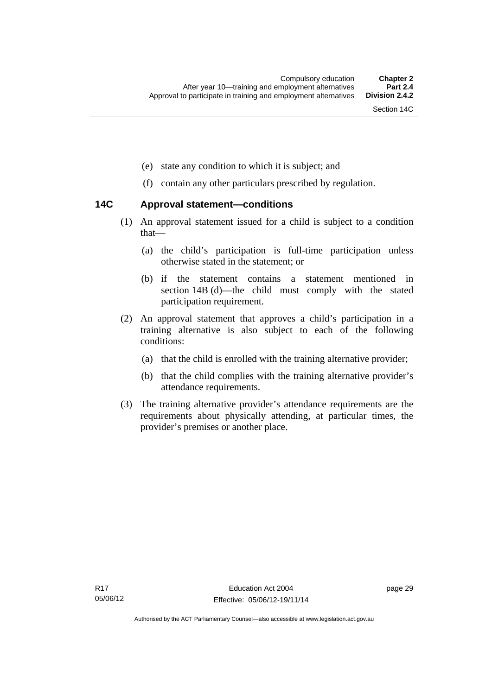- (e) state any condition to which it is subject; and
- (f) contain any other particulars prescribed by regulation.

## **14C Approval statement—conditions**

- (1) An approval statement issued for a child is subject to a condition that—
	- (a) the child's participation is full-time participation unless otherwise stated in the statement; or
	- (b) if the statement contains a statement mentioned in section 14B (d)—the child must comply with the stated participation requirement.
- (2) An approval statement that approves a child's participation in a training alternative is also subject to each of the following conditions:
	- (a) that the child is enrolled with the training alternative provider;
	- (b) that the child complies with the training alternative provider's attendance requirements.
- (3) The training alternative provider's attendance requirements are the requirements about physically attending, at particular times, the provider's premises or another place.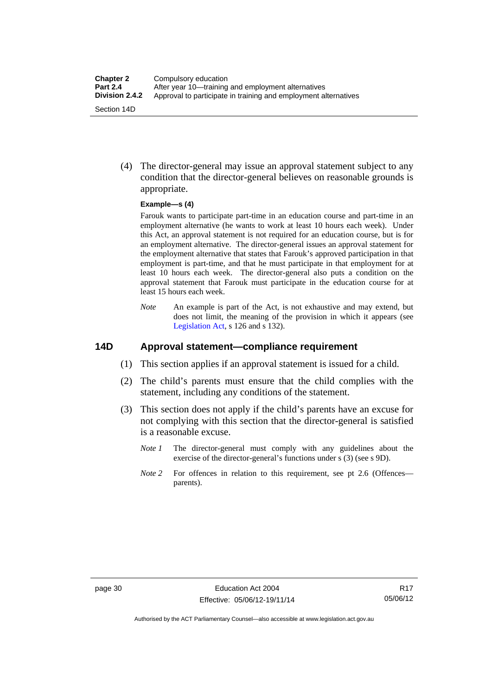(4) The director-general may issue an approval statement subject to any condition that the director-general believes on reasonable grounds is appropriate.

#### **Example—s (4)**

Farouk wants to participate part-time in an education course and part-time in an employment alternative (he wants to work at least 10 hours each week). Under this Act, an approval statement is not required for an education course, but is for an employment alternative. The director-general issues an approval statement for the employment alternative that states that Farouk's approved participation in that employment is part-time, and that he must participate in that employment for at least 10 hours each week. The director-general also puts a condition on the approval statement that Farouk must participate in the education course for at least 15 hours each week.

*Note* An example is part of the Act, is not exhaustive and may extend, but does not limit, the meaning of the provision in which it appears (see [Legislation Act,](http://www.legislation.act.gov.au/a/2001-14) s 126 and s 132).

# **14D Approval statement—compliance requirement**

- (1) This section applies if an approval statement is issued for a child.
- (2) The child's parents must ensure that the child complies with the statement, including any conditions of the statement.
- (3) This section does not apply if the child's parents have an excuse for not complying with this section that the director-general is satisfied is a reasonable excuse.
	- *Note 1* The director-general must comply with any guidelines about the exercise of the director-general's functions under s (3) (see s 9D).
	- *Note 2* For offences in relation to this requirement, see pt 2.6 (Offences parents).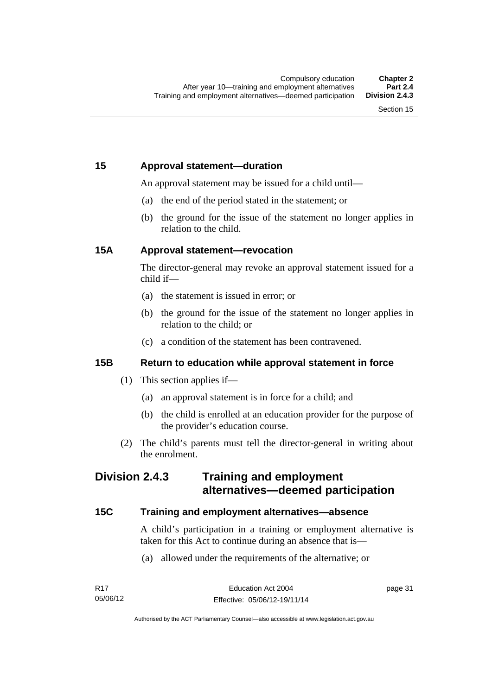# **15 Approval statement—duration**

An approval statement may be issued for a child until—

- (a) the end of the period stated in the statement; or
- (b) the ground for the issue of the statement no longer applies in relation to the child.

# **15A Approval statement—revocation**

The director-general may revoke an approval statement issued for a child if—

- (a) the statement is issued in error; or
- (b) the ground for the issue of the statement no longer applies in relation to the child; or
- (c) a condition of the statement has been contravened.

# **15B Return to education while approval statement in force**

- (1) This section applies if—
	- (a) an approval statement is in force for a child; and
	- (b) the child is enrolled at an education provider for the purpose of the provider's education course.
- (2) The child's parents must tell the director-general in writing about the enrolment.

# **Division 2.4.3 Training and employment alternatives—deemed participation**

# **15C Training and employment alternatives—absence**

A child's participation in a training or employment alternative is taken for this Act to continue during an absence that is—

(a) allowed under the requirements of the alternative; or

page 31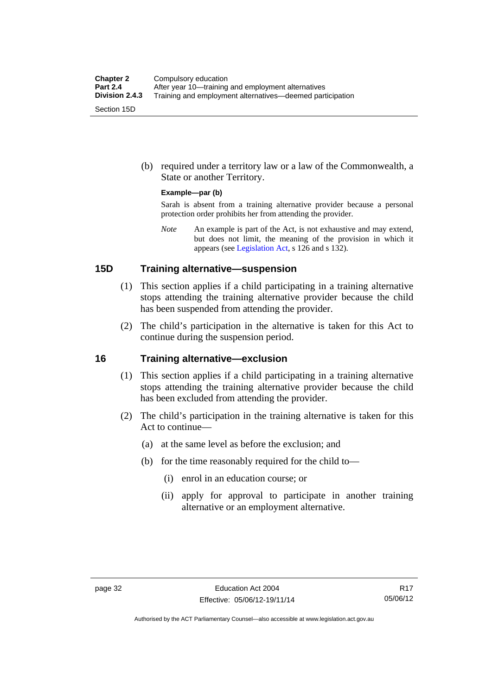(b) required under a territory law or a law of the Commonwealth, a State or another Territory.

#### **Example—par (b)**

Sarah is absent from a training alternative provider because a personal protection order prohibits her from attending the provider.

*Note* An example is part of the Act, is not exhaustive and may extend, but does not limit, the meaning of the provision in which it appears (see [Legislation Act,](http://www.legislation.act.gov.au/a/2001-14) s 126 and s 132).

### **15D Training alternative—suspension**

- (1) This section applies if a child participating in a training alternative stops attending the training alternative provider because the child has been suspended from attending the provider.
- (2) The child's participation in the alternative is taken for this Act to continue during the suspension period.

### **16 Training alternative—exclusion**

- (1) This section applies if a child participating in a training alternative stops attending the training alternative provider because the child has been excluded from attending the provider.
- (2) The child's participation in the training alternative is taken for this Act to continue—
	- (a) at the same level as before the exclusion; and
	- (b) for the time reasonably required for the child to—
		- (i) enrol in an education course; or
		- (ii) apply for approval to participate in another training alternative or an employment alternative.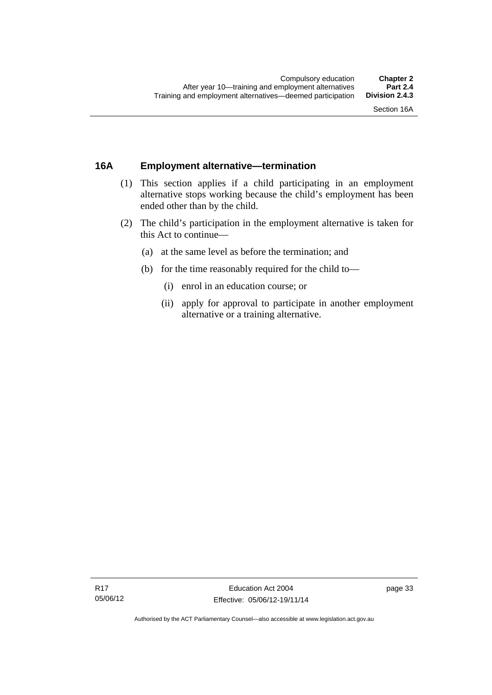# **16A Employment alternative—termination**

- (1) This section applies if a child participating in an employment alternative stops working because the child's employment has been ended other than by the child.
- (2) The child's participation in the employment alternative is taken for this Act to continue—
	- (a) at the same level as before the termination; and
	- (b) for the time reasonably required for the child to—
		- (i) enrol in an education course; or
		- (ii) apply for approval to participate in another employment alternative or a training alternative.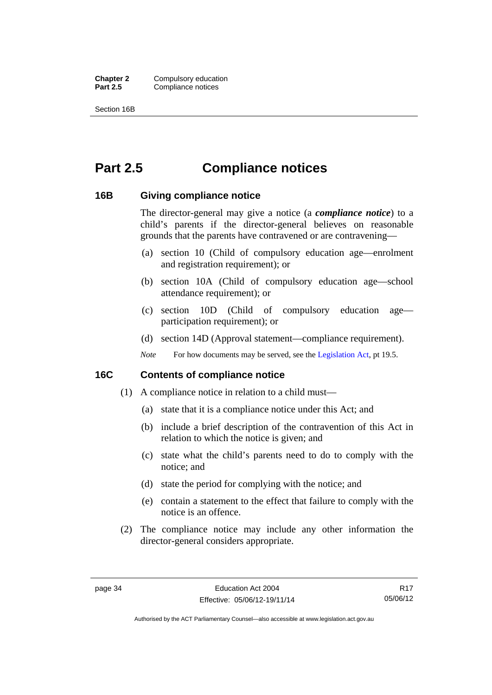**Chapter 2** Compulsory education<br>**Part 2.5** Compliance notices **Compliance notices** 

Section 16B

# **Part 2.5 Compliance notices**

### **16B Giving compliance notice**

The director-general may give a notice (a *compliance notice*) to a child's parents if the director-general believes on reasonable grounds that the parents have contravened or are contravening—

- (a) section 10 (Child of compulsory education age—enrolment and registration requirement); or
- (b) section 10A (Child of compulsory education age—school attendance requirement); or
- (c) section 10D (Child of compulsory education age participation requirement); or
- (d) section 14D (Approval statement—compliance requirement).
- *Note* For how documents may be served, see the [Legislation Act,](http://www.legislation.act.gov.au/a/2001-14) pt 19.5.

# **16C Contents of compliance notice**

- (1) A compliance notice in relation to a child must—
	- (a) state that it is a compliance notice under this Act; and
	- (b) include a brief description of the contravention of this Act in relation to which the notice is given; and
	- (c) state what the child's parents need to do to comply with the notice; and
	- (d) state the period for complying with the notice; and
	- (e) contain a statement to the effect that failure to comply with the notice is an offence.
- (2) The compliance notice may include any other information the director-general considers appropriate.

R17 05/06/12

Authorised by the ACT Parliamentary Counsel—also accessible at www.legislation.act.gov.au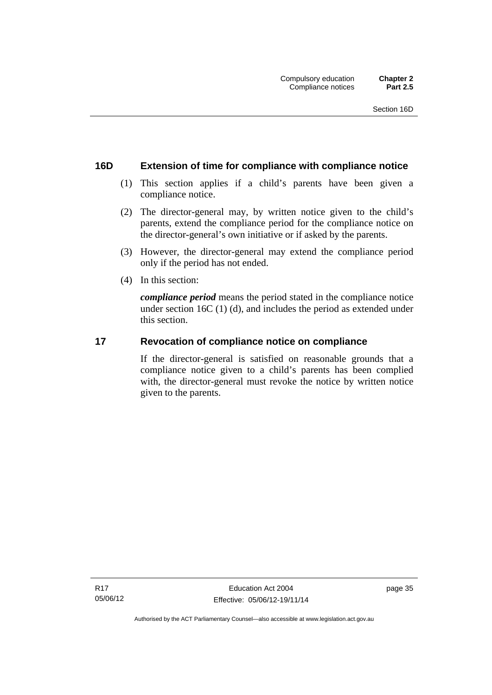# **16D Extension of time for compliance with compliance notice**

- (1) This section applies if a child's parents have been given a compliance notice.
- (2) The director-general may, by written notice given to the child's parents, extend the compliance period for the compliance notice on the director-general's own initiative or if asked by the parents.
- (3) However, the director-general may extend the compliance period only if the period has not ended.
- (4) In this section:

*compliance period* means the period stated in the compliance notice under section 16C (1) (d), and includes the period as extended under this section.

### **17 Revocation of compliance notice on compliance**

If the director-general is satisfied on reasonable grounds that a compliance notice given to a child's parents has been complied with, the director-general must revoke the notice by written notice given to the parents.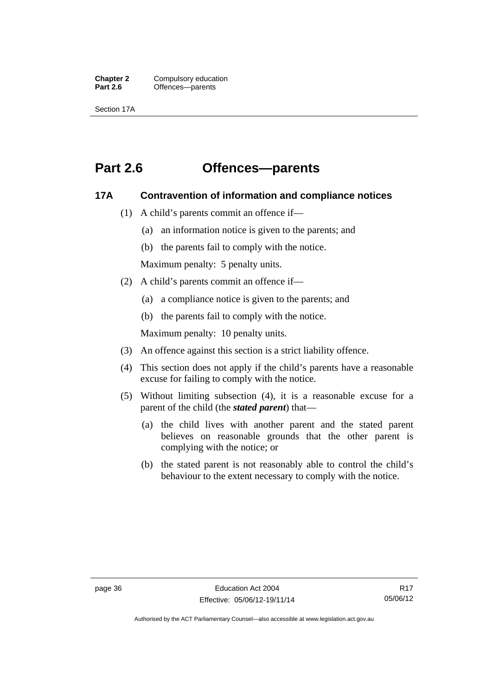**Chapter 2** Compulsory education<br>**Part 2.6 C** Offences—parents Offences—parents

Section 17A

# **Part 2.6 Offences—parents**

### **17A Contravention of information and compliance notices**

- (1) A child's parents commit an offence if—
	- (a) an information notice is given to the parents; and
	- (b) the parents fail to comply with the notice.

Maximum penalty: 5 penalty units.

- (2) A child's parents commit an offence if—
	- (a) a compliance notice is given to the parents; and
	- (b) the parents fail to comply with the notice.

Maximum penalty: 10 penalty units.

- (3) An offence against this section is a strict liability offence.
- (4) This section does not apply if the child's parents have a reasonable excuse for failing to comply with the notice.
- (5) Without limiting subsection (4), it is a reasonable excuse for a parent of the child (the *stated parent*) that—
	- (a) the child lives with another parent and the stated parent believes on reasonable grounds that the other parent is complying with the notice; or
	- (b) the stated parent is not reasonably able to control the child's behaviour to the extent necessary to comply with the notice.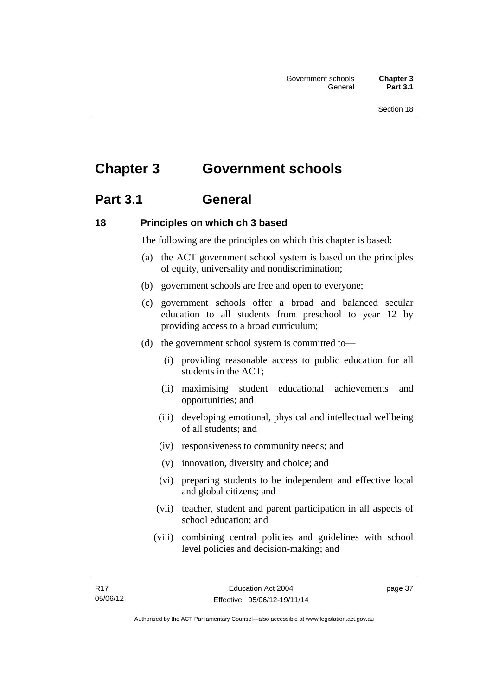# **Chapter 3 Government schools**

# **Part 3.1 General**

# **18 Principles on which ch 3 based**

The following are the principles on which this chapter is based:

- (a) the ACT government school system is based on the principles of equity, universality and nondiscrimination;
- (b) government schools are free and open to everyone;
- (c) government schools offer a broad and balanced secular education to all students from preschool to year 12 by providing access to a broad curriculum;
- (d) the government school system is committed to—
	- (i) providing reasonable access to public education for all students in the ACT;
	- (ii) maximising student educational achievements and opportunities; and
	- (iii) developing emotional, physical and intellectual wellbeing of all students; and
	- (iv) responsiveness to community needs; and
	- (v) innovation, diversity and choice; and
	- (vi) preparing students to be independent and effective local and global citizens; and
	- (vii) teacher, student and parent participation in all aspects of school education; and
	- (viii) combining central policies and guidelines with school level policies and decision-making; and

page 37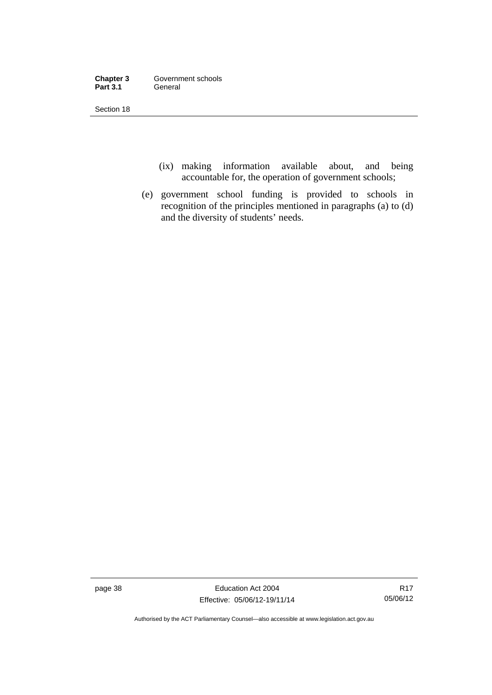| Chapter 3       | Government schools |
|-----------------|--------------------|
| <b>Part 3.1</b> | General            |

- (ix) making information available about, and being accountable for, the operation of government schools;
- (e) government school funding is provided to schools in recognition of the principles mentioned in paragraphs (a) to (d) and the diversity of students' needs.

page 38 Education Act 2004 Effective: 05/06/12-19/11/14

R17 05/06/12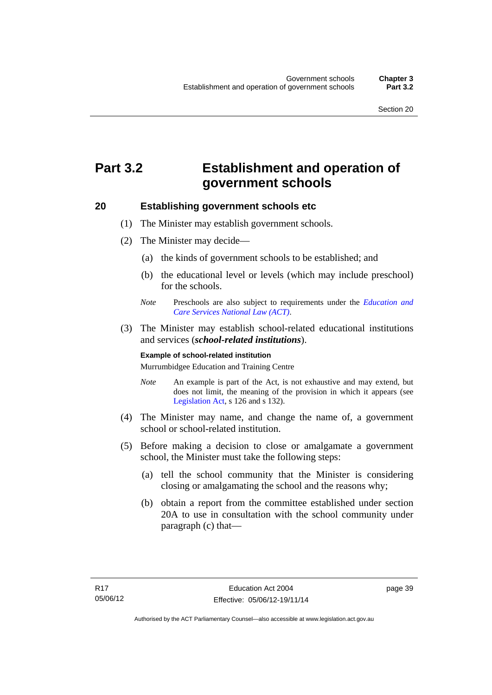# **Part 3.2 Establishment and operation of government schools**

### **20 Establishing government schools etc**

- (1) The Minister may establish government schools.
- (2) The Minister may decide—
	- (a) the kinds of government schools to be established; and
	- (b) the educational level or levels (which may include preschool) for the schools.
	- *Note* Preschools are also subject to requirements under the *[Education and](http://www.legislation.act.gov.au/a/2011-42/default.asp)  [Care Services National Law \(ACT\)](http://www.legislation.act.gov.au/a/2011-42/default.asp)*.
- (3) The Minister may establish school-related educational institutions and services (*school-related institutions*).

#### **Example of school-related institution**

Murrumbidgee Education and Training Centre

- *Note* An example is part of the Act, is not exhaustive and may extend, but does not limit, the meaning of the provision in which it appears (see [Legislation Act,](http://www.legislation.act.gov.au/a/2001-14) s 126 and s 132).
- (4) The Minister may name, and change the name of, a government school or school-related institution.
- (5) Before making a decision to close or amalgamate a government school, the Minister must take the following steps:
	- (a) tell the school community that the Minister is considering closing or amalgamating the school and the reasons why;
	- (b) obtain a report from the committee established under section 20A to use in consultation with the school community under paragraph (c) that—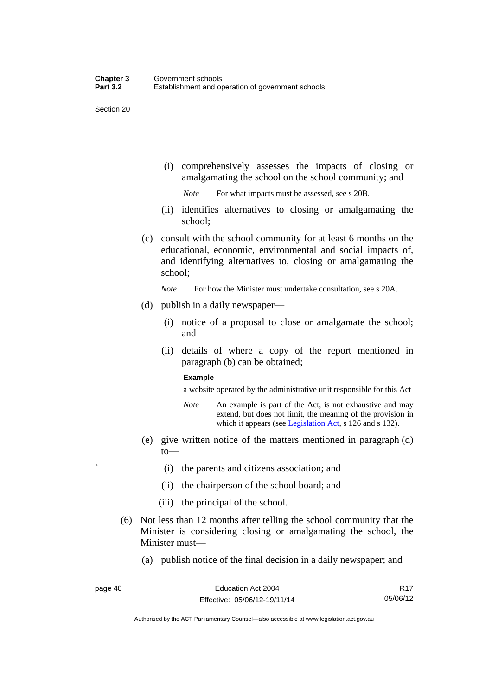(i) comprehensively assesses the impacts of closing or amalgamating the school on the school community; and

*Note* For what impacts must be assessed, see s 20B.

- (ii) identifies alternatives to closing or amalgamating the school;
- (c) consult with the school community for at least 6 months on the educational, economic, environmental and social impacts of, and identifying alternatives to, closing or amalgamating the school;

*Note* For how the Minister must undertake consultation, see s 20A.

- (d) publish in a daily newspaper—
	- (i) notice of a proposal to close or amalgamate the school; and
	- (ii) details of where a copy of the report mentioned in paragraph (b) can be obtained;

#### **Example**

a website operated by the administrative unit responsible for this Act

- *Note* An example is part of the Act, is not exhaustive and may extend, but does not limit, the meaning of the provision in which it appears (see [Legislation Act,](http://www.legislation.act.gov.au/a/2001-14) s 126 and s 132).
- (e) give written notice of the matters mentioned in paragraph (d) to—
	- ` (i) the parents and citizens association; and
	- (ii) the chairperson of the school board; and
	- (iii) the principal of the school.
- (6) Not less than 12 months after telling the school community that the Minister is considering closing or amalgamating the school, the Minister must—
	- (a) publish notice of the final decision in a daily newspaper; and

R17 05/06/12

Authorised by the ACT Parliamentary Counsel—also accessible at www.legislation.act.gov.au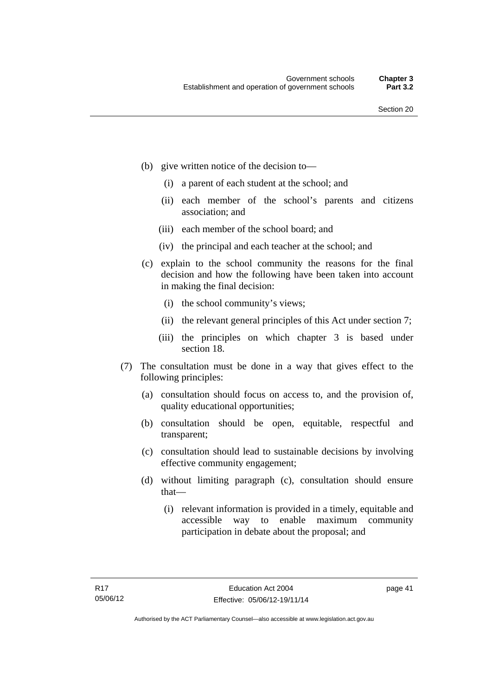- (b) give written notice of the decision to—
	- (i) a parent of each student at the school; and
	- (ii) each member of the school's parents and citizens association; and
	- (iii) each member of the school board; and
	- (iv) the principal and each teacher at the school; and
- (c) explain to the school community the reasons for the final decision and how the following have been taken into account in making the final decision:
	- (i) the school community's views;
	- (ii) the relevant general principles of this Act under section 7;
	- (iii) the principles on which chapter 3 is based under section 18.
- (7) The consultation must be done in a way that gives effect to the following principles:
	- (a) consultation should focus on access to, and the provision of, quality educational opportunities;
	- (b) consultation should be open, equitable, respectful and transparent;
	- (c) consultation should lead to sustainable decisions by involving effective community engagement;
	- (d) without limiting paragraph (c), consultation should ensure that—
		- (i) relevant information is provided in a timely, equitable and accessible way to enable maximum community participation in debate about the proposal; and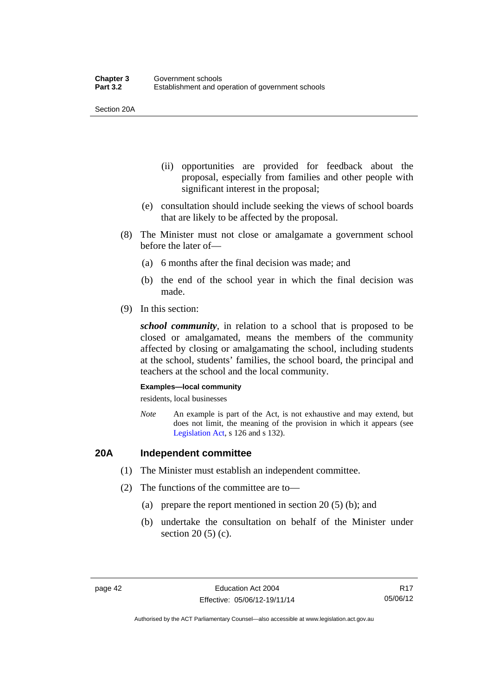Section 20A

- (ii) opportunities are provided for feedback about the proposal, especially from families and other people with significant interest in the proposal;
- (e) consultation should include seeking the views of school boards that are likely to be affected by the proposal.
- (8) The Minister must not close or amalgamate a government school before the later of—
	- (a) 6 months after the final decision was made; and
	- (b) the end of the school year in which the final decision was made.
- (9) In this section:

*school community*, in relation to a school that is proposed to be closed or amalgamated, means the members of the community affected by closing or amalgamating the school, including students at the school, students' families, the school board, the principal and teachers at the school and the local community.

#### **Examples—local community**

residents, local businesses

*Note* An example is part of the Act, is not exhaustive and may extend, but does not limit, the meaning of the provision in which it appears (see [Legislation Act,](http://www.legislation.act.gov.au/a/2001-14) s 126 and s 132).

## **20A Independent committee**

- (1) The Minister must establish an independent committee.
- (2) The functions of the committee are to—
	- (a) prepare the report mentioned in section 20 (5) (b); and
	- (b) undertake the consultation on behalf of the Minister under section 20 (5) (c).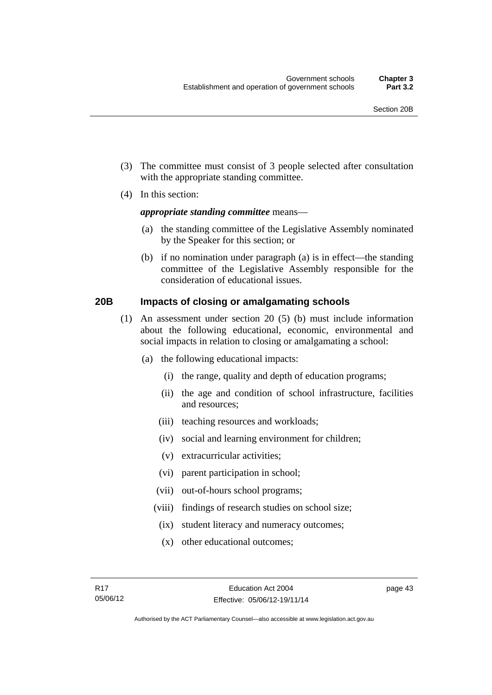- (3) The committee must consist of 3 people selected after consultation with the appropriate standing committee.
- (4) In this section:

### *appropriate standing committee* means—

- (a) the standing committee of the Legislative Assembly nominated by the Speaker for this section; or
- (b) if no nomination under paragraph (a) is in effect—the standing committee of the Legislative Assembly responsible for the consideration of educational issues.

## **20B Impacts of closing or amalgamating schools**

- (1) An assessment under section 20 (5) (b) must include information about the following educational, economic, environmental and social impacts in relation to closing or amalgamating a school:
	- (a) the following educational impacts:
		- (i) the range, quality and depth of education programs;
		- (ii) the age and condition of school infrastructure, facilities and resources;
		- (iii) teaching resources and workloads;
		- (iv) social and learning environment for children;
		- (v) extracurricular activities;
		- (vi) parent participation in school;
		- (vii) out-of-hours school programs;
		- (viii) findings of research studies on school size;
			- (ix) student literacy and numeracy outcomes;
			- (x) other educational outcomes;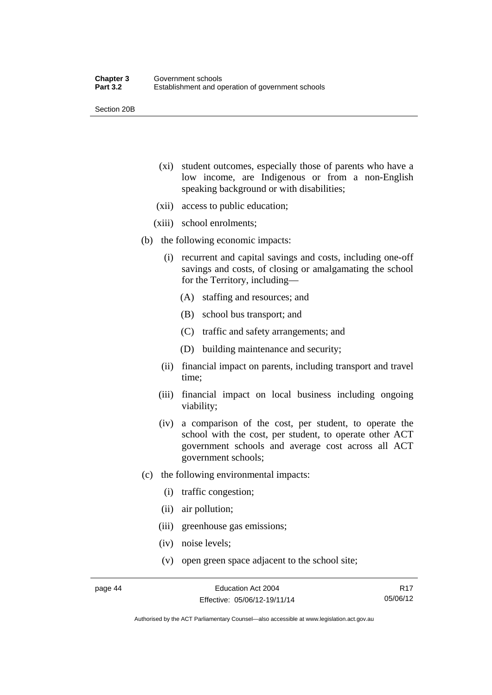Section 20B

- (xi) student outcomes, especially those of parents who have a low income, are Indigenous or from a non-English speaking background or with disabilities;
- (xii) access to public education;
- (xiii) school enrolments;
- (b) the following economic impacts:
	- (i) recurrent and capital savings and costs, including one-off savings and costs, of closing or amalgamating the school for the Territory, including—
		- (A) staffing and resources; and
		- (B) school bus transport; and
		- (C) traffic and safety arrangements; and
		- (D) building maintenance and security;
	- (ii) financial impact on parents, including transport and travel time;
	- (iii) financial impact on local business including ongoing viability;
	- (iv) a comparison of the cost, per student, to operate the school with the cost, per student, to operate other ACT government schools and average cost across all ACT government schools;
- (c) the following environmental impacts:
	- (i) traffic congestion;
	- (ii) air pollution;
	- (iii) greenhouse gas emissions;
	- (iv) noise levels;
	- (v) open green space adjacent to the school site;

R17 05/06/12

Authorised by the ACT Parliamentary Counsel—also accessible at www.legislation.act.gov.au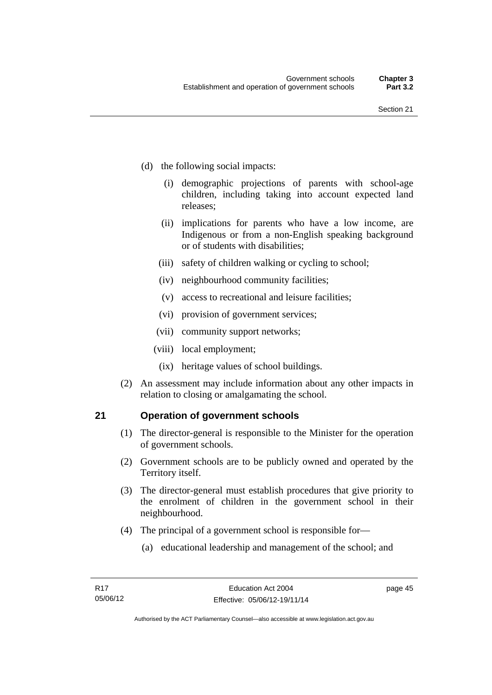- (d) the following social impacts:
	- (i) demographic projections of parents with school-age children, including taking into account expected land releases;
	- (ii) implications for parents who have a low income, are Indigenous or from a non-English speaking background or of students with disabilities;
	- (iii) safety of children walking or cycling to school;
	- (iv) neighbourhood community facilities;
	- (v) access to recreational and leisure facilities;
	- (vi) provision of government services;
	- (vii) community support networks;
	- (viii) local employment;
		- (ix) heritage values of school buildings.
- (2) An assessment may include information about any other impacts in relation to closing or amalgamating the school.

## **21 Operation of government schools**

- (1) The director-general is responsible to the Minister for the operation of government schools.
- (2) Government schools are to be publicly owned and operated by the Territory itself.
- (3) The director-general must establish procedures that give priority to the enrolment of children in the government school in their neighbourhood.
- (4) The principal of a government school is responsible for—
	- (a) educational leadership and management of the school; and

page 45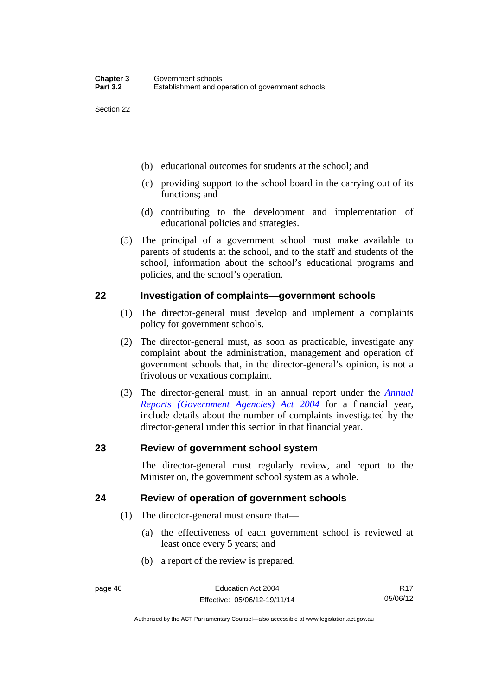- (b) educational outcomes for students at the school; and
- (c) providing support to the school board in the carrying out of its functions; and
- (d) contributing to the development and implementation of educational policies and strategies.
- (5) The principal of a government school must make available to parents of students at the school, and to the staff and students of the school, information about the school's educational programs and policies, and the school's operation.

## **22 Investigation of complaints—government schools**

- (1) The director-general must develop and implement a complaints policy for government schools.
- (2) The director-general must, as soon as practicable, investigate any complaint about the administration, management and operation of government schools that, in the director-general's opinion, is not a frivolous or vexatious complaint.
- (3) The director-general must, in an annual report under the *[Annual](http://www.legislation.act.gov.au/a/2004-8)  [Reports \(Government Agencies\) Act 2004](http://www.legislation.act.gov.au/a/2004-8)* for a financial year, include details about the number of complaints investigated by the director-general under this section in that financial year.

## **23 Review of government school system**

The director-general must regularly review, and report to the Minister on, the government school system as a whole.

# **24 Review of operation of government schools**

- (1) The director-general must ensure that—
	- (a) the effectiveness of each government school is reviewed at least once every 5 years; and
	- (b) a report of the review is prepared.

R17 05/06/12

Authorised by the ACT Parliamentary Counsel—also accessible at www.legislation.act.gov.au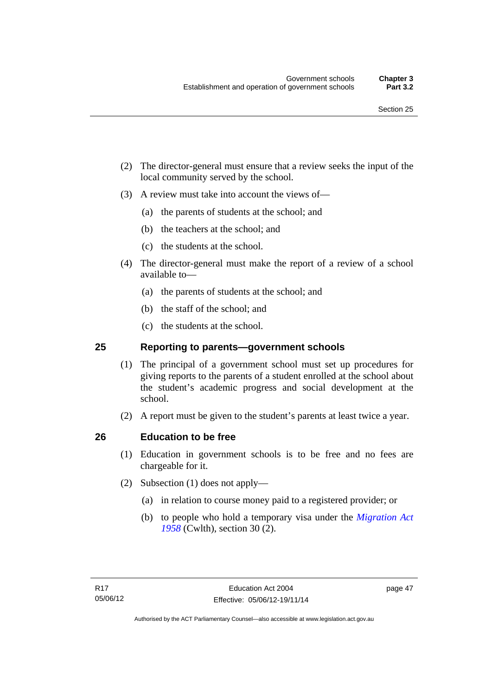- (2) The director-general must ensure that a review seeks the input of the local community served by the school.
- (3) A review must take into account the views of—
	- (a) the parents of students at the school; and
	- (b) the teachers at the school; and
	- (c) the students at the school.
- (4) The director-general must make the report of a review of a school available to—
	- (a) the parents of students at the school; and
	- (b) the staff of the school; and
	- (c) the students at the school.

### **25 Reporting to parents—government schools**

- (1) The principal of a government school must set up procedures for giving reports to the parents of a student enrolled at the school about the student's academic progress and social development at the school.
- (2) A report must be given to the student's parents at least twice a year.

## **26 Education to be free**

- (1) Education in government schools is to be free and no fees are chargeable for it.
- (2) Subsection (1) does not apply—
	- (a) in relation to course money paid to a registered provider; or
	- (b) to people who hold a temporary visa under the *[Migration Act](http://www.comlaw.gov.au/Series/C1958A00062)  [1958](http://www.comlaw.gov.au/Series/C1958A00062)* (Cwlth), section 30 (2).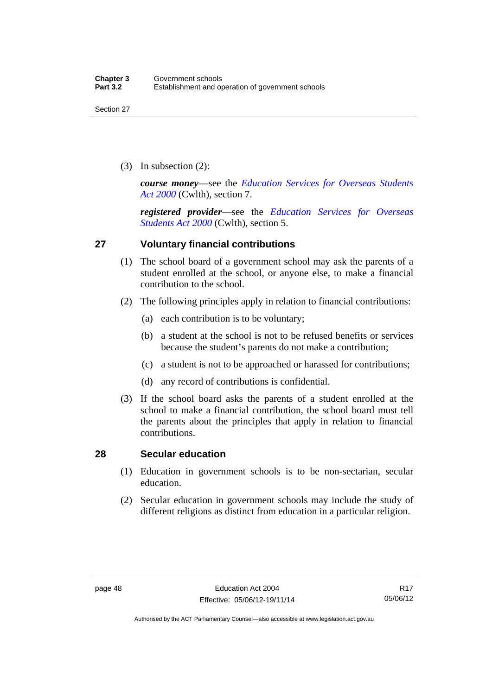(3) In subsection (2):

*course money*—see the *[Education Services for Overseas Students](http://www.comlaw.gov.au/Series/C2004A00757)  [Act 2000](http://www.comlaw.gov.au/Series/C2004A00757)* (Cwlth), section 7.

*registered provider*—see the *[Education Services for Overseas](http://www.comlaw.gov.au/Series/C2004A00757)  [Students Act 2000](http://www.comlaw.gov.au/Series/C2004A00757)* (Cwlth), section 5.

# **27 Voluntary financial contributions**

- (1) The school board of a government school may ask the parents of a student enrolled at the school, or anyone else, to make a financial contribution to the school.
- (2) The following principles apply in relation to financial contributions:
	- (a) each contribution is to be voluntary;
	- (b) a student at the school is not to be refused benefits or services because the student's parents do not make a contribution;
	- (c) a student is not to be approached or harassed for contributions;
	- (d) any record of contributions is confidential.
- (3) If the school board asks the parents of a student enrolled at the school to make a financial contribution, the school board must tell the parents about the principles that apply in relation to financial contributions.

## **28 Secular education**

- (1) Education in government schools is to be non-sectarian, secular education.
- (2) Secular education in government schools may include the study of different religions as distinct from education in a particular religion.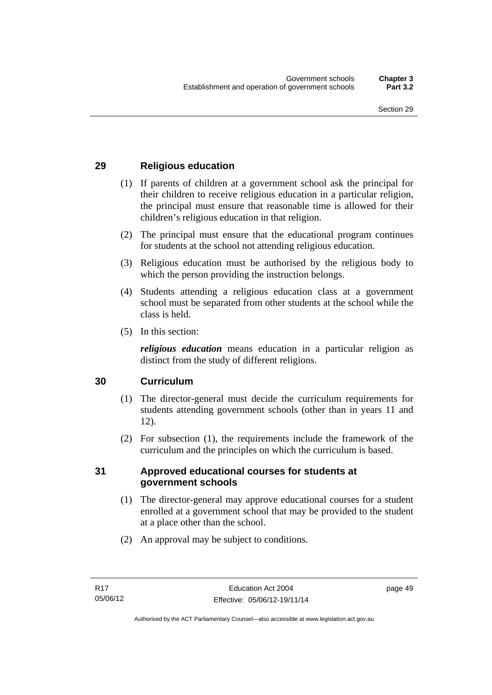# **29 Religious education**

- (1) If parents of children at a government school ask the principal for their children to receive religious education in a particular religion, the principal must ensure that reasonable time is allowed for their children's religious education in that religion.
- (2) The principal must ensure that the educational program continues for students at the school not attending religious education.
- (3) Religious education must be authorised by the religious body to which the person providing the instruction belongs.
- (4) Students attending a religious education class at a government school must be separated from other students at the school while the class is held.
- (5) In this section:

*religious education* means education in a particular religion as distinct from the study of different religions.

# **30 Curriculum**

- (1) The director-general must decide the curriculum requirements for students attending government schools (other than in years 11 and 12).
- (2) For subsection (1), the requirements include the framework of the curriculum and the principles on which the curriculum is based.

## **31 Approved educational courses for students at government schools**

- (1) The director-general may approve educational courses for a student enrolled at a government school that may be provided to the student at a place other than the school.
- (2) An approval may be subject to conditions.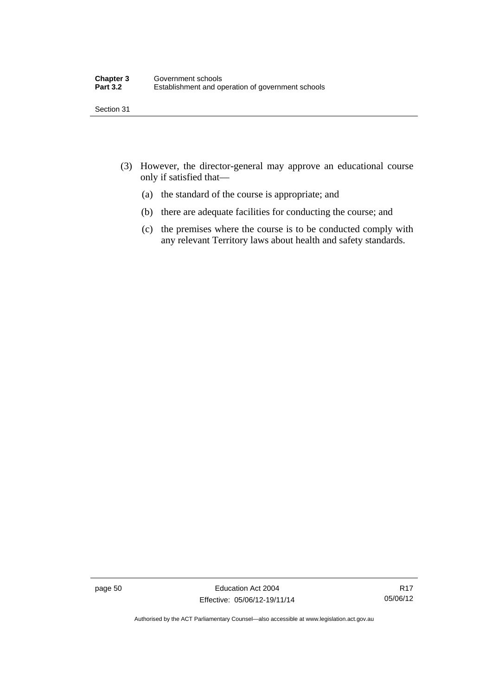- (3) However, the director-general may approve an educational course only if satisfied that—
	- (a) the standard of the course is appropriate; and
	- (b) there are adequate facilities for conducting the course; and
	- (c) the premises where the course is to be conducted comply with any relevant Territory laws about health and safety standards.

page 50 Education Act 2004 Effective: 05/06/12-19/11/14

R17 05/06/12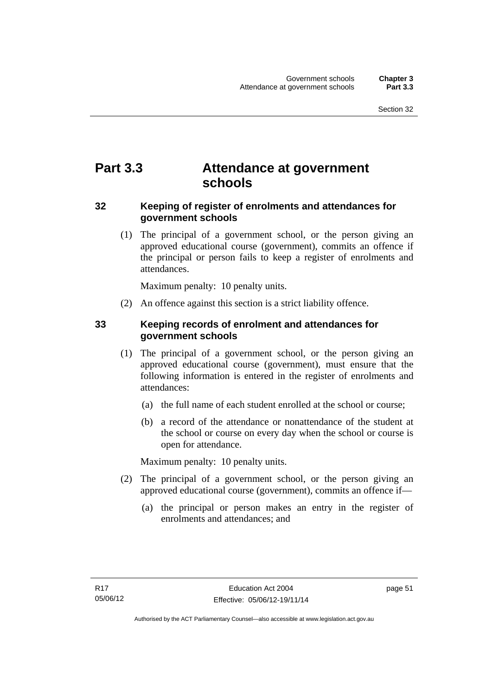# **Part 3.3 Attendance at government schools**

# **32 Keeping of register of enrolments and attendances for government schools**

 (1) The principal of a government school, or the person giving an approved educational course (government), commits an offence if the principal or person fails to keep a register of enrolments and attendances.

Maximum penalty: 10 penalty units.

(2) An offence against this section is a strict liability offence.

# **33 Keeping records of enrolment and attendances for government schools**

- (1) The principal of a government school, or the person giving an approved educational course (government), must ensure that the following information is entered in the register of enrolments and attendances:
	- (a) the full name of each student enrolled at the school or course;
	- (b) a record of the attendance or nonattendance of the student at the school or course on every day when the school or course is open for attendance.

Maximum penalty: 10 penalty units.

- (2) The principal of a government school, or the person giving an approved educational course (government), commits an offence if—
	- (a) the principal or person makes an entry in the register of enrolments and attendances; and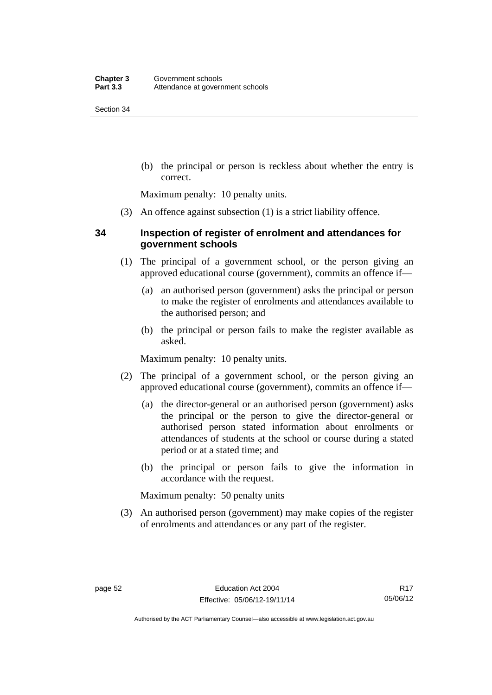(b) the principal or person is reckless about whether the entry is correct.

Maximum penalty: 10 penalty units.

(3) An offence against subsection (1) is a strict liability offence.

# **34 Inspection of register of enrolment and attendances for government schools**

- (1) The principal of a government school, or the person giving an approved educational course (government), commits an offence if—
	- (a) an authorised person (government) asks the principal or person to make the register of enrolments and attendances available to the authorised person; and
	- (b) the principal or person fails to make the register available as asked.

Maximum penalty: 10 penalty units.

- (2) The principal of a government school, or the person giving an approved educational course (government), commits an offence if—
	- (a) the director-general or an authorised person (government) asks the principal or the person to give the director-general or authorised person stated information about enrolments or attendances of students at the school or course during a stated period or at a stated time; and
	- (b) the principal or person fails to give the information in accordance with the request.

Maximum penalty: 50 penalty units

 (3) An authorised person (government) may make copies of the register of enrolments and attendances or any part of the register.

Authorised by the ACT Parliamentary Counsel—also accessible at www.legislation.act.gov.au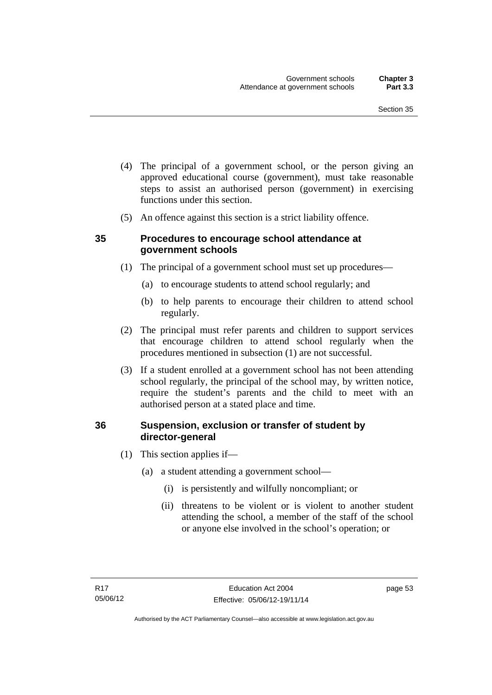- (4) The principal of a government school, or the person giving an approved educational course (government), must take reasonable steps to assist an authorised person (government) in exercising functions under this section.
- (5) An offence against this section is a strict liability offence.

## **35 Procedures to encourage school attendance at government schools**

- (1) The principal of a government school must set up procedures—
	- (a) to encourage students to attend school regularly; and
	- (b) to help parents to encourage their children to attend school regularly.
- (2) The principal must refer parents and children to support services that encourage children to attend school regularly when the procedures mentioned in subsection (1) are not successful.
- (3) If a student enrolled at a government school has not been attending school regularly, the principal of the school may, by written notice, require the student's parents and the child to meet with an authorised person at a stated place and time.

# **36 Suspension, exclusion or transfer of student by director-general**

- (1) This section applies if—
	- (a) a student attending a government school—
		- (i) is persistently and wilfully noncompliant; or
		- (ii) threatens to be violent or is violent to another student attending the school, a member of the staff of the school or anyone else involved in the school's operation; or

page 53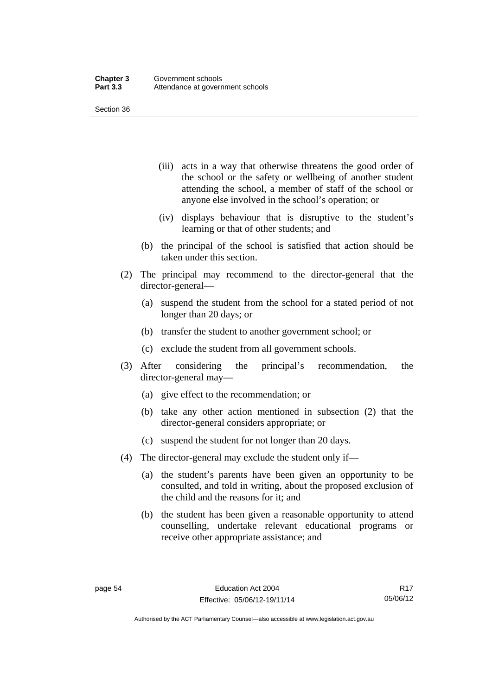- (iii) acts in a way that otherwise threatens the good order of the school or the safety or wellbeing of another student attending the school, a member of staff of the school or anyone else involved in the school's operation; or
- (iv) displays behaviour that is disruptive to the student's learning or that of other students; and
- (b) the principal of the school is satisfied that action should be taken under this section.
- (2) The principal may recommend to the director-general that the director-general—
	- (a) suspend the student from the school for a stated period of not longer than 20 days; or
	- (b) transfer the student to another government school; or
	- (c) exclude the student from all government schools.
- (3) After considering the principal's recommendation, the director-general may—
	- (a) give effect to the recommendation; or
	- (b) take any other action mentioned in subsection (2) that the director-general considers appropriate; or
	- (c) suspend the student for not longer than 20 days.
- (4) The director-general may exclude the student only if—
	- (a) the student's parents have been given an opportunity to be consulted, and told in writing, about the proposed exclusion of the child and the reasons for it; and
	- (b) the student has been given a reasonable opportunity to attend counselling, undertake relevant educational programs or receive other appropriate assistance; and

R17 05/06/12

Authorised by the ACT Parliamentary Counsel—also accessible at www.legislation.act.gov.au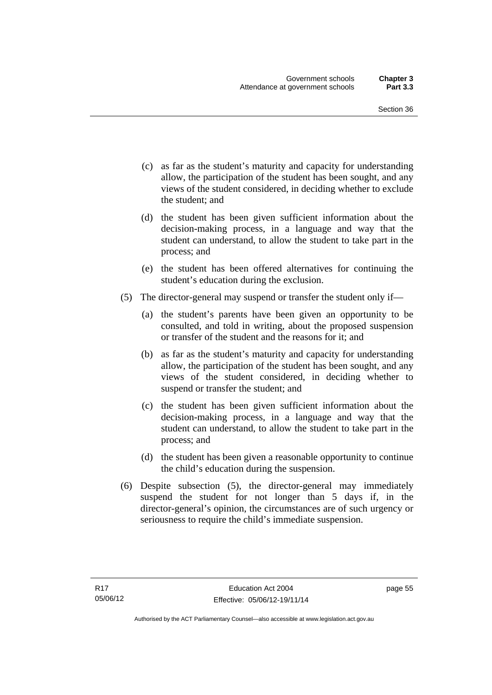- (c) as far as the student's maturity and capacity for understanding allow, the participation of the student has been sought, and any views of the student considered, in deciding whether to exclude the student; and
- (d) the student has been given sufficient information about the decision-making process, in a language and way that the student can understand, to allow the student to take part in the process; and
- (e) the student has been offered alternatives for continuing the student's education during the exclusion.
- (5) The director-general may suspend or transfer the student only if—
	- (a) the student's parents have been given an opportunity to be consulted, and told in writing, about the proposed suspension or transfer of the student and the reasons for it; and
	- (b) as far as the student's maturity and capacity for understanding allow, the participation of the student has been sought, and any views of the student considered, in deciding whether to suspend or transfer the student; and
	- (c) the student has been given sufficient information about the decision-making process, in a language and way that the student can understand, to allow the student to take part in the process; and
	- (d) the student has been given a reasonable opportunity to continue the child's education during the suspension.
- (6) Despite subsection (5), the director-general may immediately suspend the student for not longer than 5 days if, in the director-general's opinion, the circumstances are of such urgency or seriousness to require the child's immediate suspension.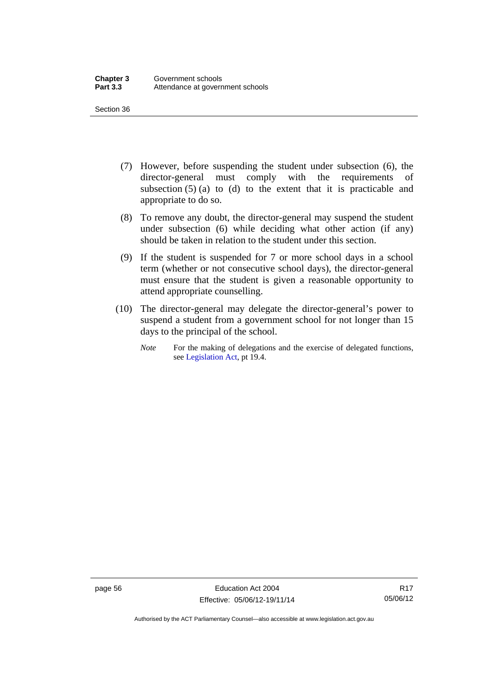- (7) However, before suspending the student under subsection (6), the director-general must comply with the requirements of subsection  $(5)$  (a) to (d) to the extent that it is practicable and appropriate to do so.
- (8) To remove any doubt, the director-general may suspend the student under subsection (6) while deciding what other action (if any) should be taken in relation to the student under this section.
- (9) If the student is suspended for 7 or more school days in a school term (whether or not consecutive school days), the director-general must ensure that the student is given a reasonable opportunity to attend appropriate counselling.
- (10) The director-general may delegate the director-general's power to suspend a student from a government school for not longer than 15 days to the principal of the school.
	- *Note* For the making of delegations and the exercise of delegated functions, see [Legislation Act](http://www.legislation.act.gov.au/a/2001-14), pt 19.4.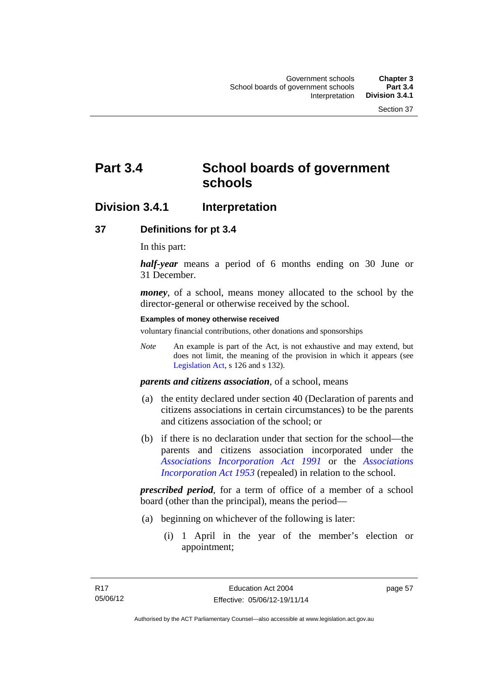# **Part 3.4 School boards of government schools**

# **Division 3.4.1 Interpretation**

### **37 Definitions for pt 3.4**

In this part:

*half-year* means a period of 6 months ending on 30 June or 31 December.

*money*, of a school, means money allocated to the school by the director-general or otherwise received by the school.

#### **Examples of money otherwise received**

voluntary financial contributions, other donations and sponsorships

*Note* An example is part of the Act, is not exhaustive and may extend, but does not limit, the meaning of the provision in which it appears (see [Legislation Act,](http://www.legislation.act.gov.au/a/2001-14) s 126 and s 132).

*parents and citizens association*, of a school, means

- (a) the entity declared under section 40 (Declaration of parents and citizens associations in certain circumstances) to be the parents and citizens association of the school; or
- (b) if there is no declaration under that section for the school—the parents and citizens association incorporated under the *[Associations Incorporation Act 1991](http://www.legislation.act.gov.au/a/1991-46)* or the *[Associations](http://www.legislation.act.gov.au/a/1953-15)  [Incorporation Act 1953](http://www.legislation.act.gov.au/a/1953-15)* (repealed) in relation to the school.

*prescribed period*, for a term of office of a member of a school board (other than the principal), means the period—

- (a) beginning on whichever of the following is later:
	- (i) 1 April in the year of the member's election or appointment;

page 57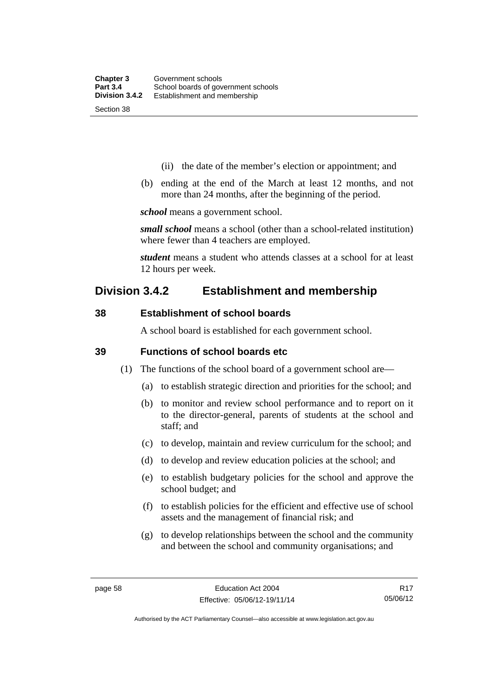- (ii) the date of the member's election or appointment; and
- (b) ending at the end of the March at least 12 months, and not more than 24 months, after the beginning of the period.

*school* means a government school.

*small school* means a school (other than a school-related institution) where fewer than 4 teachers are employed.

*student* means a student who attends classes at a school for at least 12 hours per week.

# **Division 3.4.2 Establishment and membership**

## **38 Establishment of school boards**

A school board is established for each government school.

### **39 Functions of school boards etc**

- (1) The functions of the school board of a government school are—
	- (a) to establish strategic direction and priorities for the school; and
	- (b) to monitor and review school performance and to report on it to the director-general, parents of students at the school and staff; and
	- (c) to develop, maintain and review curriculum for the school; and
	- (d) to develop and review education policies at the school; and
	- (e) to establish budgetary policies for the school and approve the school budget; and
	- (f) to establish policies for the efficient and effective use of school assets and the management of financial risk; and
	- (g) to develop relationships between the school and the community and between the school and community organisations; and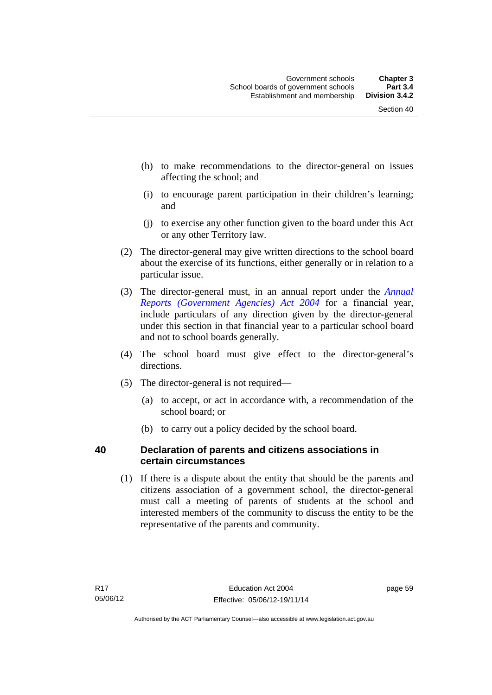- (h) to make recommendations to the director-general on issues affecting the school; and
- (i) to encourage parent participation in their children's learning; and
- (j) to exercise any other function given to the board under this Act or any other Territory law.
- (2) The director-general may give written directions to the school board about the exercise of its functions, either generally or in relation to a particular issue.
- (3) The director-general must, in an annual report under the *[Annual](http://www.legislation.act.gov.au/a/2004-8)  [Reports \(Government Agencies\) Act 2004](http://www.legislation.act.gov.au/a/2004-8)* for a financial year, include particulars of any direction given by the director-general under this section in that financial year to a particular school board and not to school boards generally.
- (4) The school board must give effect to the director-general's directions.
- (5) The director-general is not required—
	- (a) to accept, or act in accordance with, a recommendation of the school board; or
	- (b) to carry out a policy decided by the school board.

# **40 Declaration of parents and citizens associations in certain circumstances**

 (1) If there is a dispute about the entity that should be the parents and citizens association of a government school, the director-general must call a meeting of parents of students at the school and interested members of the community to discuss the entity to be the representative of the parents and community.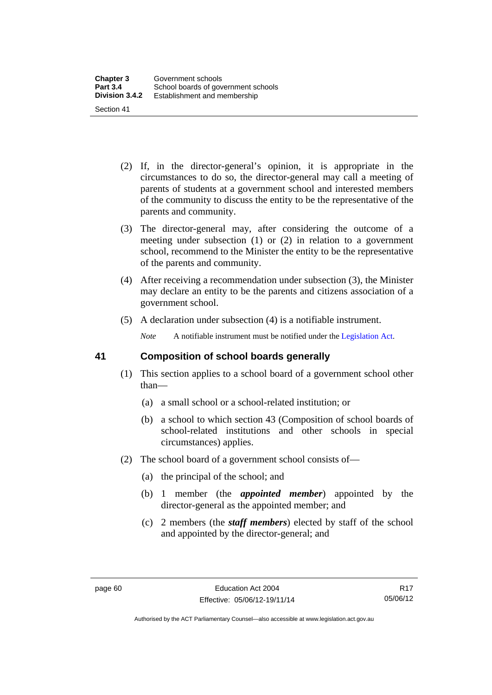- (2) If, in the director-general's opinion, it is appropriate in the circumstances to do so, the director-general may call a meeting of parents of students at a government school and interested members of the community to discuss the entity to be the representative of the parents and community.
- (3) The director-general may, after considering the outcome of a meeting under subsection (1) or (2) in relation to a government school, recommend to the Minister the entity to be the representative of the parents and community.
- (4) After receiving a recommendation under subsection (3), the Minister may declare an entity to be the parents and citizens association of a government school.
- (5) A declaration under subsection (4) is a notifiable instrument.

*Note* A notifiable instrument must be notified under the [Legislation Act](http://www.legislation.act.gov.au/a/2001-14).

## **41 Composition of school boards generally**

- (1) This section applies to a school board of a government school other than—
	- (a) a small school or a school-related institution; or
	- (b) a school to which section 43 (Composition of school boards of school-related institutions and other schools in special circumstances) applies.
- (2) The school board of a government school consists of—
	- (a) the principal of the school; and
	- (b) 1 member (the *appointed member*) appointed by the director-general as the appointed member; and
	- (c) 2 members (the *staff members*) elected by staff of the school and appointed by the director-general; and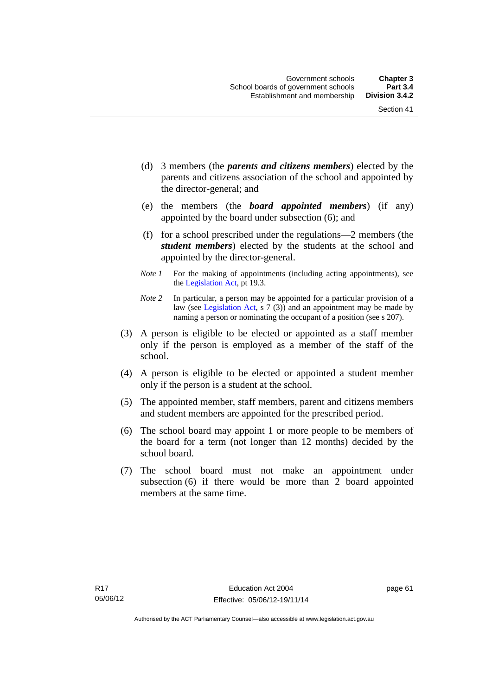- (d) 3 members (the *parents and citizens members*) elected by the parents and citizens association of the school and appointed by the director-general; and
- (e) the members (the *board appointed members*) (if any) appointed by the board under subsection (6); and
- (f) for a school prescribed under the regulations—2 members (the *student members*) elected by the students at the school and appointed by the director-general.
- *Note 1* For the making of appointments (including acting appointments), see the [Legislation Act,](http://www.legislation.act.gov.au/a/2001-14) pt 19.3.
- *Note 2* In particular, a person may be appointed for a particular provision of a law (see [Legislation Act,](http://www.legislation.act.gov.au/a/2001-14) s 7 (3)) and an appointment may be made by naming a person or nominating the occupant of a position (see s 207).
- (3) A person is eligible to be elected or appointed as a staff member only if the person is employed as a member of the staff of the school.
- (4) A person is eligible to be elected or appointed a student member only if the person is a student at the school.
- (5) The appointed member, staff members, parent and citizens members and student members are appointed for the prescribed period.
- (6) The school board may appoint 1 or more people to be members of the board for a term (not longer than 12 months) decided by the school board.
- (7) The school board must not make an appointment under subsection (6) if there would be more than 2 board appointed members at the same time.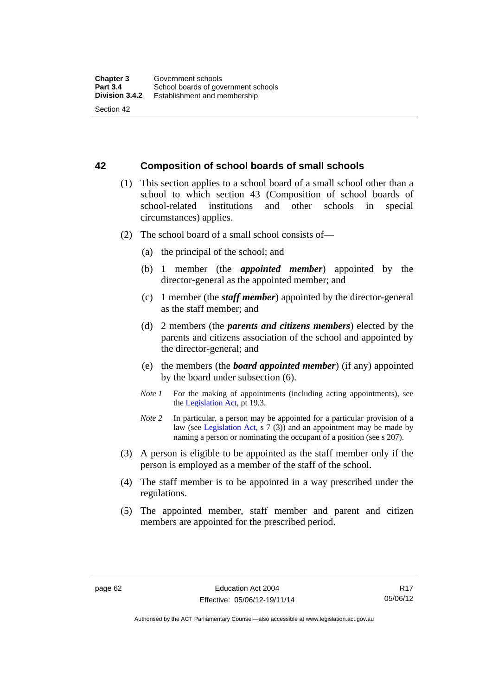#### **42 Composition of school boards of small schools**

- (1) This section applies to a school board of a small school other than a school to which section 43 (Composition of school boards of school-related institutions and other schools in special circumstances) applies.
- (2) The school board of a small school consists of—
	- (a) the principal of the school; and
	- (b) 1 member (the *appointed member*) appointed by the director-general as the appointed member; and
	- (c) 1 member (the *staff member*) appointed by the director-general as the staff member; and
	- (d) 2 members (the *parents and citizens members*) elected by the parents and citizens association of the school and appointed by the director-general; and
	- (e) the members (the *board appointed member*) (if any) appointed by the board under subsection (6).
	- *Note 1* For the making of appointments (including acting appointments), see the [Legislation Act,](http://www.legislation.act.gov.au/a/2001-14) pt 19.3.
	- *Note* 2 In particular, a person may be appointed for a particular provision of a law (see [Legislation Act,](http://www.legislation.act.gov.au/a/2001-14) s 7 (3)) and an appointment may be made by naming a person or nominating the occupant of a position (see s 207).
- (3) A person is eligible to be appointed as the staff member only if the person is employed as a member of the staff of the school.
- (4) The staff member is to be appointed in a way prescribed under the regulations.
- (5) The appointed member, staff member and parent and citizen members are appointed for the prescribed period.

Authorised by the ACT Parliamentary Counsel—also accessible at www.legislation.act.gov.au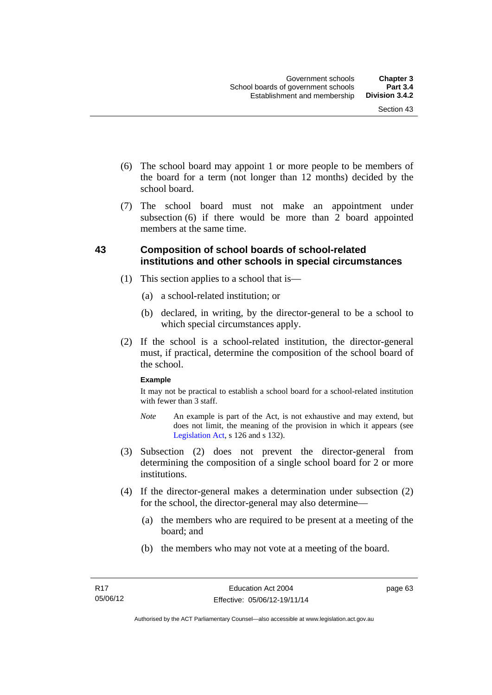- (6) The school board may appoint 1 or more people to be members of the board for a term (not longer than 12 months) decided by the school board.
- (7) The school board must not make an appointment under subsection  $(6)$  if there would be more than  $2$  board appointed members at the same time.

### **43 Composition of school boards of school-related institutions and other schools in special circumstances**

- (1) This section applies to a school that is—
	- (a) a school-related institution; or
	- (b) declared, in writing, by the director-general to be a school to which special circumstances apply.
- (2) If the school is a school-related institution, the director-general must, if practical, determine the composition of the school board of the school.

#### **Example**

It may not be practical to establish a school board for a school-related institution with fewer than 3 staff.

- *Note* An example is part of the Act, is not exhaustive and may extend, but does not limit, the meaning of the provision in which it appears (see [Legislation Act,](http://www.legislation.act.gov.au/a/2001-14) s 126 and s 132).
- (3) Subsection (2) does not prevent the director-general from determining the composition of a single school board for 2 or more institutions.
- (4) If the director-general makes a determination under subsection (2) for the school, the director-general may also determine—
	- (a) the members who are required to be present at a meeting of the board; and
	- (b) the members who may not vote at a meeting of the board.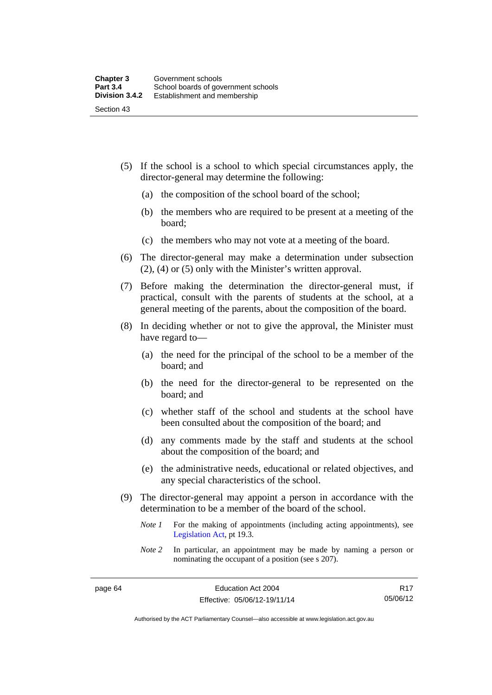- (5) If the school is a school to which special circumstances apply, the director-general may determine the following:
	- (a) the composition of the school board of the school;
	- (b) the members who are required to be present at a meeting of the board;
	- (c) the members who may not vote at a meeting of the board.
- (6) The director-general may make a determination under subsection (2), (4) or (5) only with the Minister's written approval.
- (7) Before making the determination the director-general must, if practical, consult with the parents of students at the school, at a general meeting of the parents, about the composition of the board.
- (8) In deciding whether or not to give the approval, the Minister must have regard to—
	- (a) the need for the principal of the school to be a member of the board; and
	- (b) the need for the director-general to be represented on the board; and
	- (c) whether staff of the school and students at the school have been consulted about the composition of the board; and
	- (d) any comments made by the staff and students at the school about the composition of the board; and
	- (e) the administrative needs, educational or related objectives, and any special characteristics of the school.
- (9) The director-general may appoint a person in accordance with the determination to be a member of the board of the school.
	- *Note 1* For the making of appointments (including acting appointments), see [Legislation Act,](http://www.legislation.act.gov.au/a/2001-14) pt 19.3.
	- *Note 2* In particular, an appointment may be made by naming a person or nominating the occupant of a position (see s 207).

Authorised by the ACT Parliamentary Counsel—also accessible at www.legislation.act.gov.au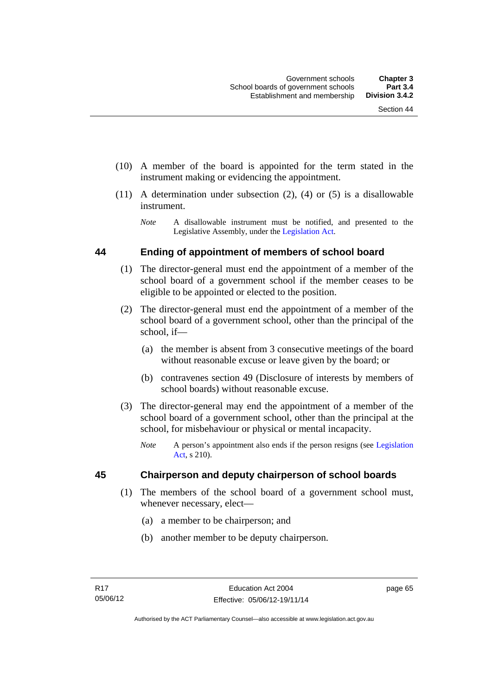- (10) A member of the board is appointed for the term stated in the instrument making or evidencing the appointment.
- (11) A determination under subsection (2), (4) or (5) is a disallowable instrument.
	- *Note* A disallowable instrument must be notified, and presented to the Legislative Assembly, under the [Legislation Act.](http://www.legislation.act.gov.au/a/2001-14)

#### **44 Ending of appointment of members of school board**

- (1) The director-general must end the appointment of a member of the school board of a government school if the member ceases to be eligible to be appointed or elected to the position.
- (2) The director-general must end the appointment of a member of the school board of a government school, other than the principal of the school, if—
	- (a) the member is absent from 3 consecutive meetings of the board without reasonable excuse or leave given by the board; or
	- (b) contravenes section 49 (Disclosure of interests by members of school boards) without reasonable excuse.
- (3) The director-general may end the appointment of a member of the school board of a government school, other than the principal at the school, for misbehaviour or physical or mental incapacity.
	- *Note* A person's appointment also ends if the person resigns (see [Legislation](http://www.legislation.act.gov.au/a/2001-14)  [Act](http://www.legislation.act.gov.au/a/2001-14), s 210).

#### **45 Chairperson and deputy chairperson of school boards**

- (1) The members of the school board of a government school must, whenever necessary, elect—
	- (a) a member to be chairperson; and
	- (b) another member to be deputy chairperson.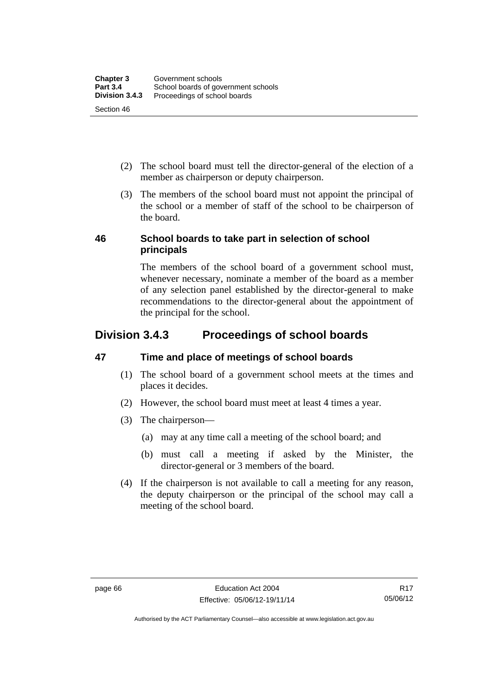- (2) The school board must tell the director-general of the election of a member as chairperson or deputy chairperson.
- (3) The members of the school board must not appoint the principal of the school or a member of staff of the school to be chairperson of the board.

### **46 School boards to take part in selection of school principals**

The members of the school board of a government school must, whenever necessary, nominate a member of the board as a member of any selection panel established by the director-general to make recommendations to the director-general about the appointment of the principal for the school.

# **Division 3.4.3 Proceedings of school boards**

# **47 Time and place of meetings of school boards**

- (1) The school board of a government school meets at the times and places it decides.
- (2) However, the school board must meet at least 4 times a year.
- (3) The chairperson—
	- (a) may at any time call a meeting of the school board; and
	- (b) must call a meeting if asked by the Minister, the director-general or 3 members of the board.
- (4) If the chairperson is not available to call a meeting for any reason, the deputy chairperson or the principal of the school may call a meeting of the school board.

Authorised by the ACT Parliamentary Counsel—also accessible at www.legislation.act.gov.au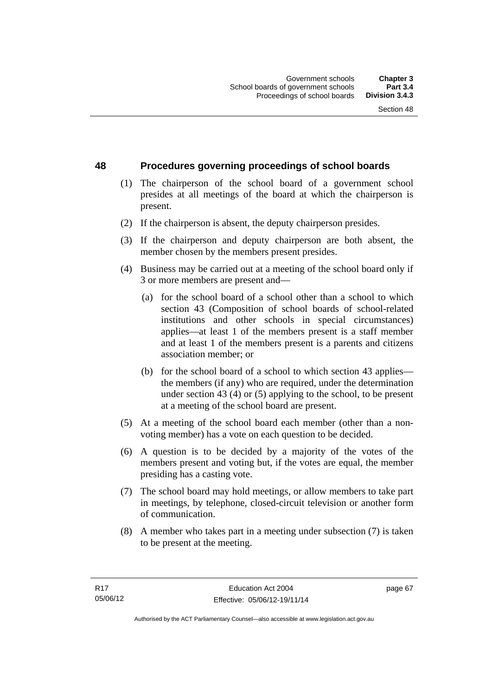### **48 Procedures governing proceedings of school boards**

- (1) The chairperson of the school board of a government school presides at all meetings of the board at which the chairperson is present.
- (2) If the chairperson is absent, the deputy chairperson presides.
- (3) If the chairperson and deputy chairperson are both absent, the member chosen by the members present presides.
- (4) Business may be carried out at a meeting of the school board only if 3 or more members are present and—
	- (a) for the school board of a school other than a school to which section 43 (Composition of school boards of school-related institutions and other schools in special circumstances) applies—at least 1 of the members present is a staff member and at least 1 of the members present is a parents and citizens association member; or
	- (b) for the school board of a school to which section 43 applies the members (if any) who are required, under the determination under section 43 (4) or (5) applying to the school, to be present at a meeting of the school board are present.
- (5) At a meeting of the school board each member (other than a nonvoting member) has a vote on each question to be decided.
- (6) A question is to be decided by a majority of the votes of the members present and voting but, if the votes are equal, the member presiding has a casting vote.
- (7) The school board may hold meetings, or allow members to take part in meetings, by telephone, closed-circuit television or another form of communication.
- (8) A member who takes part in a meeting under subsection (7) is taken to be present at the meeting.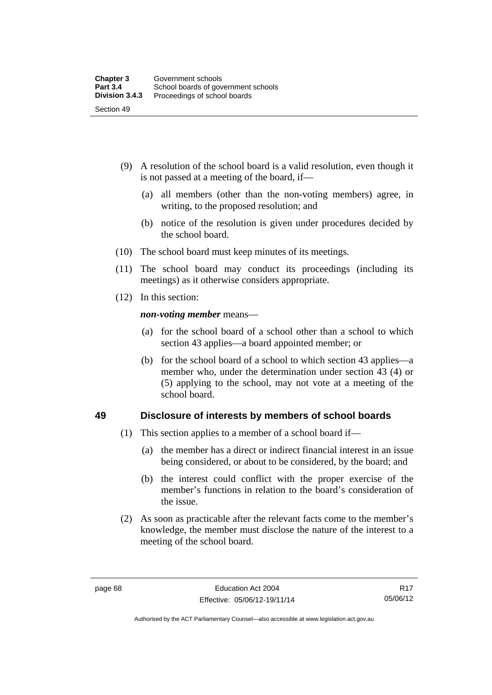- (9) A resolution of the school board is a valid resolution, even though it is not passed at a meeting of the board, if—
	- (a) all members (other than the non-voting members) agree, in writing, to the proposed resolution; and
	- (b) notice of the resolution is given under procedures decided by the school board.
- (10) The school board must keep minutes of its meetings.
- (11) The school board may conduct its proceedings (including its meetings) as it otherwise considers appropriate.
- (12) In this section:

*non-voting member* means—

- (a) for the school board of a school other than a school to which section 43 applies—a board appointed member; or
- (b) for the school board of a school to which section 43 applies—a member who, under the determination under section 43 (4) or (5) applying to the school, may not vote at a meeting of the school board.

#### **49 Disclosure of interests by members of school boards**

- (1) This section applies to a member of a school board if—
	- (a) the member has a direct or indirect financial interest in an issue being considered, or about to be considered, by the board; and
	- (b) the interest could conflict with the proper exercise of the member's functions in relation to the board's consideration of the issue.
- (2) As soon as practicable after the relevant facts come to the member's knowledge, the member must disclose the nature of the interest to a meeting of the school board.

Authorised by the ACT Parliamentary Counsel—also accessible at www.legislation.act.gov.au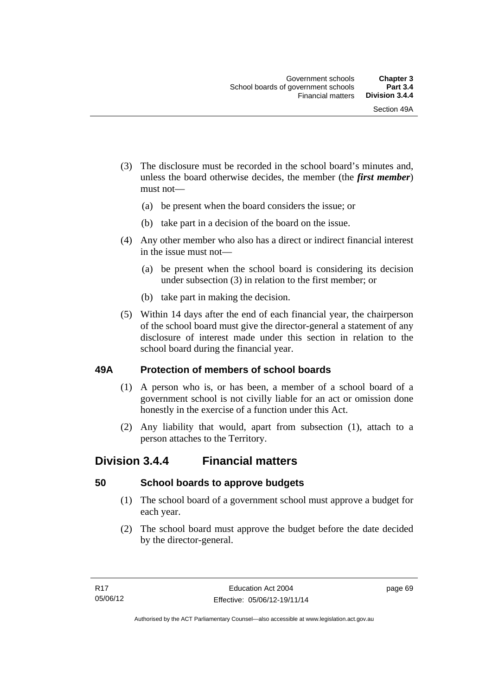- (3) The disclosure must be recorded in the school board's minutes and, unless the board otherwise decides, the member (the *first member*) must not—
	- (a) be present when the board considers the issue; or
	- (b) take part in a decision of the board on the issue.
- (4) Any other member who also has a direct or indirect financial interest in the issue must not—
	- (a) be present when the school board is considering its decision under subsection (3) in relation to the first member; or
	- (b) take part in making the decision.
- (5) Within 14 days after the end of each financial year, the chairperson of the school board must give the director-general a statement of any disclosure of interest made under this section in relation to the school board during the financial year.

#### **49A Protection of members of school boards**

- (1) A person who is, or has been, a member of a school board of a government school is not civilly liable for an act or omission done honestly in the exercise of a function under this Act.
- (2) Any liability that would, apart from subsection (1), attach to a person attaches to the Territory.

# **Division 3.4.4 Financial matters**

#### **50 School boards to approve budgets**

- (1) The school board of a government school must approve a budget for each year.
- (2) The school board must approve the budget before the date decided by the director-general.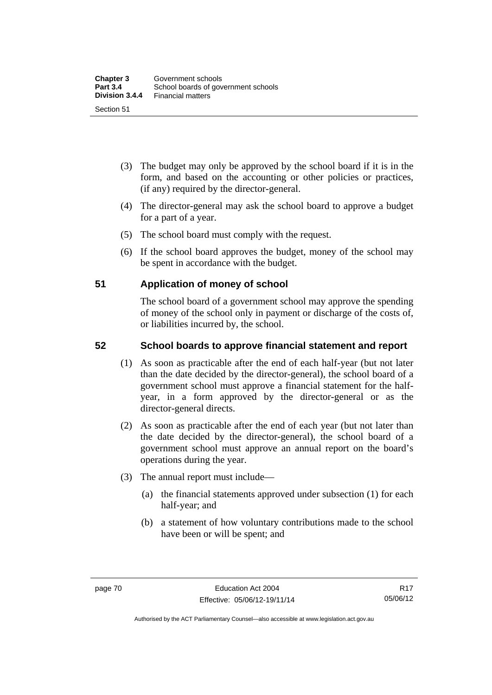- (3) The budget may only be approved by the school board if it is in the form, and based on the accounting or other policies or practices, (if any) required by the director-general.
- (4) The director-general may ask the school board to approve a budget for a part of a year.
- (5) The school board must comply with the request.
- (6) If the school board approves the budget, money of the school may be spent in accordance with the budget.

### **51 Application of money of school**

The school board of a government school may approve the spending of money of the school only in payment or discharge of the costs of, or liabilities incurred by, the school.

## **52 School boards to approve financial statement and report**

- (1) As soon as practicable after the end of each half-year (but not later than the date decided by the director-general), the school board of a government school must approve a financial statement for the halfyear, in a form approved by the director-general or as the director-general directs.
- (2) As soon as practicable after the end of each year (but not later than the date decided by the director-general), the school board of a government school must approve an annual report on the board's operations during the year.
- (3) The annual report must include—
	- (a) the financial statements approved under subsection (1) for each half-year; and
	- (b) a statement of how voluntary contributions made to the school have been or will be spent; and

Authorised by the ACT Parliamentary Counsel—also accessible at www.legislation.act.gov.au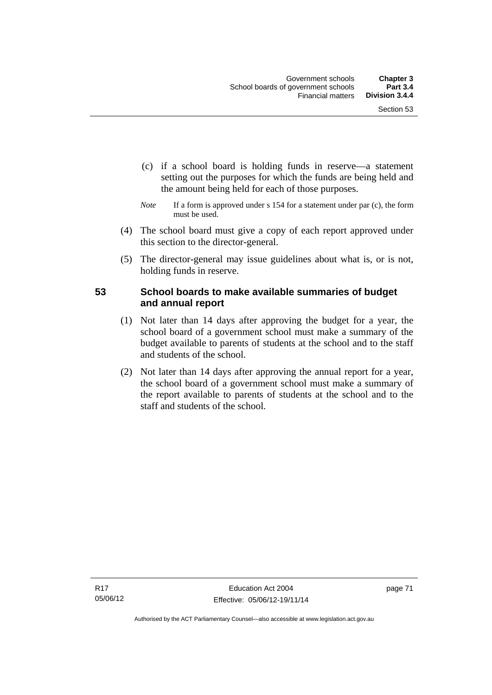- (c) if a school board is holding funds in reserve—a statement setting out the purposes for which the funds are being held and the amount being held for each of those purposes.
- *Note* If a form is approved under s 154 for a statement under par (c), the form must be used.
- (4) The school board must give a copy of each report approved under this section to the director-general.
- (5) The director-general may issue guidelines about what is, or is not, holding funds in reserve.

## **53 School boards to make available summaries of budget and annual report**

- (1) Not later than 14 days after approving the budget for a year, the school board of a government school must make a summary of the budget available to parents of students at the school and to the staff and students of the school.
- (2) Not later than 14 days after approving the annual report for a year, the school board of a government school must make a summary of the report available to parents of students at the school and to the staff and students of the school.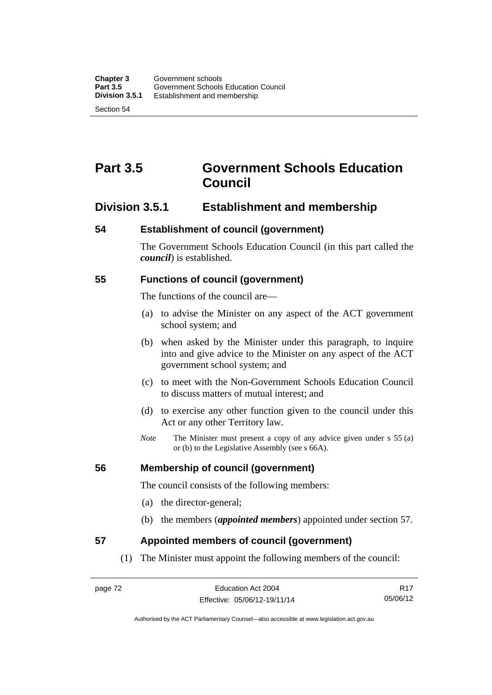# **Part 3.5 Government Schools Education Council**

# **Division 3.5.1 Establishment and membership**

#### **54 Establishment of council (government)**

The Government Schools Education Council (in this part called the *council*) is established.

#### **55 Functions of council (government)**

The functions of the council are—

- (a) to advise the Minister on any aspect of the ACT government school system; and
- (b) when asked by the Minister under this paragraph, to inquire into and give advice to the Minister on any aspect of the ACT government school system; and
- (c) to meet with the Non-Government Schools Education Council to discuss matters of mutual interest; and
- (d) to exercise any other function given to the council under this Act or any other Territory law.
- *Note* The Minister must present a copy of any advice given under s 55 (a) or (b) to the Legislative Assembly (see s 66A).

#### **56 Membership of council (government)**

The council consists of the following members:

- (a) the director-general;
- (b) the members (*appointed members*) appointed under section 57.

#### **57 Appointed members of council (government)**

(1) The Minister must appoint the following members of the council:

R17 05/06/12

Authorised by the ACT Parliamentary Counsel—also accessible at www.legislation.act.gov.au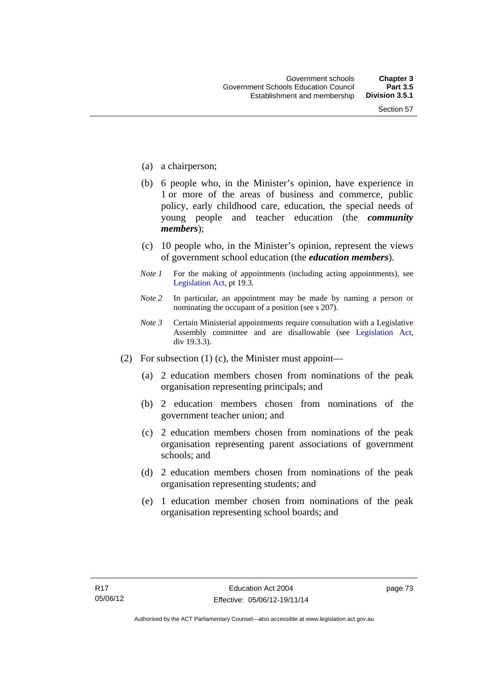- (a) a chairperson;
- (b) 6 people who, in the Minister's opinion, have experience in 1 or more of the areas of business and commerce, public policy, early childhood care, education, the special needs of young people and teacher education (the *community members*);
- (c) 10 people who, in the Minister's opinion, represent the views of government school education (the *education members*).
- *Note 1* For the making of appointments (including acting appointments), see [Legislation Act,](http://www.legislation.act.gov.au/a/2001-14) pt 19.3.
- *Note 2* In particular, an appointment may be made by naming a person or nominating the occupant of a position (see s 207).
- *Note 3* Certain Ministerial appointments require consultation with a Legislative Assembly committee and are disallowable (see [Legislation Act,](http://www.legislation.act.gov.au/a/2001-14) div 19.3.3).
- (2) For subsection (1) (c), the Minister must appoint—
	- (a) 2 education members chosen from nominations of the peak organisation representing principals; and
	- (b) 2 education members chosen from nominations of the government teacher union; and
	- (c) 2 education members chosen from nominations of the peak organisation representing parent associations of government schools; and
	- (d) 2 education members chosen from nominations of the peak organisation representing students; and
	- (e) 1 education member chosen from nominations of the peak organisation representing school boards; and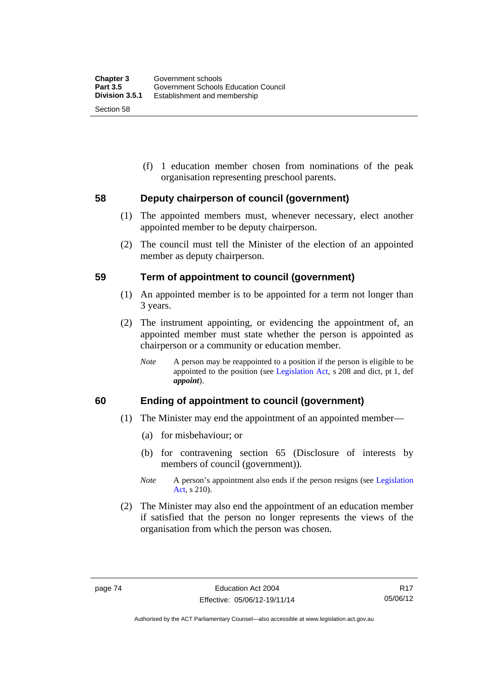(f) 1 education member chosen from nominations of the peak organisation representing preschool parents.

#### **58 Deputy chairperson of council (government)**

- (1) The appointed members must, whenever necessary, elect another appointed member to be deputy chairperson.
- (2) The council must tell the Minister of the election of an appointed member as deputy chairperson.

#### **59 Term of appointment to council (government)**

- (1) An appointed member is to be appointed for a term not longer than 3 years.
- (2) The instrument appointing, or evidencing the appointment of, an appointed member must state whether the person is appointed as chairperson or a community or education member.
	- *Note* A person may be reappointed to a position if the person is eligible to be appointed to the position (see [Legislation Act](http://www.legislation.act.gov.au/a/2001-14), s 208 and dict, pt 1, def *appoint*).

#### **60 Ending of appointment to council (government)**

- (1) The Minister may end the appointment of an appointed member—
	- (a) for misbehaviour; or
	- (b) for contravening section 65 (Disclosure of interests by members of council (government)).
	- *Note* A person's appointment also ends if the person resigns (see Legislation [Act](http://www.legislation.act.gov.au/a/2001-14), s 210).
- (2) The Minister may also end the appointment of an education member if satisfied that the person no longer represents the views of the organisation from which the person was chosen.

Authorised by the ACT Parliamentary Counsel—also accessible at www.legislation.act.gov.au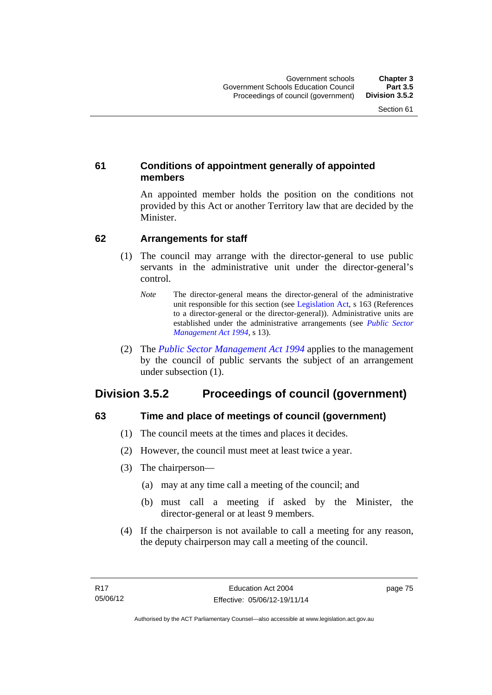## **61 Conditions of appointment generally of appointed members**

An appointed member holds the position on the conditions not provided by this Act or another Territory law that are decided by the Minister.

### **62 Arrangements for staff**

- (1) The council may arrange with the director-general to use public servants in the administrative unit under the director-general's control.
	- *Note* The director-general means the director-general of the administrative unit responsible for this section (see [Legislation Act](http://www.legislation.act.gov.au/a/2001-14), s 163 (References to a director-general or the director-general)). Administrative units are established under the administrative arrangements (see *[Public Sector](http://www.legislation.act.gov.au/a/1994-37)  [Management Act 1994](http://www.legislation.act.gov.au/a/1994-37)*, s 13).
- (2) The *[Public Sector Management Act 1994](http://www.legislation.act.gov.au/a/1994-37)* applies to the management by the council of public servants the subject of an arrangement under subsection (1).

# **Division 3.5.2 Proceedings of council (government)**

# **63 Time and place of meetings of council (government)**

- (1) The council meets at the times and places it decides.
- (2) However, the council must meet at least twice a year.
- (3) The chairperson—
	- (a) may at any time call a meeting of the council; and
	- (b) must call a meeting if asked by the Minister, the director-general or at least 9 members.
- (4) If the chairperson is not available to call a meeting for any reason, the deputy chairperson may call a meeting of the council.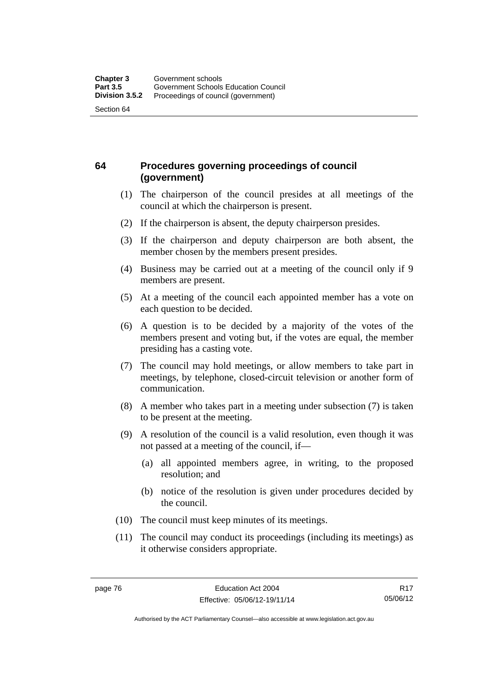## **64 Procedures governing proceedings of council (government)**

- (1) The chairperson of the council presides at all meetings of the council at which the chairperson is present.
- (2) If the chairperson is absent, the deputy chairperson presides.
- (3) If the chairperson and deputy chairperson are both absent, the member chosen by the members present presides.
- (4) Business may be carried out at a meeting of the council only if 9 members are present.
- (5) At a meeting of the council each appointed member has a vote on each question to be decided.
- (6) A question is to be decided by a majority of the votes of the members present and voting but, if the votes are equal, the member presiding has a casting vote.
- (7) The council may hold meetings, or allow members to take part in meetings, by telephone, closed-circuit television or another form of communication.
- (8) A member who takes part in a meeting under subsection (7) is taken to be present at the meeting.
- (9) A resolution of the council is a valid resolution, even though it was not passed at a meeting of the council, if—
	- (a) all appointed members agree, in writing, to the proposed resolution; and
	- (b) notice of the resolution is given under procedures decided by the council.
- (10) The council must keep minutes of its meetings.
- (11) The council may conduct its proceedings (including its meetings) as it otherwise considers appropriate.

Authorised by the ACT Parliamentary Counsel—also accessible at www.legislation.act.gov.au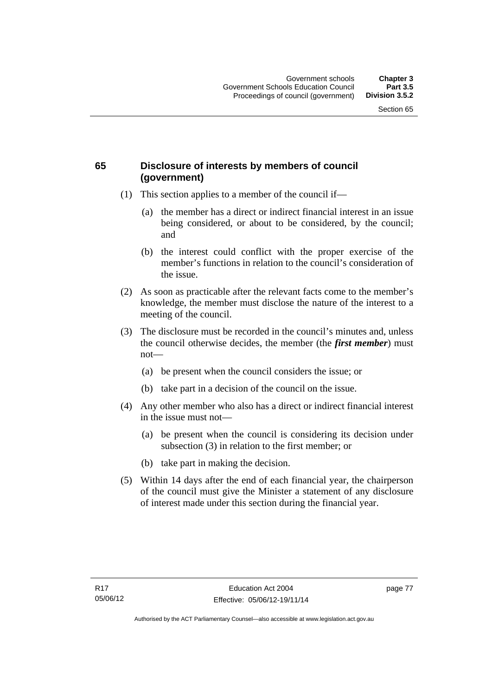## **65 Disclosure of interests by members of council (government)**

- (1) This section applies to a member of the council if—
	- (a) the member has a direct or indirect financial interest in an issue being considered, or about to be considered, by the council; and
	- (b) the interest could conflict with the proper exercise of the member's functions in relation to the council's consideration of the issue.
- (2) As soon as practicable after the relevant facts come to the member's knowledge, the member must disclose the nature of the interest to a meeting of the council.
- (3) The disclosure must be recorded in the council's minutes and, unless the council otherwise decides, the member (the *first member*) must not—
	- (a) be present when the council considers the issue; or
	- (b) take part in a decision of the council on the issue.
- (4) Any other member who also has a direct or indirect financial interest in the issue must not—
	- (a) be present when the council is considering its decision under subsection (3) in relation to the first member; or
	- (b) take part in making the decision.
- (5) Within 14 days after the end of each financial year, the chairperson of the council must give the Minister a statement of any disclosure of interest made under this section during the financial year.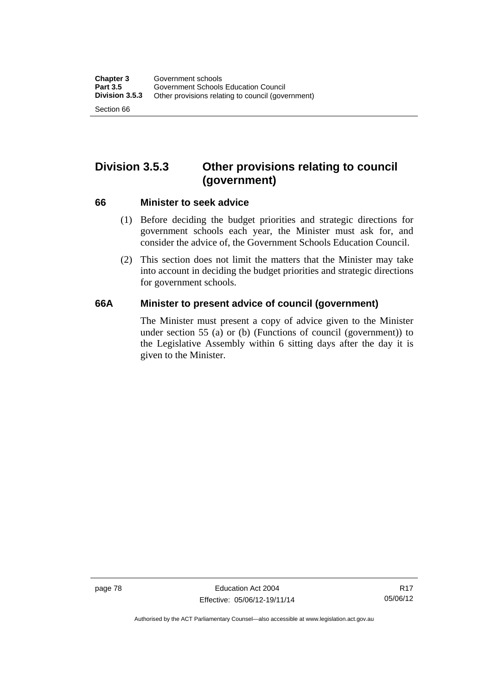# **Division 3.5.3 Other provisions relating to council (government)**

#### **66 Minister to seek advice**

- (1) Before deciding the budget priorities and strategic directions for government schools each year, the Minister must ask for, and consider the advice of, the Government Schools Education Council.
- (2) This section does not limit the matters that the Minister may take into account in deciding the budget priorities and strategic directions for government schools.

#### **66A Minister to present advice of council (government)**

The Minister must present a copy of advice given to the Minister under section 55 (a) or (b) (Functions of council (government)) to the Legislative Assembly within 6 sitting days after the day it is given to the Minister.

Authorised by the ACT Parliamentary Counsel—also accessible at www.legislation.act.gov.au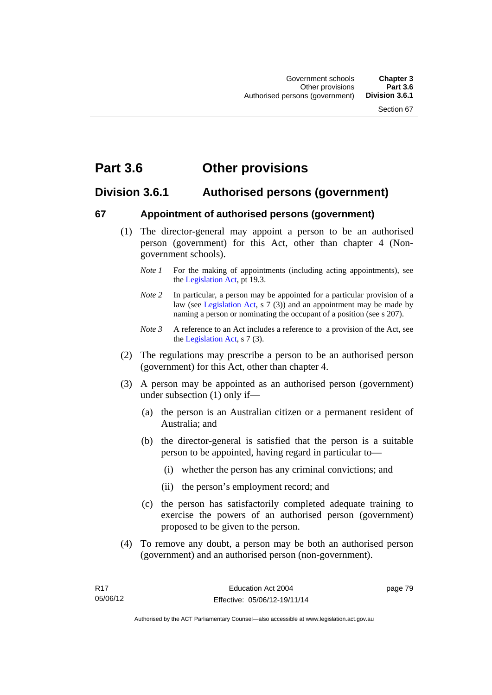# **Part 3.6 Other provisions**

# **Division 3.6.1 Authorised persons (government)**

### **67 Appointment of authorised persons (government)**

- (1) The director-general may appoint a person to be an authorised person (government) for this Act, other than chapter 4 (Nongovernment schools).
	- *Note 1* For the making of appointments (including acting appointments), see the [Legislation Act,](http://www.legislation.act.gov.au/a/2001-14) pt 19.3.
	- *Note 2* In particular, a person may be appointed for a particular provision of a law (see [Legislation Act,](http://www.legislation.act.gov.au/a/2001-14) s 7 (3)) and an appointment may be made by naming a person or nominating the occupant of a position (see s 207).
	- *Note 3* A reference to an Act includes a reference to a provision of the Act, see the [Legislation Act,](http://www.legislation.act.gov.au/a/2001-14) s 7 (3).
- (2) The regulations may prescribe a person to be an authorised person (government) for this Act, other than chapter 4.
- (3) A person may be appointed as an authorised person (government) under subsection (1) only if—
	- (a) the person is an Australian citizen or a permanent resident of Australia; and
	- (b) the director-general is satisfied that the person is a suitable person to be appointed, having regard in particular to—
		- (i) whether the person has any criminal convictions; and
		- (ii) the person's employment record; and
	- (c) the person has satisfactorily completed adequate training to exercise the powers of an authorised person (government) proposed to be given to the person.
- (4) To remove any doubt, a person may be both an authorised person (government) and an authorised person (non-government).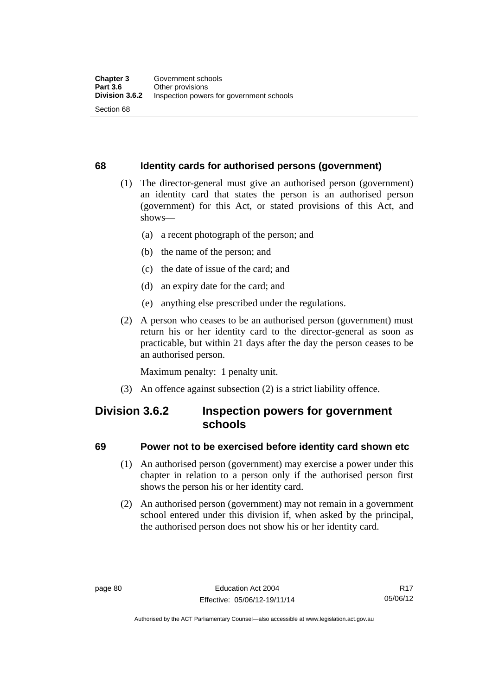### **68 Identity cards for authorised persons (government)**

- (1) The director-general must give an authorised person (government) an identity card that states the person is an authorised person (government) for this Act, or stated provisions of this Act, and shows—
	- (a) a recent photograph of the person; and
	- (b) the name of the person; and
	- (c) the date of issue of the card; and
	- (d) an expiry date for the card; and
	- (e) anything else prescribed under the regulations.
- (2) A person who ceases to be an authorised person (government) must return his or her identity card to the director-general as soon as practicable, but within 21 days after the day the person ceases to be an authorised person.

Maximum penalty: 1 penalty unit.

(3) An offence against subsection (2) is a strict liability offence.

# **Division 3.6.2 Inspection powers for government schools**

#### **69 Power not to be exercised before identity card shown etc**

- (1) An authorised person (government) may exercise a power under this chapter in relation to a person only if the authorised person first shows the person his or her identity card.
- (2) An authorised person (government) may not remain in a government school entered under this division if, when asked by the principal, the authorised person does not show his or her identity card.

R17 05/06/12

Authorised by the ACT Parliamentary Counsel—also accessible at www.legislation.act.gov.au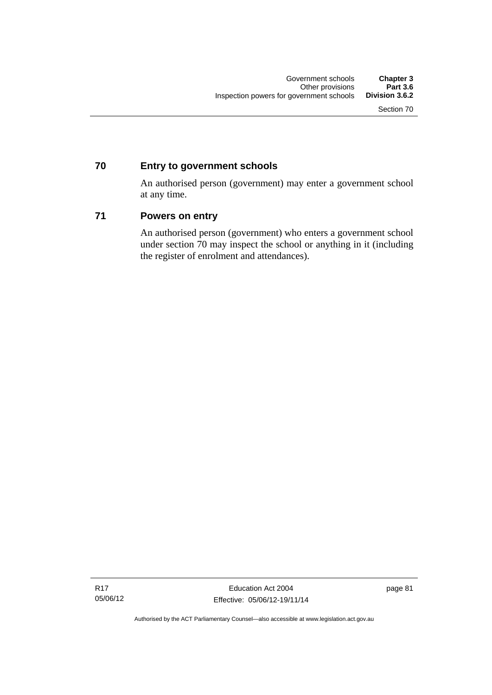## **70 Entry to government schools**

An authorised person (government) may enter a government school at any time.

### **71 Powers on entry**

An authorised person (government) who enters a government school under section 70 may inspect the school or anything in it (including the register of enrolment and attendances).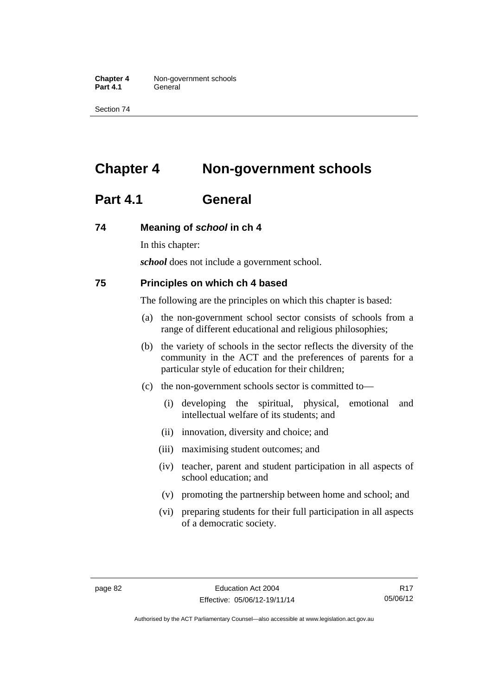**Chapter 4** Non-government schools Part 4.1 **General** 

Section 74

# **Chapter 4 Non-government schools**

# **Part 4.1 General**

#### **74 Meaning of** *school* **in ch 4**

In this chapter:

*school* does not include a government school.

#### **75 Principles on which ch 4 based**

The following are the principles on which this chapter is based:

- (a) the non-government school sector consists of schools from a range of different educational and religious philosophies;
- (b) the variety of schools in the sector reflects the diversity of the community in the ACT and the preferences of parents for a particular style of education for their children;
- (c) the non-government schools sector is committed to—
	- (i) developing the spiritual, physical, emotional and intellectual welfare of its students; and
	- (ii) innovation, diversity and choice; and
	- (iii) maximising student outcomes; and
	- (iv) teacher, parent and student participation in all aspects of school education; and
	- (v) promoting the partnership between home and school; and
	- (vi) preparing students for their full participation in all aspects of a democratic society.

R17 05/06/12

Authorised by the ACT Parliamentary Counsel—also accessible at www.legislation.act.gov.au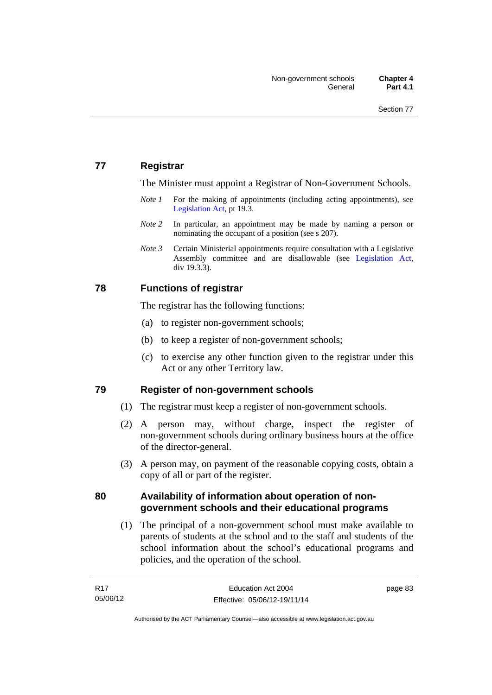## **77 Registrar**

The Minister must appoint a Registrar of Non-Government Schools.

- *Note 1* For the making of appointments (including acting appointments), see [Legislation Act,](http://www.legislation.act.gov.au/a/2001-14) pt 19.3.
- *Note* 2 In particular, an appointment may be made by naming a person or nominating the occupant of a position (see s 207).
- *Note 3* Certain Ministerial appointments require consultation with a Legislative Assembly committee and are disallowable (see [Legislation Act,](http://www.legislation.act.gov.au/a/2001-14) div 19.3.3).

### **78 Functions of registrar**

The registrar has the following functions:

- (a) to register non-government schools;
- (b) to keep a register of non-government schools;
- (c) to exercise any other function given to the registrar under this Act or any other Territory law.

#### **79 Register of non-government schools**

- (1) The registrar must keep a register of non-government schools.
- (2) A person may, without charge, inspect the register of non-government schools during ordinary business hours at the office of the director-general.
- (3) A person may, on payment of the reasonable copying costs, obtain a copy of all or part of the register.

### **80 Availability of information about operation of nongovernment schools and their educational programs**

(1) The principal of a non-government school must make available to parents of students at the school and to the staff and students of the school information about the school's educational programs and policies, and the operation of the school.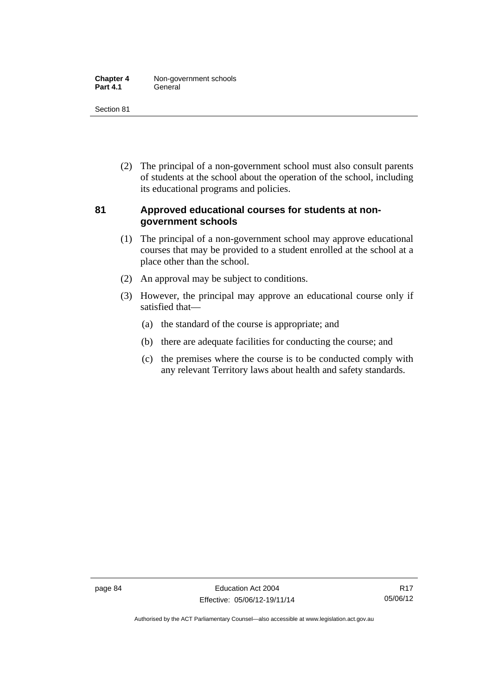| <b>Chapter 4</b> | Non-government schools |
|------------------|------------------------|
| <b>Part 4.1</b>  | General                |

Section 81

 (2) The principal of a non-government school must also consult parents of students at the school about the operation of the school, including its educational programs and policies.

### **81 Approved educational courses for students at nongovernment schools**

- (1) The principal of a non-government school may approve educational courses that may be provided to a student enrolled at the school at a place other than the school.
- (2) An approval may be subject to conditions.
- (3) However, the principal may approve an educational course only if satisfied that—
	- (a) the standard of the course is appropriate; and
	- (b) there are adequate facilities for conducting the course; and
	- (c) the premises where the course is to be conducted comply with any relevant Territory laws about health and safety standards.

Authorised by the ACT Parliamentary Counsel—also accessible at www.legislation.act.gov.au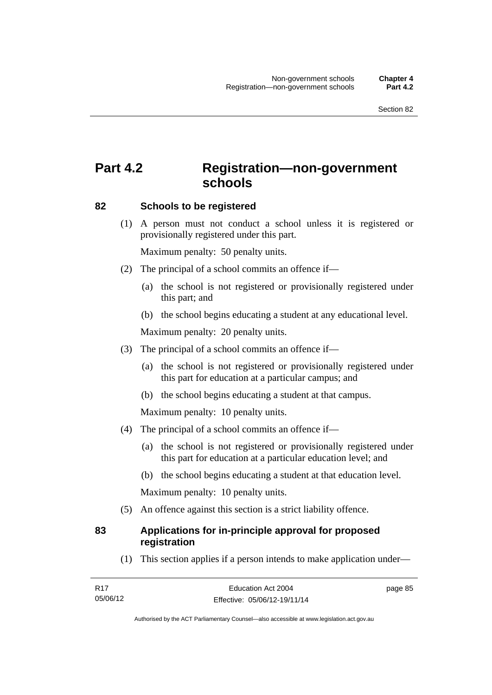# **Part 4.2 Registration—non-government schools**

#### **82 Schools to be registered**

 (1) A person must not conduct a school unless it is registered or provisionally registered under this part.

Maximum penalty: 50 penalty units.

- (2) The principal of a school commits an offence if—
	- (a) the school is not registered or provisionally registered under this part; and
	- (b) the school begins educating a student at any educational level.

Maximum penalty: 20 penalty units.

- (3) The principal of a school commits an offence if—
	- (a) the school is not registered or provisionally registered under this part for education at a particular campus; and
	- (b) the school begins educating a student at that campus.

Maximum penalty: 10 penalty units.

- (4) The principal of a school commits an offence if—
	- (a) the school is not registered or provisionally registered under this part for education at a particular education level; and
	- (b) the school begins educating a student at that education level.

Maximum penalty: 10 penalty units.

(5) An offence against this section is a strict liability offence.

### **83 Applications for in-principle approval for proposed registration**

(1) This section applies if a person intends to make application under—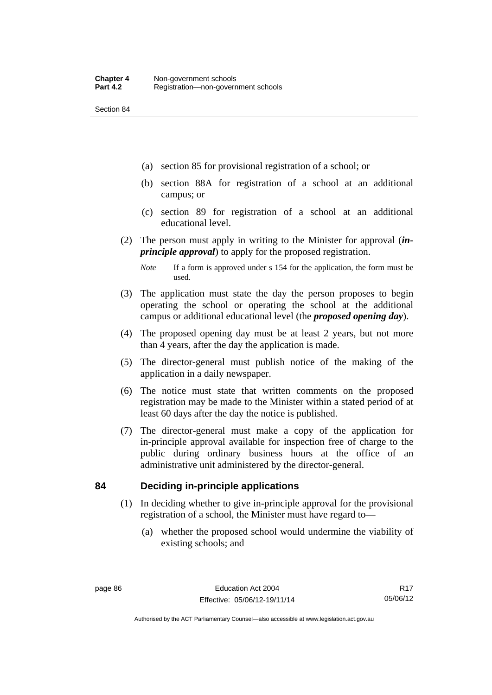Section 84

- (a) section 85 for provisional registration of a school; or
- (b) section 88A for registration of a school at an additional campus; or
- (c) section 89 for registration of a school at an additional educational level.
- (2) The person must apply in writing to the Minister for approval (*inprinciple approval*) to apply for the proposed registration.
	- *Note* If a form is approved under s 154 for the application, the form must be used.
- (3) The application must state the day the person proposes to begin operating the school or operating the school at the additional campus or additional educational level (the *proposed opening day*).
- (4) The proposed opening day must be at least 2 years, but not more than 4 years, after the day the application is made.
- (5) The director-general must publish notice of the making of the application in a daily newspaper.
- (6) The notice must state that written comments on the proposed registration may be made to the Minister within a stated period of at least 60 days after the day the notice is published.
- (7) The director-general must make a copy of the application for in-principle approval available for inspection free of charge to the public during ordinary business hours at the office of an administrative unit administered by the director-general.

#### **84 Deciding in-principle applications**

- (1) In deciding whether to give in-principle approval for the provisional registration of a school, the Minister must have regard to—
	- (a) whether the proposed school would undermine the viability of existing schools; and

Authorised by the ACT Parliamentary Counsel—also accessible at www.legislation.act.gov.au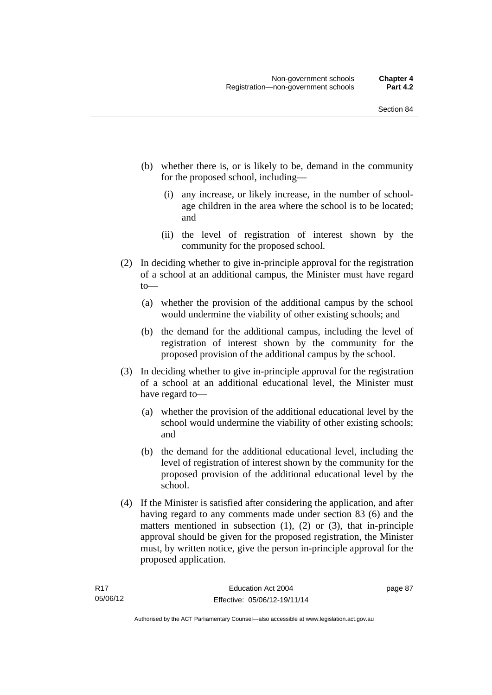- (b) whether there is, or is likely to be, demand in the community for the proposed school, including—
	- (i) any increase, or likely increase, in the number of schoolage children in the area where the school is to be located; and
	- (ii) the level of registration of interest shown by the community for the proposed school.
- (2) In deciding whether to give in-principle approval for the registration of a school at an additional campus, the Minister must have regard to—
	- (a) whether the provision of the additional campus by the school would undermine the viability of other existing schools; and
	- (b) the demand for the additional campus, including the level of registration of interest shown by the community for the proposed provision of the additional campus by the school.
- (3) In deciding whether to give in-principle approval for the registration of a school at an additional educational level, the Minister must have regard to—
	- (a) whether the provision of the additional educational level by the school would undermine the viability of other existing schools; and
	- (b) the demand for the additional educational level, including the level of registration of interest shown by the community for the proposed provision of the additional educational level by the school.
- (4) If the Minister is satisfied after considering the application, and after having regard to any comments made under section 83 (6) and the matters mentioned in subsection (1), (2) or (3), that in-principle approval should be given for the proposed registration, the Minister must, by written notice, give the person in-principle approval for the proposed application.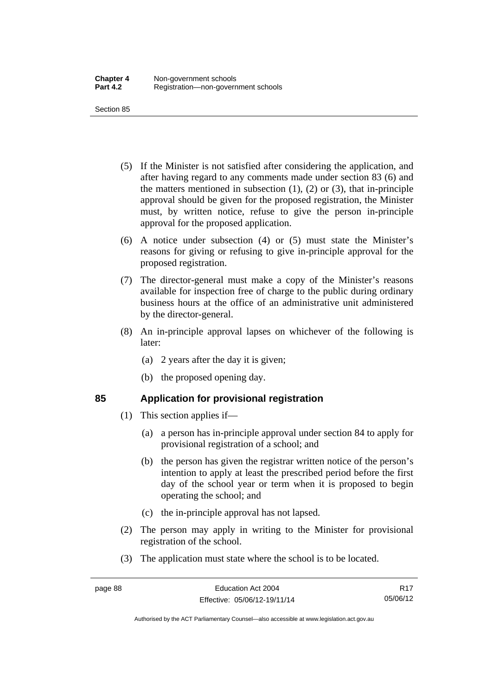Section 85

- (5) If the Minister is not satisfied after considering the application, and after having regard to any comments made under section 83 (6) and the matters mentioned in subsection  $(1)$ ,  $(2)$  or  $(3)$ , that in-principle approval should be given for the proposed registration, the Minister must, by written notice, refuse to give the person in-principle approval for the proposed application.
- (6) A notice under subsection (4) or (5) must state the Minister's reasons for giving or refusing to give in-principle approval for the proposed registration.
- (7) The director-general must make a copy of the Minister's reasons available for inspection free of charge to the public during ordinary business hours at the office of an administrative unit administered by the director-general.
- (8) An in-principle approval lapses on whichever of the following is later:
	- (a) 2 years after the day it is given;
	- (b) the proposed opening day.

# **85 Application for provisional registration**

- (1) This section applies if—
	- (a) a person has in-principle approval under section 84 to apply for provisional registration of a school; and
	- (b) the person has given the registrar written notice of the person's intention to apply at least the prescribed period before the first day of the school year or term when it is proposed to begin operating the school; and
	- (c) the in-principle approval has not lapsed.
- (2) The person may apply in writing to the Minister for provisional registration of the school.
- (3) The application must state where the school is to be located.

Authorised by the ACT Parliamentary Counsel—also accessible at www.legislation.act.gov.au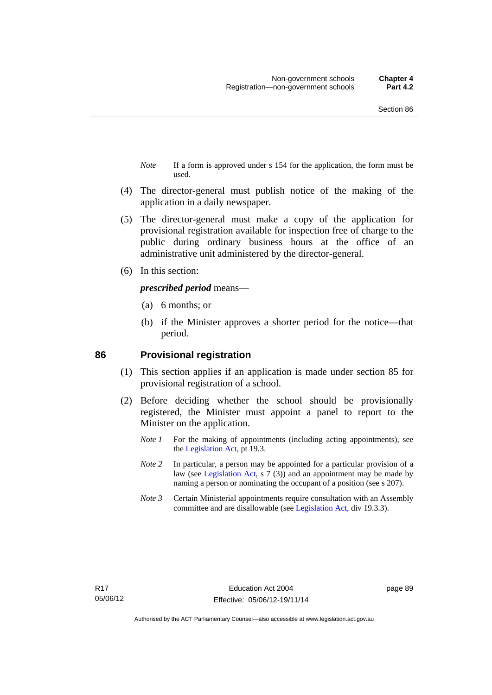- *Note* If a form is approved under s 154 for the application, the form must be used.
- (4) The director-general must publish notice of the making of the application in a daily newspaper.
- (5) The director-general must make a copy of the application for provisional registration available for inspection free of charge to the public during ordinary business hours at the office of an administrative unit administered by the director-general.
- (6) In this section:

#### *prescribed period* means—

- (a) 6 months; or
- (b) if the Minister approves a shorter period for the notice—that period.

#### **86 Provisional registration**

- (1) This section applies if an application is made under section 85 for provisional registration of a school.
- (2) Before deciding whether the school should be provisionally registered, the Minister must appoint a panel to report to the Minister on the application.
	- *Note 1* For the making of appointments (including acting appointments), see the [Legislation Act,](http://www.legislation.act.gov.au/a/2001-14) pt 19.3.
	- *Note 2* In particular, a person may be appointed for a particular provision of a law (see [Legislation Act,](http://www.legislation.act.gov.au/a/2001-14) s 7 (3)) and an appointment may be made by naming a person or nominating the occupant of a position (see s 207).
	- *Note 3* Certain Ministerial appointments require consultation with an Assembly committee and are disallowable (see [Legislation Act](http://www.legislation.act.gov.au/a/2001-14), div 19.3.3).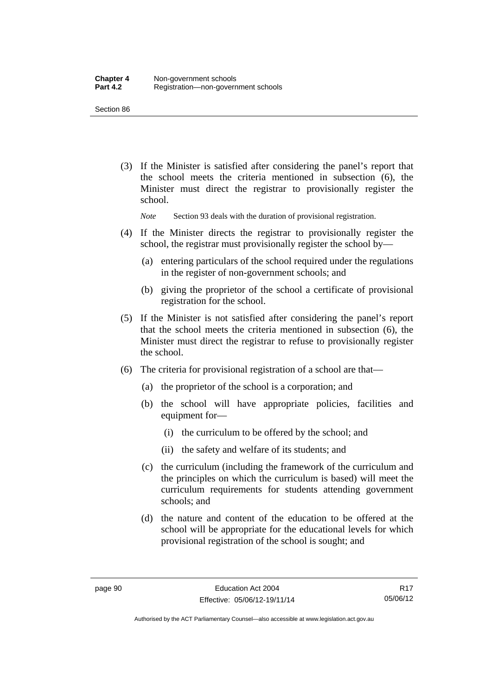Section 86

 (3) If the Minister is satisfied after considering the panel's report that the school meets the criteria mentioned in subsection (6), the Minister must direct the registrar to provisionally register the school.

*Note* Section 93 deals with the duration of provisional registration.

- (4) If the Minister directs the registrar to provisionally register the school, the registrar must provisionally register the school by—
	- (a) entering particulars of the school required under the regulations in the register of non-government schools; and
	- (b) giving the proprietor of the school a certificate of provisional registration for the school.
- (5) If the Minister is not satisfied after considering the panel's report that the school meets the criteria mentioned in subsection (6), the Minister must direct the registrar to refuse to provisionally register the school.
- (6) The criteria for provisional registration of a school are that—
	- (a) the proprietor of the school is a corporation; and
	- (b) the school will have appropriate policies, facilities and equipment for-
		- (i) the curriculum to be offered by the school; and
		- (ii) the safety and welfare of its students; and
	- (c) the curriculum (including the framework of the curriculum and the principles on which the curriculum is based) will meet the curriculum requirements for students attending government schools; and
	- (d) the nature and content of the education to be offered at the school will be appropriate for the educational levels for which provisional registration of the school is sought; and

Authorised by the ACT Parliamentary Counsel—also accessible at www.legislation.act.gov.au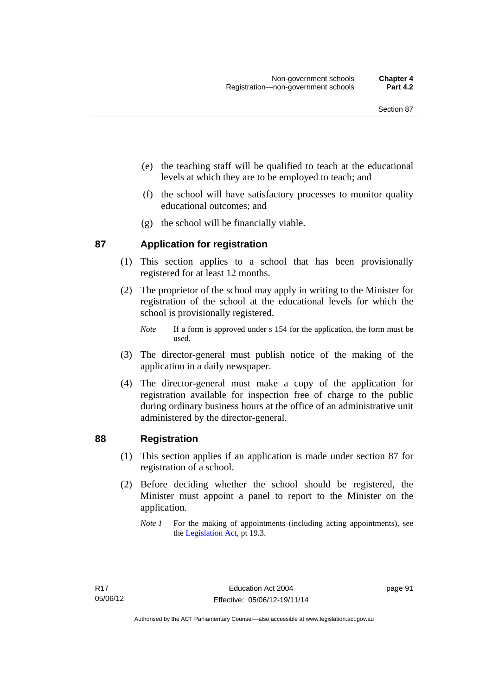- (e) the teaching staff will be qualified to teach at the educational levels at which they are to be employed to teach; and
- (f) the school will have satisfactory processes to monitor quality educational outcomes; and
- (g) the school will be financially viable.

### **87 Application for registration**

- (1) This section applies to a school that has been provisionally registered for at least 12 months.
- (2) The proprietor of the school may apply in writing to the Minister for registration of the school at the educational levels for which the school is provisionally registered.
	- *Note* If a form is approved under s 154 for the application, the form must be used.
- (3) The director-general must publish notice of the making of the application in a daily newspaper.
- (4) The director-general must make a copy of the application for registration available for inspection free of charge to the public during ordinary business hours at the office of an administrative unit administered by the director-general.

#### **88 Registration**

- (1) This section applies if an application is made under section 87 for registration of a school.
- (2) Before deciding whether the school should be registered, the Minister must appoint a panel to report to the Minister on the application.
	- *Note 1* For the making of appointments (including acting appointments), see the [Legislation Act,](http://www.legislation.act.gov.au/a/2001-14) pt 19.3.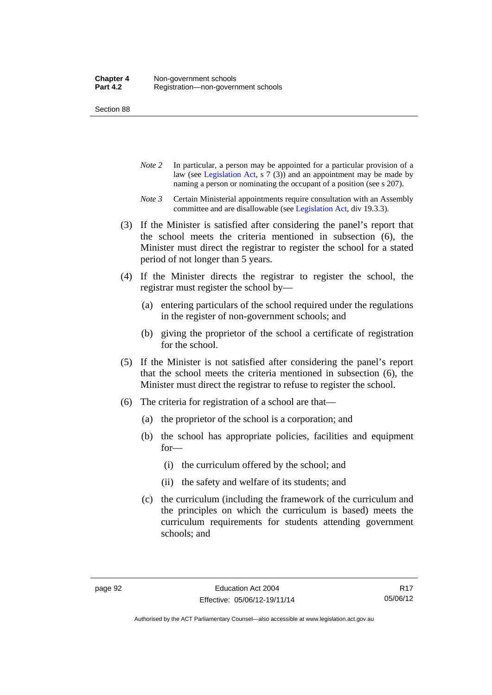Section 88

- *Note 2* In particular, a person may be appointed for a particular provision of a law (see [Legislation Act,](http://www.legislation.act.gov.au/a/2001-14) s 7 (3)) and an appointment may be made by naming a person or nominating the occupant of a position (see s 207).
- *Note 3* Certain Ministerial appointments require consultation with an Assembly committee and are disallowable (see [Legislation Act](http://www.legislation.act.gov.au/a/2001-14), div 19.3.3).
- (3) If the Minister is satisfied after considering the panel's report that the school meets the criteria mentioned in subsection (6), the Minister must direct the registrar to register the school for a stated period of not longer than 5 years.
- (4) If the Minister directs the registrar to register the school, the registrar must register the school by—
	- (a) entering particulars of the school required under the regulations in the register of non-government schools; and
	- (b) giving the proprietor of the school a certificate of registration for the school.
- (5) If the Minister is not satisfied after considering the panel's report that the school meets the criteria mentioned in subsection (6), the Minister must direct the registrar to refuse to register the school.
- (6) The criteria for registration of a school are that—
	- (a) the proprietor of the school is a corporation; and
	- (b) the school has appropriate policies, facilities and equipment for—
		- (i) the curriculum offered by the school; and
		- (ii) the safety and welfare of its students; and
	- (c) the curriculum (including the framework of the curriculum and the principles on which the curriculum is based) meets the curriculum requirements for students attending government schools; and

Authorised by the ACT Parliamentary Counsel—also accessible at www.legislation.act.gov.au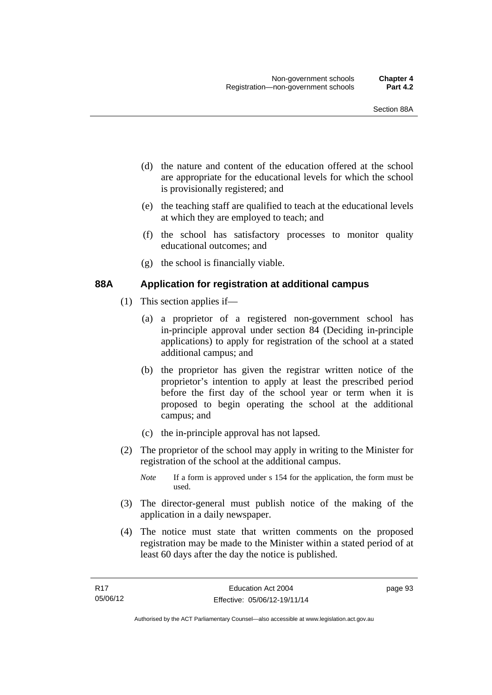- (d) the nature and content of the education offered at the school are appropriate for the educational levels for which the school is provisionally registered; and
- (e) the teaching staff are qualified to teach at the educational levels at which they are employed to teach; and
- (f) the school has satisfactory processes to monitor quality educational outcomes; and
- (g) the school is financially viable.

### **88A Application for registration at additional campus**

- (1) This section applies if—
	- (a) a proprietor of a registered non-government school has in-principle approval under section 84 (Deciding in-principle applications) to apply for registration of the school at a stated additional campus; and
	- (b) the proprietor has given the registrar written notice of the proprietor's intention to apply at least the prescribed period before the first day of the school year or term when it is proposed to begin operating the school at the additional campus; and
	- (c) the in-principle approval has not lapsed.
- (2) The proprietor of the school may apply in writing to the Minister for registration of the school at the additional campus.
	- *Note* If a form is approved under s 154 for the application, the form must be used.
- (3) The director-general must publish notice of the making of the application in a daily newspaper.
- (4) The notice must state that written comments on the proposed registration may be made to the Minister within a stated period of at least 60 days after the day the notice is published.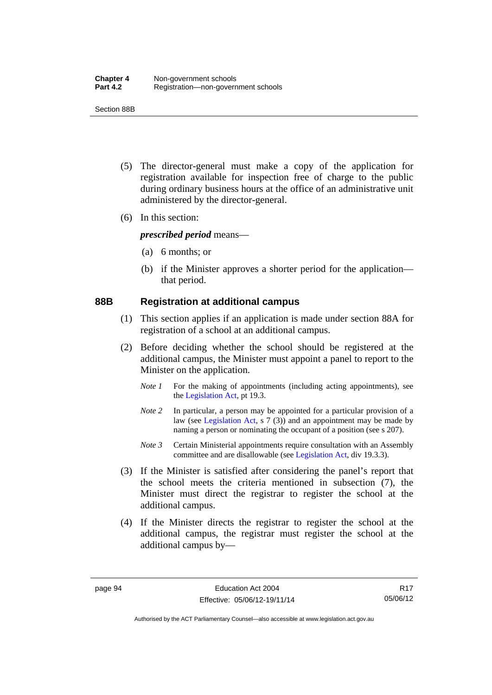Section 88B

- (5) The director-general must make a copy of the application for registration available for inspection free of charge to the public during ordinary business hours at the office of an administrative unit administered by the director-general.
- (6) In this section:

*prescribed period* means—

- (a) 6 months; or
- (b) if the Minister approves a shorter period for the application that period.

#### **88B Registration at additional campus**

- (1) This section applies if an application is made under section 88A for registration of a school at an additional campus.
- (2) Before deciding whether the school should be registered at the additional campus, the Minister must appoint a panel to report to the Minister on the application.
	- *Note 1* For the making of appointments (including acting appointments), see the [Legislation Act,](http://www.legislation.act.gov.au/a/2001-14) pt 19.3.
	- *Note 2* In particular, a person may be appointed for a particular provision of a law (see [Legislation Act,](http://www.legislation.act.gov.au/a/2001-14) s 7 (3)) and an appointment may be made by naming a person or nominating the occupant of a position (see s 207).
	- *Note 3* Certain Ministerial appointments require consultation with an Assembly committee and are disallowable (see [Legislation Act](http://www.legislation.act.gov.au/a/2001-14), div 19.3.3).
- (3) If the Minister is satisfied after considering the panel's report that the school meets the criteria mentioned in subsection (7), the Minister must direct the registrar to register the school at the additional campus.
- (4) If the Minister directs the registrar to register the school at the additional campus, the registrar must register the school at the additional campus by—

R17 05/06/12

Authorised by the ACT Parliamentary Counsel—also accessible at www.legislation.act.gov.au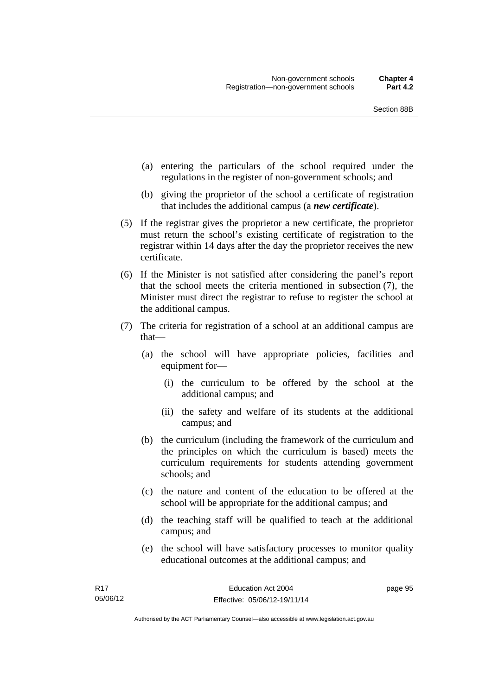- (a) entering the particulars of the school required under the regulations in the register of non-government schools; and
- (b) giving the proprietor of the school a certificate of registration that includes the additional campus (a *new certificate*).
- (5) If the registrar gives the proprietor a new certificate, the proprietor must return the school's existing certificate of registration to the registrar within 14 days after the day the proprietor receives the new certificate.
- (6) If the Minister is not satisfied after considering the panel's report that the school meets the criteria mentioned in subsection (7), the Minister must direct the registrar to refuse to register the school at the additional campus.
- (7) The criteria for registration of a school at an additional campus are that—
	- (a) the school will have appropriate policies, facilities and equipment for—
		- (i) the curriculum to be offered by the school at the additional campus; and
		- (ii) the safety and welfare of its students at the additional campus; and
	- (b) the curriculum (including the framework of the curriculum and the principles on which the curriculum is based) meets the curriculum requirements for students attending government schools; and
	- (c) the nature and content of the education to be offered at the school will be appropriate for the additional campus; and
	- (d) the teaching staff will be qualified to teach at the additional campus; and
	- (e) the school will have satisfactory processes to monitor quality educational outcomes at the additional campus; and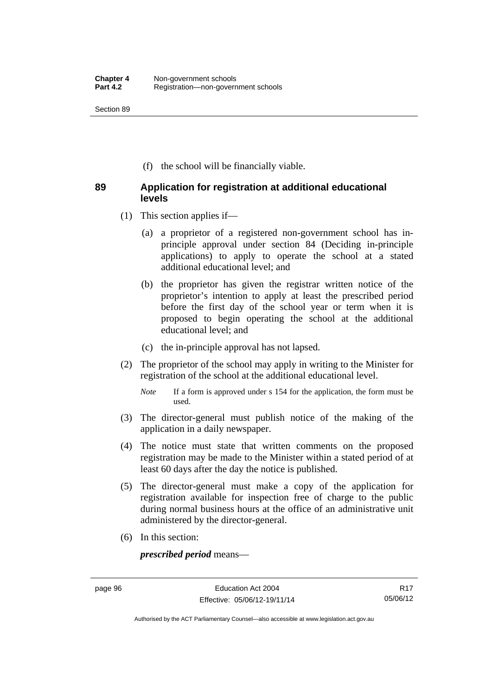Section 89

(f) the school will be financially viable.

### **89 Application for registration at additional educational levels**

- (1) This section applies if—
	- (a) a proprietor of a registered non-government school has inprinciple approval under section 84 (Deciding in-principle applications) to apply to operate the school at a stated additional educational level; and
	- (b) the proprietor has given the registrar written notice of the proprietor's intention to apply at least the prescribed period before the first day of the school year or term when it is proposed to begin operating the school at the additional educational level; and
	- (c) the in-principle approval has not lapsed.
- (2) The proprietor of the school may apply in writing to the Minister for registration of the school at the additional educational level.
	- *Note* If a form is approved under s 154 for the application, the form must be used.
- (3) The director-general must publish notice of the making of the application in a daily newspaper.
- (4) The notice must state that written comments on the proposed registration may be made to the Minister within a stated period of at least 60 days after the day the notice is published.
- (5) The director-general must make a copy of the application for registration available for inspection free of charge to the public during normal business hours at the office of an administrative unit administered by the director-general.
- (6) In this section:

*prescribed period* means—

R17 05/06/12

Authorised by the ACT Parliamentary Counsel—also accessible at www.legislation.act.gov.au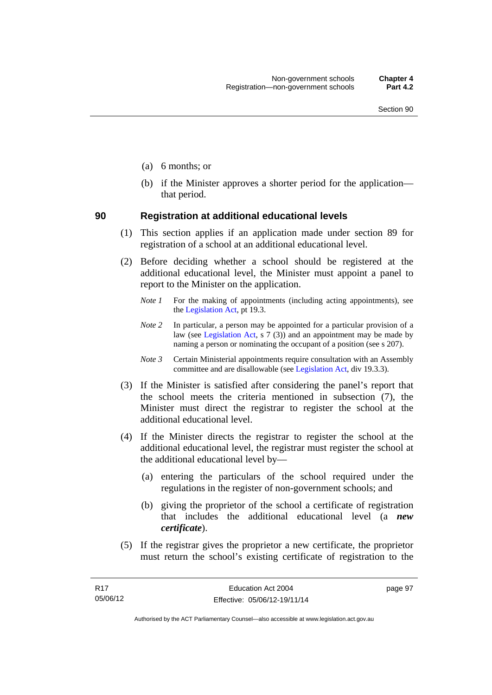- (a) 6 months; or
- (b) if the Minister approves a shorter period for the application that period.

#### **90 Registration at additional educational levels**

- (1) This section applies if an application made under section 89 for registration of a school at an additional educational level.
- (2) Before deciding whether a school should be registered at the additional educational level, the Minister must appoint a panel to report to the Minister on the application.
	- *Note 1* For the making of appointments (including acting appointments), see the [Legislation Act,](http://www.legislation.act.gov.au/a/2001-14) pt 19.3.
	- *Note 2* In particular, a person may be appointed for a particular provision of a law (see [Legislation Act,](http://www.legislation.act.gov.au/a/2001-14) s  $7(3)$ ) and an appointment may be made by naming a person or nominating the occupant of a position (see s 207).
	- *Note 3* Certain Ministerial appointments require consultation with an Assembly committee and are disallowable (see [Legislation Act](http://www.legislation.act.gov.au/a/2001-14), div 19.3.3).
- (3) If the Minister is satisfied after considering the panel's report that the school meets the criteria mentioned in subsection (7), the Minister must direct the registrar to register the school at the additional educational level.
- (4) If the Minister directs the registrar to register the school at the additional educational level, the registrar must register the school at the additional educational level by—
	- (a) entering the particulars of the school required under the regulations in the register of non-government schools; and
	- (b) giving the proprietor of the school a certificate of registration that includes the additional educational level (a *new certificate*).
- (5) If the registrar gives the proprietor a new certificate, the proprietor must return the school's existing certificate of registration to the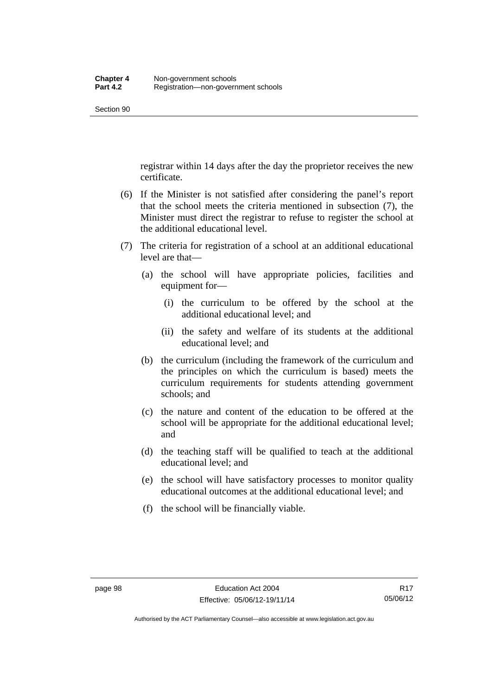registrar within 14 days after the day the proprietor receives the new certificate.

- (6) If the Minister is not satisfied after considering the panel's report that the school meets the criteria mentioned in subsection (7), the Minister must direct the registrar to refuse to register the school at the additional educational level.
- (7) The criteria for registration of a school at an additional educational level are that—
	- (a) the school will have appropriate policies, facilities and equipment for—
		- (i) the curriculum to be offered by the school at the additional educational level; and
		- (ii) the safety and welfare of its students at the additional educational level; and
	- (b) the curriculum (including the framework of the curriculum and the principles on which the curriculum is based) meets the curriculum requirements for students attending government schools; and
	- (c) the nature and content of the education to be offered at the school will be appropriate for the additional educational level; and
	- (d) the teaching staff will be qualified to teach at the additional educational level; and
	- (e) the school will have satisfactory processes to monitor quality educational outcomes at the additional educational level; and
	- (f) the school will be financially viable.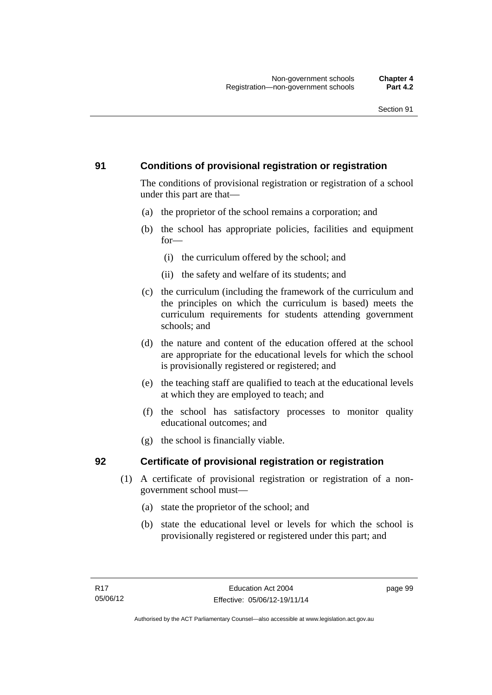# **91 Conditions of provisional registration or registration**

The conditions of provisional registration or registration of a school under this part are that—

- (a) the proprietor of the school remains a corporation; and
- (b) the school has appropriate policies, facilities and equipment for—
	- (i) the curriculum offered by the school; and
	- (ii) the safety and welfare of its students; and
- (c) the curriculum (including the framework of the curriculum and the principles on which the curriculum is based) meets the curriculum requirements for students attending government schools; and
- (d) the nature and content of the education offered at the school are appropriate for the educational levels for which the school is provisionally registered or registered; and
- (e) the teaching staff are qualified to teach at the educational levels at which they are employed to teach; and
- (f) the school has satisfactory processes to monitor quality educational outcomes; and
- (g) the school is financially viable.

# **92 Certificate of provisional registration or registration**

- (1) A certificate of provisional registration or registration of a nongovernment school must—
	- (a) state the proprietor of the school; and
	- (b) state the educational level or levels for which the school is provisionally registered or registered under this part; and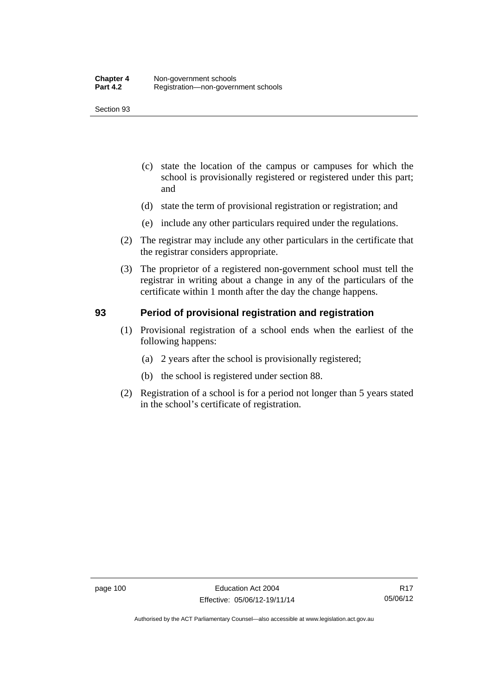- (c) state the location of the campus or campuses for which the school is provisionally registered or registered under this part; and
- (d) state the term of provisional registration or registration; and
- (e) include any other particulars required under the regulations.
- (2) The registrar may include any other particulars in the certificate that the registrar considers appropriate.
- (3) The proprietor of a registered non-government school must tell the registrar in writing about a change in any of the particulars of the certificate within 1 month after the day the change happens.

### **93 Period of provisional registration and registration**

- (1) Provisional registration of a school ends when the earliest of the following happens:
	- (a) 2 years after the school is provisionally registered;
	- (b) the school is registered under section 88.
- (2) Registration of a school is for a period not longer than 5 years stated in the school's certificate of registration.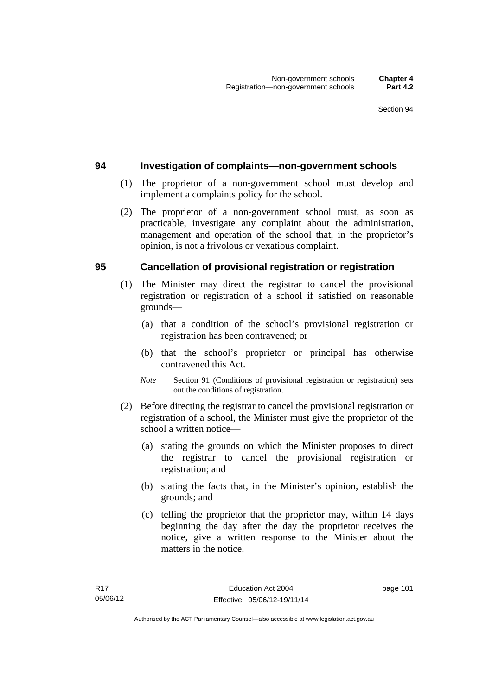#### **94 Investigation of complaints—non-government schools**

- (1) The proprietor of a non-government school must develop and implement a complaints policy for the school.
- (2) The proprietor of a non-government school must, as soon as practicable, investigate any complaint about the administration, management and operation of the school that, in the proprietor's opinion, is not a frivolous or vexatious complaint.

#### **95 Cancellation of provisional registration or registration**

- (1) The Minister may direct the registrar to cancel the provisional registration or registration of a school if satisfied on reasonable grounds—
	- (a) that a condition of the school's provisional registration or registration has been contravened; or
	- (b) that the school's proprietor or principal has otherwise contravened this Act.
	- *Note* Section 91 (Conditions of provisional registration or registration) sets out the conditions of registration.
- (2) Before directing the registrar to cancel the provisional registration or registration of a school, the Minister must give the proprietor of the school a written notice—
	- (a) stating the grounds on which the Minister proposes to direct the registrar to cancel the provisional registration or registration; and
	- (b) stating the facts that, in the Minister's opinion, establish the grounds; and
	- (c) telling the proprietor that the proprietor may, within 14 days beginning the day after the day the proprietor receives the notice, give a written response to the Minister about the matters in the notice.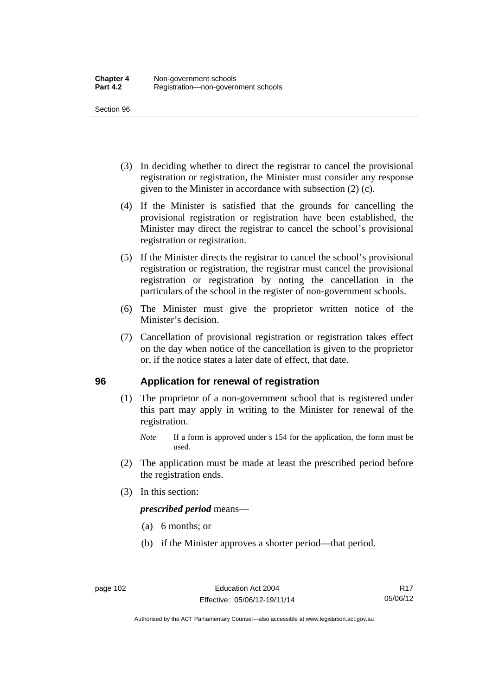- (3) In deciding whether to direct the registrar to cancel the provisional registration or registration, the Minister must consider any response given to the Minister in accordance with subsection (2) (c).
- (4) If the Minister is satisfied that the grounds for cancelling the provisional registration or registration have been established, the Minister may direct the registrar to cancel the school's provisional registration or registration.
- (5) If the Minister directs the registrar to cancel the school's provisional registration or registration, the registrar must cancel the provisional registration or registration by noting the cancellation in the particulars of the school in the register of non-government schools.
- (6) The Minister must give the proprietor written notice of the Minister's decision.
- (7) Cancellation of provisional registration or registration takes effect on the day when notice of the cancellation is given to the proprietor or, if the notice states a later date of effect, that date.

#### **96 Application for renewal of registration**

- (1) The proprietor of a non-government school that is registered under this part may apply in writing to the Minister for renewal of the registration.
	- *Note* If a form is approved under s 154 for the application, the form must be used.
- (2) The application must be made at least the prescribed period before the registration ends.
- (3) In this section:

*prescribed period* means—

- (a) 6 months; or
- (b) if the Minister approves a shorter period—that period.

Authorised by the ACT Parliamentary Counsel—also accessible at www.legislation.act.gov.au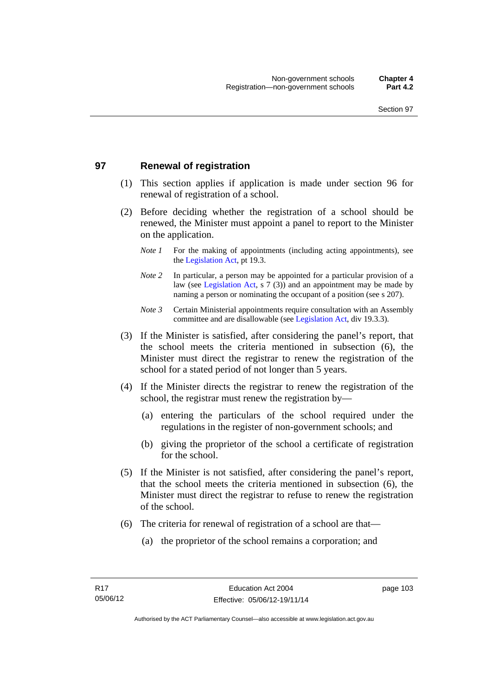# **97 Renewal of registration**

- (1) This section applies if application is made under section 96 for renewal of registration of a school.
- (2) Before deciding whether the registration of a school should be renewed, the Minister must appoint a panel to report to the Minister on the application.
	- *Note 1* For the making of appointments (including acting appointments), see the [Legislation Act,](http://www.legislation.act.gov.au/a/2001-14) pt 19.3.
	- *Note 2* In particular, a person may be appointed for a particular provision of a law (see [Legislation Act,](http://www.legislation.act.gov.au/a/2001-14) s 7 (3)) and an appointment may be made by naming a person or nominating the occupant of a position (see s 207).
	- *Note 3* Certain Ministerial appointments require consultation with an Assembly committee and are disallowable (see [Legislation Act](http://www.legislation.act.gov.au/a/2001-14), div 19.3.3).
- (3) If the Minister is satisfied, after considering the panel's report, that the school meets the criteria mentioned in subsection (6), the Minister must direct the registrar to renew the registration of the school for a stated period of not longer than 5 years.
- (4) If the Minister directs the registrar to renew the registration of the school, the registrar must renew the registration by—
	- (a) entering the particulars of the school required under the regulations in the register of non-government schools; and
	- (b) giving the proprietor of the school a certificate of registration for the school.
- (5) If the Minister is not satisfied, after considering the panel's report, that the school meets the criteria mentioned in subsection (6), the Minister must direct the registrar to refuse to renew the registration of the school.
- (6) The criteria for renewal of registration of a school are that—
	- (a) the proprietor of the school remains a corporation; and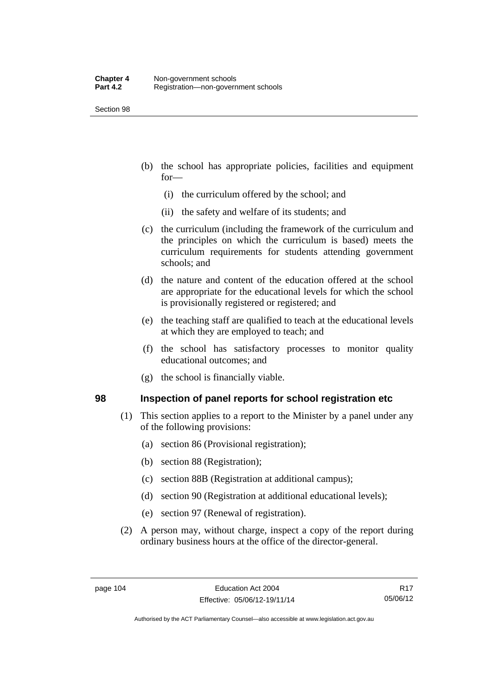- (b) the school has appropriate policies, facilities and equipment for—
	- (i) the curriculum offered by the school; and
	- (ii) the safety and welfare of its students; and
- (c) the curriculum (including the framework of the curriculum and the principles on which the curriculum is based) meets the curriculum requirements for students attending government schools; and
- (d) the nature and content of the education offered at the school are appropriate for the educational levels for which the school is provisionally registered or registered; and
- (e) the teaching staff are qualified to teach at the educational levels at which they are employed to teach; and
- (f) the school has satisfactory processes to monitor quality educational outcomes; and
- (g) the school is financially viable.

#### **98 Inspection of panel reports for school registration etc**

- (1) This section applies to a report to the Minister by a panel under any of the following provisions:
	- (a) section 86 (Provisional registration);
	- (b) section 88 (Registration);
	- (c) section 88B (Registration at additional campus);
	- (d) section 90 (Registration at additional educational levels);
	- (e) section 97 (Renewal of registration).
- (2) A person may, without charge, inspect a copy of the report during ordinary business hours at the office of the director-general.

Authorised by the ACT Parliamentary Counsel—also accessible at www.legislation.act.gov.au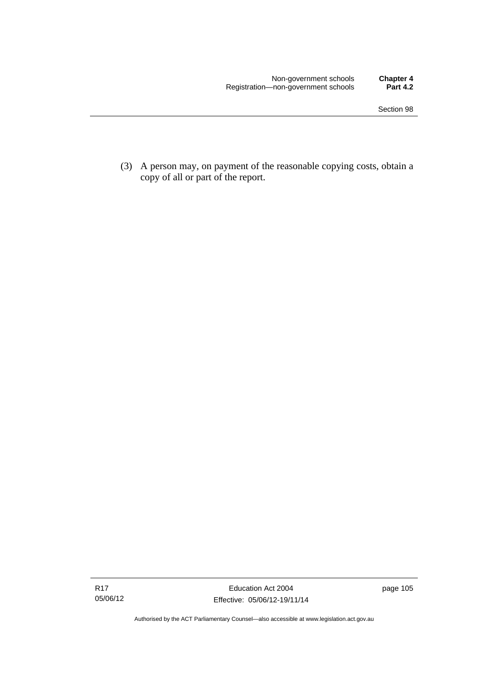(3) A person may, on payment of the reasonable copying costs, obtain a copy of all or part of the report.

Authorised by the ACT Parliamentary Counsel—also accessible at www.legislation.act.gov.au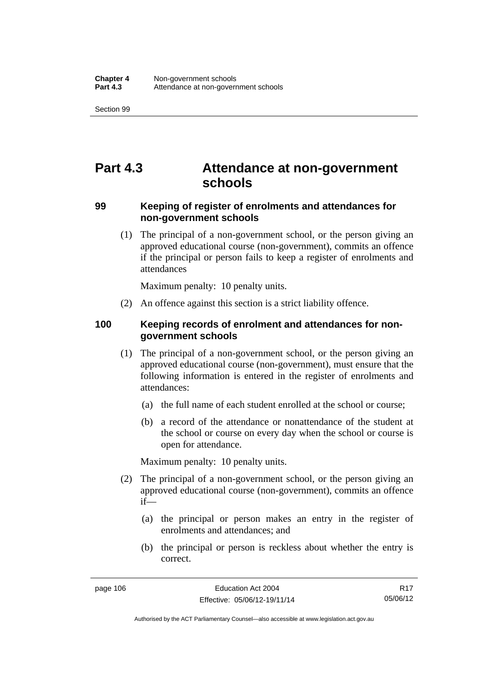# **Part 4.3 Attendance at non-government schools**

### **99 Keeping of register of enrolments and attendances for non-government schools**

 (1) The principal of a non-government school, or the person giving an approved educational course (non-government), commits an offence if the principal or person fails to keep a register of enrolments and attendances

Maximum penalty: 10 penalty units.

(2) An offence against this section is a strict liability offence.

### **100 Keeping records of enrolment and attendances for nongovernment schools**

- (1) The principal of a non-government school, or the person giving an approved educational course (non-government), must ensure that the following information is entered in the register of enrolments and attendances:
	- (a) the full name of each student enrolled at the school or course;
	- (b) a record of the attendance or nonattendance of the student at the school or course on every day when the school or course is open for attendance.

Maximum penalty: 10 penalty units.

- (2) The principal of a non-government school, or the person giving an approved educational course (non-government), commits an offence if—
	- (a) the principal or person makes an entry in the register of enrolments and attendances; and
	- (b) the principal or person is reckless about whether the entry is correct.

Authorised by the ACT Parliamentary Counsel—also accessible at www.legislation.act.gov.au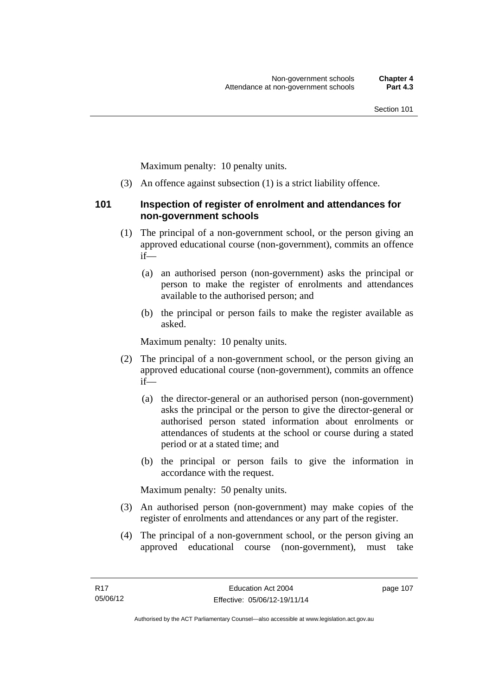Maximum penalty: 10 penalty units.

(3) An offence against subsection (1) is a strict liability offence.

#### **101 Inspection of register of enrolment and attendances for non-government schools**

- (1) The principal of a non-government school, or the person giving an approved educational course (non-government), commits an offence if—
	- (a) an authorised person (non-government) asks the principal or person to make the register of enrolments and attendances available to the authorised person; and
	- (b) the principal or person fails to make the register available as asked.

Maximum penalty: 10 penalty units.

- (2) The principal of a non-government school, or the person giving an approved educational course (non-government), commits an offence if—
	- (a) the director-general or an authorised person (non-government) asks the principal or the person to give the director-general or authorised person stated information about enrolments or attendances of students at the school or course during a stated period or at a stated time; and
	- (b) the principal or person fails to give the information in accordance with the request.

Maximum penalty: 50 penalty units.

- (3) An authorised person (non-government) may make copies of the register of enrolments and attendances or any part of the register.
- (4) The principal of a non-government school, or the person giving an approved educational course (non-government), must take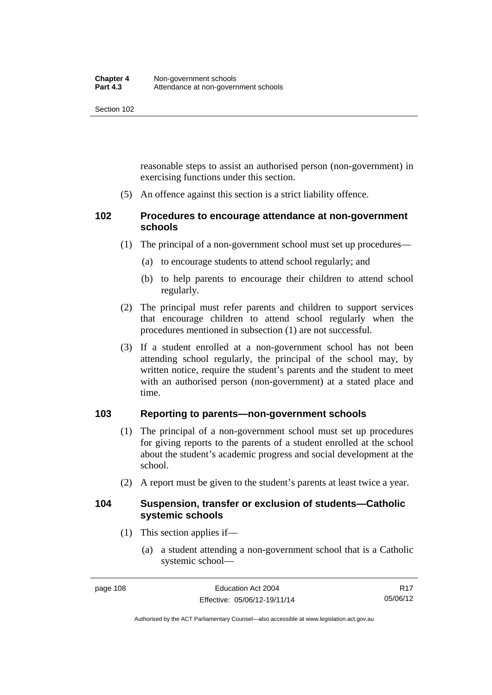reasonable steps to assist an authorised person (non-government) in exercising functions under this section.

(5) An offence against this section is a strict liability offence.

# **102 Procedures to encourage attendance at non-government schools**

- (1) The principal of a non-government school must set up procedures—
	- (a) to encourage students to attend school regularly; and
	- (b) to help parents to encourage their children to attend school regularly.
- (2) The principal must refer parents and children to support services that encourage children to attend school regularly when the procedures mentioned in subsection (1) are not successful.
- (3) If a student enrolled at a non-government school has not been attending school regularly, the principal of the school may, by written notice, require the student's parents and the student to meet with an authorised person (non-government) at a stated place and time.

# **103 Reporting to parents—non-government schools**

- (1) The principal of a non-government school must set up procedures for giving reports to the parents of a student enrolled at the school about the student's academic progress and social development at the school.
- (2) A report must be given to the student's parents at least twice a year.

#### **104 Suspension, transfer or exclusion of students—Catholic systemic schools**

- (1) This section applies if—
	- (a) a student attending a non-government school that is a Catholic systemic school—

Authorised by the ACT Parliamentary Counsel—also accessible at www.legislation.act.gov.au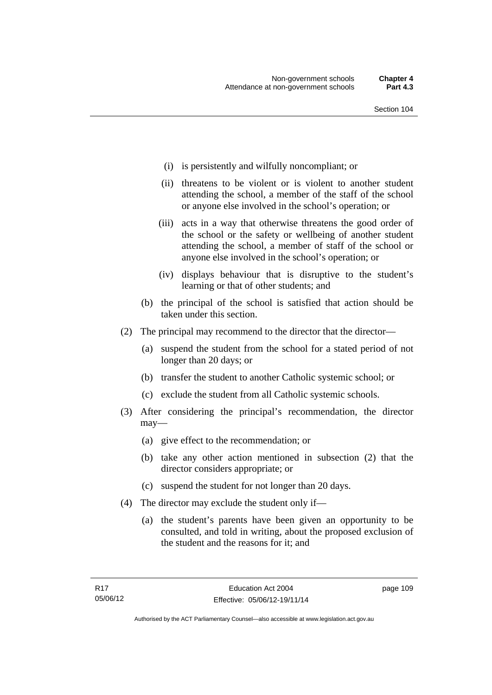- (i) is persistently and wilfully noncompliant; or
- (ii) threatens to be violent or is violent to another student attending the school, a member of the staff of the school or anyone else involved in the school's operation; or
- (iii) acts in a way that otherwise threatens the good order of the school or the safety or wellbeing of another student attending the school, a member of staff of the school or anyone else involved in the school's operation; or
- (iv) displays behaviour that is disruptive to the student's learning or that of other students; and
- (b) the principal of the school is satisfied that action should be taken under this section.
- (2) The principal may recommend to the director that the director—
	- (a) suspend the student from the school for a stated period of not longer than 20 days; or
	- (b) transfer the student to another Catholic systemic school; or
	- (c) exclude the student from all Catholic systemic schools.
- (3) After considering the principal's recommendation, the director may—
	- (a) give effect to the recommendation; or
	- (b) take any other action mentioned in subsection (2) that the director considers appropriate; or
	- (c) suspend the student for not longer than 20 days.
- (4) The director may exclude the student only if—
	- (a) the student's parents have been given an opportunity to be consulted, and told in writing, about the proposed exclusion of the student and the reasons for it; and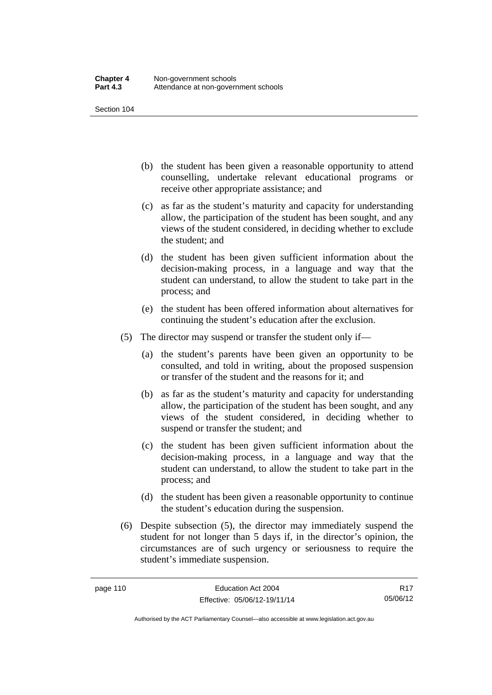- (b) the student has been given a reasonable opportunity to attend counselling, undertake relevant educational programs or receive other appropriate assistance; and
- (c) as far as the student's maturity and capacity for understanding allow, the participation of the student has been sought, and any views of the student considered, in deciding whether to exclude the student; and
- (d) the student has been given sufficient information about the decision-making process, in a language and way that the student can understand, to allow the student to take part in the process; and
- (e) the student has been offered information about alternatives for continuing the student's education after the exclusion.
- (5) The director may suspend or transfer the student only if—
	- (a) the student's parents have been given an opportunity to be consulted, and told in writing, about the proposed suspension or transfer of the student and the reasons for it; and
	- (b) as far as the student's maturity and capacity for understanding allow, the participation of the student has been sought, and any views of the student considered, in deciding whether to suspend or transfer the student; and
	- (c) the student has been given sufficient information about the decision-making process, in a language and way that the student can understand, to allow the student to take part in the process; and
	- (d) the student has been given a reasonable opportunity to continue the student's education during the suspension.
- (6) Despite subsection (5), the director may immediately suspend the student for not longer than 5 days if, in the director's opinion, the circumstances are of such urgency or seriousness to require the student's immediate suspension.

R17 05/06/12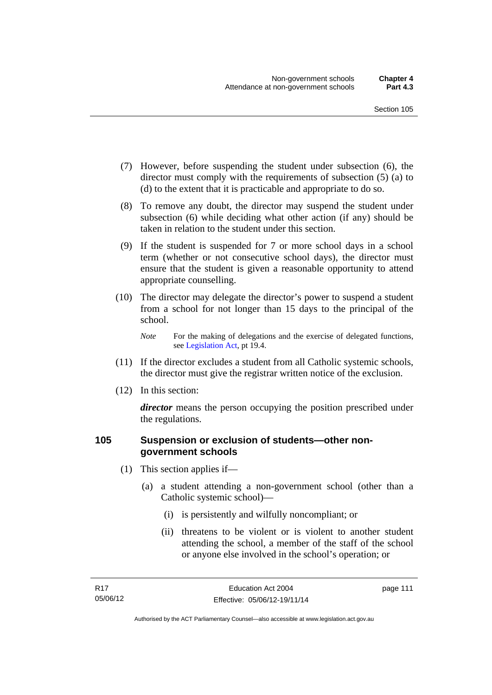- (7) However, before suspending the student under subsection (6), the director must comply with the requirements of subsection (5) (a) to (d) to the extent that it is practicable and appropriate to do so.
- (8) To remove any doubt, the director may suspend the student under subsection (6) while deciding what other action (if any) should be taken in relation to the student under this section.
- (9) If the student is suspended for 7 or more school days in a school term (whether or not consecutive school days), the director must ensure that the student is given a reasonable opportunity to attend appropriate counselling.
- (10) The director may delegate the director's power to suspend a student from a school for not longer than 15 days to the principal of the school.

*Note* For the making of delegations and the exercise of delegated functions, see [Legislation Act](http://www.legislation.act.gov.au/a/2001-14), pt 19.4.

- (11) If the director excludes a student from all Catholic systemic schools, the director must give the registrar written notice of the exclusion.
- (12) In this section:

*director* means the person occupying the position prescribed under the regulations.

### **105 Suspension or exclusion of students—other nongovernment schools**

- (1) This section applies if—
	- (a) a student attending a non-government school (other than a Catholic systemic school)—
		- (i) is persistently and wilfully noncompliant; or
		- (ii) threatens to be violent or is violent to another student attending the school, a member of the staff of the school or anyone else involved in the school's operation; or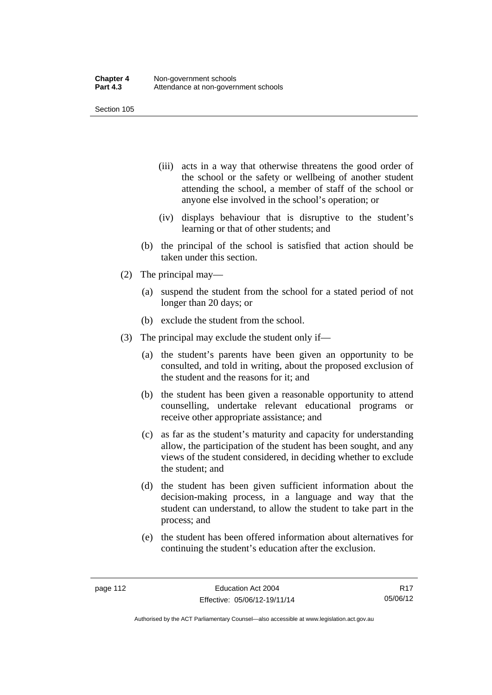- (iii) acts in a way that otherwise threatens the good order of the school or the safety or wellbeing of another student attending the school, a member of staff of the school or anyone else involved in the school's operation; or
- (iv) displays behaviour that is disruptive to the student's learning or that of other students; and
- (b) the principal of the school is satisfied that action should be taken under this section.
- (2) The principal may—
	- (a) suspend the student from the school for a stated period of not longer than 20 days; or
	- (b) exclude the student from the school.
- (3) The principal may exclude the student only if—
	- (a) the student's parents have been given an opportunity to be consulted, and told in writing, about the proposed exclusion of the student and the reasons for it; and
	- (b) the student has been given a reasonable opportunity to attend counselling, undertake relevant educational programs or receive other appropriate assistance; and
	- (c) as far as the student's maturity and capacity for understanding allow, the participation of the student has been sought, and any views of the student considered, in deciding whether to exclude the student; and
	- (d) the student has been given sufficient information about the decision-making process, in a language and way that the student can understand, to allow the student to take part in the process; and
	- (e) the student has been offered information about alternatives for continuing the student's education after the exclusion.

Authorised by the ACT Parliamentary Counsel—also accessible at www.legislation.act.gov.au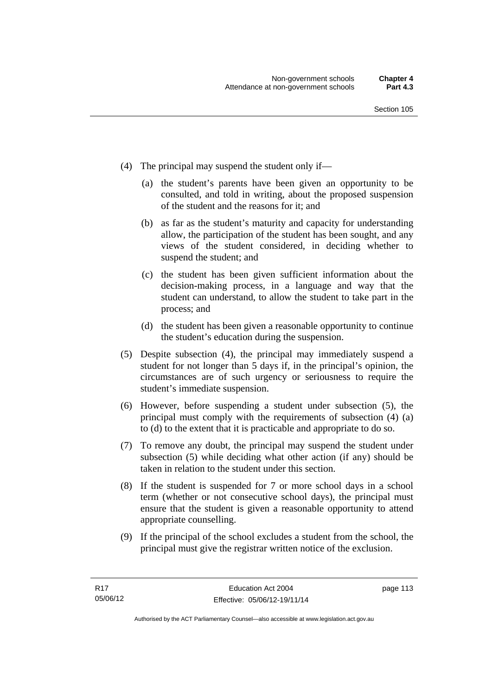- (4) The principal may suspend the student only if—
	- (a) the student's parents have been given an opportunity to be consulted, and told in writing, about the proposed suspension of the student and the reasons for it; and
	- (b) as far as the student's maturity and capacity for understanding allow, the participation of the student has been sought, and any views of the student considered, in deciding whether to suspend the student; and
	- (c) the student has been given sufficient information about the decision-making process, in a language and way that the student can understand, to allow the student to take part in the process; and
	- (d) the student has been given a reasonable opportunity to continue the student's education during the suspension.
- (5) Despite subsection (4), the principal may immediately suspend a student for not longer than 5 days if, in the principal's opinion, the circumstances are of such urgency or seriousness to require the student's immediate suspension.
- (6) However, before suspending a student under subsection (5), the principal must comply with the requirements of subsection (4) (a) to (d) to the extent that it is practicable and appropriate to do so.
- (7) To remove any doubt, the principal may suspend the student under subsection (5) while deciding what other action (if any) should be taken in relation to the student under this section.
- (8) If the student is suspended for 7 or more school days in a school term (whether or not consecutive school days), the principal must ensure that the student is given a reasonable opportunity to attend appropriate counselling.
- (9) If the principal of the school excludes a student from the school, the principal must give the registrar written notice of the exclusion.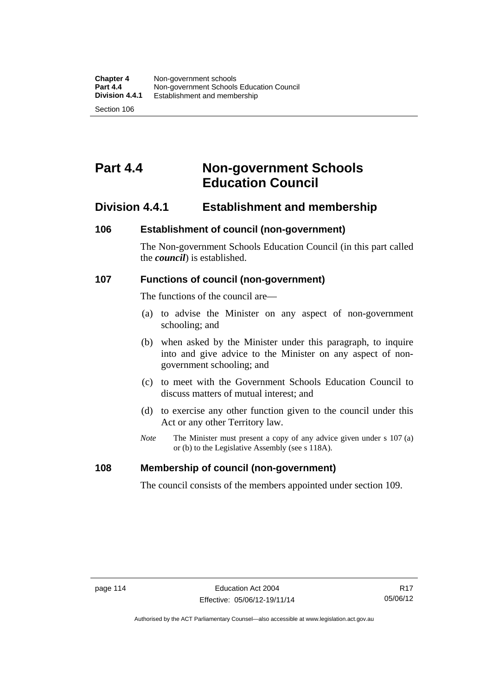# **Part 4.4 Non-government Schools Education Council**

# **Division 4.4.1 Establishment and membership**

#### **106 Establishment of council (non-government)**

The Non-government Schools Education Council (in this part called the *council*) is established.

#### **107 Functions of council (non-government)**

The functions of the council are—

- (a) to advise the Minister on any aspect of non-government schooling; and
- (b) when asked by the Minister under this paragraph, to inquire into and give advice to the Minister on any aspect of nongovernment schooling; and
- (c) to meet with the Government Schools Education Council to discuss matters of mutual interest; and
- (d) to exercise any other function given to the council under this Act or any other Territory law.
- *Note* The Minister must present a copy of any advice given under s 107 (a) or (b) to the Legislative Assembly (see s 118A).

#### **108 Membership of council (non-government)**

The council consists of the members appointed under section 109.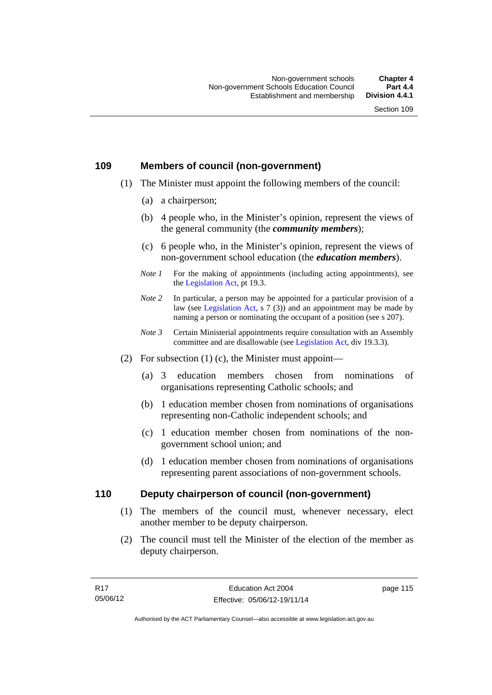# **109 Members of council (non-government)**

- (1) The Minister must appoint the following members of the council:
	- (a) a chairperson;
	- (b) 4 people who, in the Minister's opinion, represent the views of the general community (the *community members*);
	- (c) 6 people who, in the Minister's opinion, represent the views of non-government school education (the *education members*).
	- *Note 1* For the making of appointments (including acting appointments), see the [Legislation Act,](http://www.legislation.act.gov.au/a/2001-14) pt 19.3.
	- *Note 2* In particular, a person may be appointed for a particular provision of a law (see [Legislation Act,](http://www.legislation.act.gov.au/a/2001-14) s 7 (3)) and an appointment may be made by naming a person or nominating the occupant of a position (see s 207).
	- *Note 3* Certain Ministerial appointments require consultation with an Assembly committee and are disallowable (see [Legislation Act](http://www.legislation.act.gov.au/a/2001-14), div 19.3.3).
- (2) For subsection  $(1)$  (c), the Minister must appoint—
	- (a) 3 education members chosen from nominations of organisations representing Catholic schools; and
	- (b) 1 education member chosen from nominations of organisations representing non-Catholic independent schools; and
	- (c) 1 education member chosen from nominations of the nongovernment school union; and
	- (d) 1 education member chosen from nominations of organisations representing parent associations of non-government schools.

#### **110 Deputy chairperson of council (non-government)**

- (1) The members of the council must, whenever necessary, elect another member to be deputy chairperson.
- (2) The council must tell the Minister of the election of the member as deputy chairperson.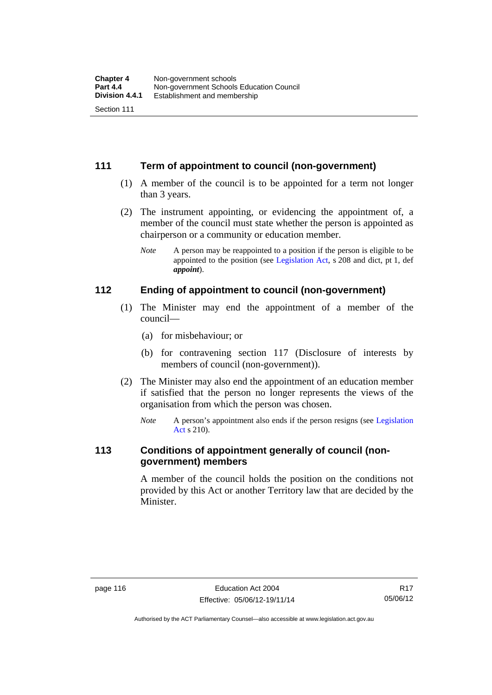# **111 Term of appointment to council (non-government)**

- (1) A member of the council is to be appointed for a term not longer than 3 years.
- (2) The instrument appointing, or evidencing the appointment of, a member of the council must state whether the person is appointed as chairperson or a community or education member.
	- *Note* A person may be reappointed to a position if the person is eligible to be appointed to the position (see [Legislation Act](http://www.legislation.act.gov.au/a/2001-14), s 208 and dict, pt 1, def *appoint*).

#### **112 Ending of appointment to council (non-government)**

- (1) The Minister may end the appointment of a member of the council—
	- (a) for misbehaviour; or
	- (b) for contravening section 117 (Disclosure of interests by members of council (non-government)).
- (2) The Minister may also end the appointment of an education member if satisfied that the person no longer represents the views of the organisation from which the person was chosen.
	- *Note* A person's appointment also ends if the person resigns (see Legislation [Act](http://www.legislation.act.gov.au/a/2001-14) s 210).

# **113 Conditions of appointment generally of council (nongovernment) members**

A member of the council holds the position on the conditions not provided by this Act or another Territory law that are decided by the Minister.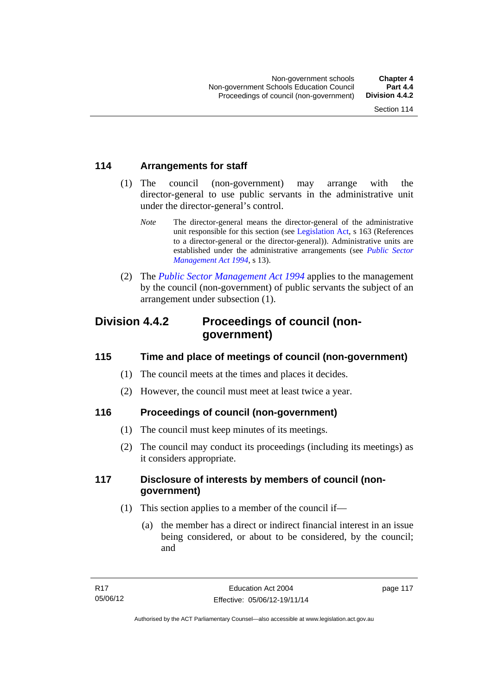# **114 Arrangements for staff**

- (1) The council (non-government) may arrange with the director-general to use public servants in the administrative unit under the director-general's control.
	- *Note* The director-general means the director-general of the administrative unit responsible for this section (see [Legislation Act](http://www.legislation.act.gov.au/a/2001-14), s 163 (References to a director-general or the director-general)). Administrative units are established under the administrative arrangements (see *[Public Sector](http://www.legislation.act.gov.au/a/1994-37)  [Management Act 1994](http://www.legislation.act.gov.au/a/1994-37)*, s 13).
- (2) The *[Public Sector Management Act 1994](http://www.legislation.act.gov.au/a/1994-37)* applies to the management by the council (non-government) of public servants the subject of an arrangement under subsection (1).

# **Division 4.4.2 Proceedings of council (nongovernment)**

# **115 Time and place of meetings of council (non-government)**

- (1) The council meets at the times and places it decides.
- (2) However, the council must meet at least twice a year.

# **116 Proceedings of council (non-government)**

- (1) The council must keep minutes of its meetings.
- (2) The council may conduct its proceedings (including its meetings) as it considers appropriate.

# **117 Disclosure of interests by members of council (nongovernment)**

- (1) This section applies to a member of the council if—
	- (a) the member has a direct or indirect financial interest in an issue being considered, or about to be considered, by the council; and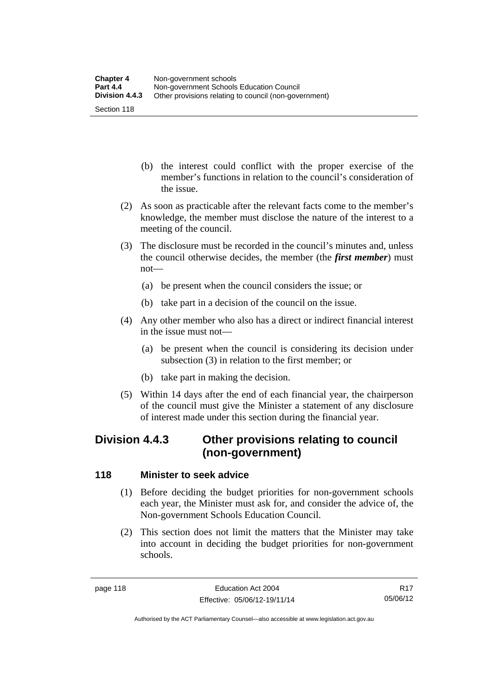- (b) the interest could conflict with the proper exercise of the member's functions in relation to the council's consideration of the issue.
- (2) As soon as practicable after the relevant facts come to the member's knowledge, the member must disclose the nature of the interest to a meeting of the council.
- (3) The disclosure must be recorded in the council's minutes and, unless the council otherwise decides, the member (the *first member*) must not—
	- (a) be present when the council considers the issue; or
	- (b) take part in a decision of the council on the issue.
- (4) Any other member who also has a direct or indirect financial interest in the issue must not—
	- (a) be present when the council is considering its decision under subsection (3) in relation to the first member; or
	- (b) take part in making the decision.
- (5) Within 14 days after the end of each financial year, the chairperson of the council must give the Minister a statement of any disclosure of interest made under this section during the financial year.

# **Division 4.4.3 Other provisions relating to council (non-government)**

# **118 Minister to seek advice**

- (1) Before deciding the budget priorities for non-government schools each year, the Minister must ask for, and consider the advice of, the Non-government Schools Education Council.
- (2) This section does not limit the matters that the Minister may take into account in deciding the budget priorities for non-government schools.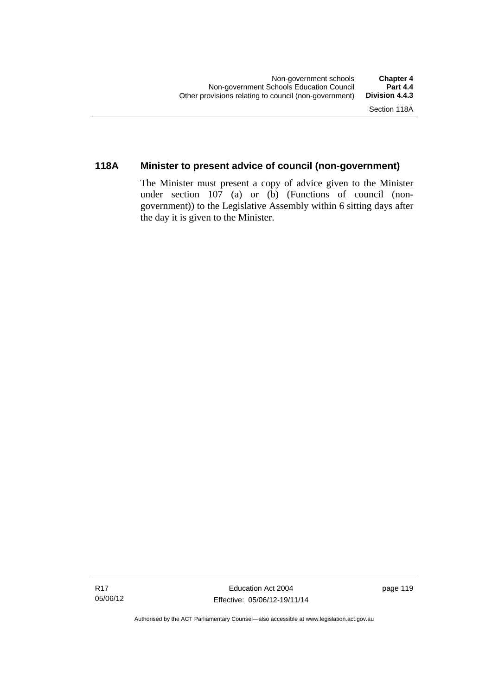# **118A Minister to present advice of council (non-government)**

The Minister must present a copy of advice given to the Minister under section 107 (a) or (b) (Functions of council (nongovernment)) to the Legislative Assembly within 6 sitting days after the day it is given to the Minister.

Authorised by the ACT Parliamentary Counsel—also accessible at www.legislation.act.gov.au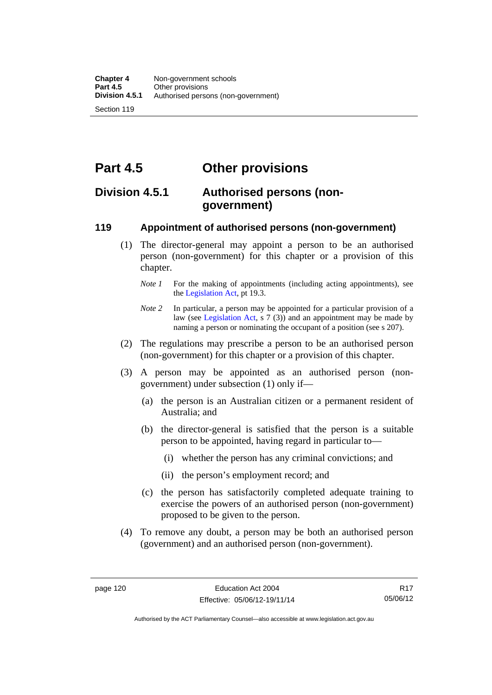**Part 4.5 Other provisions** 

# **Division 4.5.1 Authorised persons (nongovernment)**

### **119 Appointment of authorised persons (non-government)**

- (1) The director-general may appoint a person to be an authorised person (non-government) for this chapter or a provision of this chapter.
	- *Note 1* For the making of appointments (including acting appointments), see the [Legislation Act,](http://www.legislation.act.gov.au/a/2001-14) pt 19.3.
	- *Note* 2 In particular, a person may be appointed for a particular provision of a law (see [Legislation Act,](http://www.legislation.act.gov.au/a/2001-14) s 7 (3)) and an appointment may be made by naming a person or nominating the occupant of a position (see s 207).
- (2) The regulations may prescribe a person to be an authorised person (non-government) for this chapter or a provision of this chapter.
- (3) A person may be appointed as an authorised person (nongovernment) under subsection (1) only if—
	- (a) the person is an Australian citizen or a permanent resident of Australia; and
	- (b) the director-general is satisfied that the person is a suitable person to be appointed, having regard in particular to—
		- (i) whether the person has any criminal convictions; and
		- (ii) the person's employment record; and
	- (c) the person has satisfactorily completed adequate training to exercise the powers of an authorised person (non-government) proposed to be given to the person.
- (4) To remove any doubt, a person may be both an authorised person (government) and an authorised person (non-government).

R17 05/06/12

Authorised by the ACT Parliamentary Counsel—also accessible at www.legislation.act.gov.au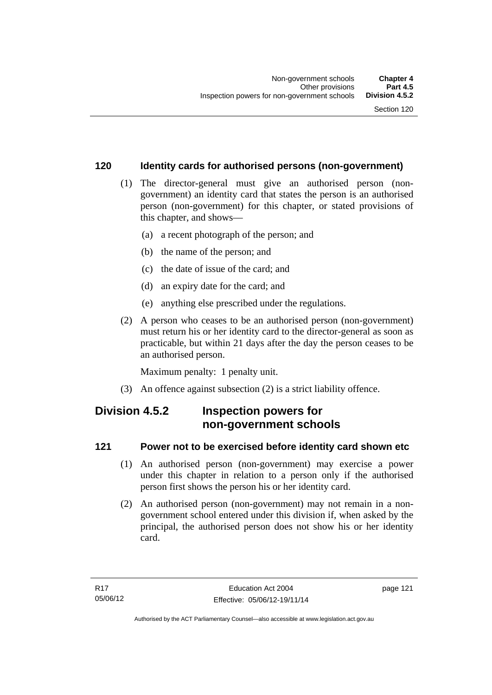# **120 Identity cards for authorised persons (non-government)**

- (1) The director-general must give an authorised person (nongovernment) an identity card that states the person is an authorised person (non-government) for this chapter, or stated provisions of this chapter, and shows—
	- (a) a recent photograph of the person; and
	- (b) the name of the person; and
	- (c) the date of issue of the card; and
	- (d) an expiry date for the card; and
	- (e) anything else prescribed under the regulations.
- (2) A person who ceases to be an authorised person (non-government) must return his or her identity card to the director-general as soon as practicable, but within 21 days after the day the person ceases to be an authorised person.

Maximum penalty: 1 penalty unit.

(3) An offence against subsection (2) is a strict liability offence.

# **Division 4.5.2 Inspection powers for non-government schools**

# **121 Power not to be exercised before identity card shown etc**

- (1) An authorised person (non-government) may exercise a power under this chapter in relation to a person only if the authorised person first shows the person his or her identity card.
- (2) An authorised person (non-government) may not remain in a nongovernment school entered under this division if, when asked by the principal, the authorised person does not show his or her identity card.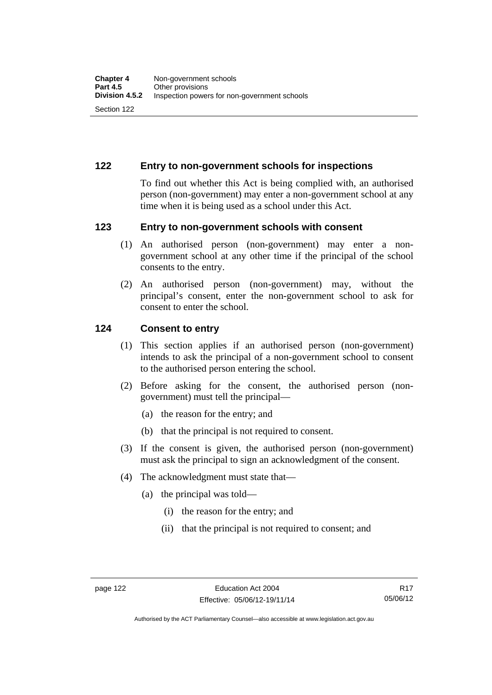# **122 Entry to non-government schools for inspections**

To find out whether this Act is being complied with, an authorised person (non-government) may enter a non-government school at any time when it is being used as a school under this Act.

#### **123 Entry to non-government schools with consent**

- (1) An authorised person (non-government) may enter a nongovernment school at any other time if the principal of the school consents to the entry.
- (2) An authorised person (non-government) may, without the principal's consent, enter the non-government school to ask for consent to enter the school.

#### **124 Consent to entry**

- (1) This section applies if an authorised person (non-government) intends to ask the principal of a non-government school to consent to the authorised person entering the school.
- (2) Before asking for the consent, the authorised person (nongovernment) must tell the principal—
	- (a) the reason for the entry; and
	- (b) that the principal is not required to consent.
- (3) If the consent is given, the authorised person (non-government) must ask the principal to sign an acknowledgment of the consent.
- (4) The acknowledgment must state that—
	- (a) the principal was told—
		- (i) the reason for the entry; and
		- (ii) that the principal is not required to consent; and

Authorised by the ACT Parliamentary Counsel—also accessible at www.legislation.act.gov.au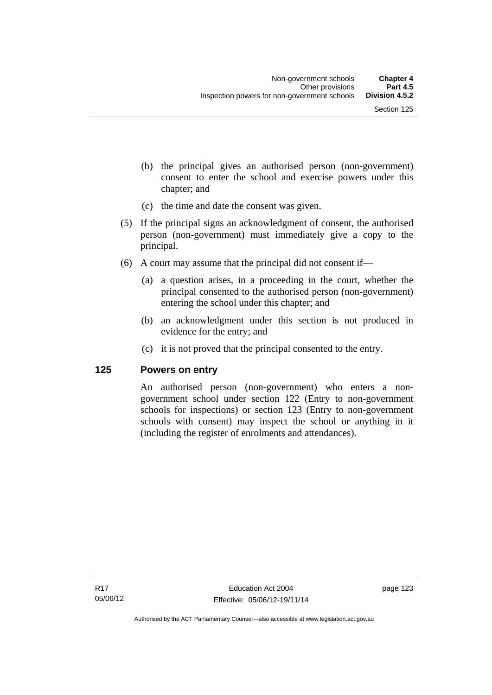- (b) the principal gives an authorised person (non-government) consent to enter the school and exercise powers under this chapter; and
- (c) the time and date the consent was given.
- (5) If the principal signs an acknowledgment of consent, the authorised person (non-government) must immediately give a copy to the principal.
- (6) A court may assume that the principal did not consent if—
	- (a) a question arises, in a proceeding in the court, whether the principal consented to the authorised person (non-government) entering the school under this chapter; and
	- (b) an acknowledgment under this section is not produced in evidence for the entry; and
	- (c) it is not proved that the principal consented to the entry.

#### **125 Powers on entry**

An authorised person (non-government) who enters a nongovernment school under section 122 (Entry to non-government schools for inspections) or section 123 (Entry to non-government schools with consent) may inspect the school or anything in it (including the register of enrolments and attendances).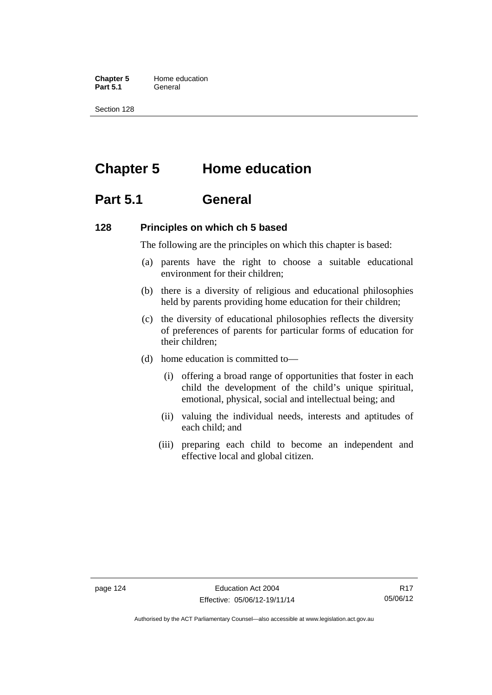**Chapter 5** Home education Part 5.1 **General** 

Section 128

# **Chapter 5 Home education**

# **Part 5.1 General**

#### **128 Principles on which ch 5 based**

The following are the principles on which this chapter is based:

- (a) parents have the right to choose a suitable educational environment for their children;
- (b) there is a diversity of religious and educational philosophies held by parents providing home education for their children;
- (c) the diversity of educational philosophies reflects the diversity of preferences of parents for particular forms of education for their children;
- (d) home education is committed to—
	- (i) offering a broad range of opportunities that foster in each child the development of the child's unique spiritual, emotional, physical, social and intellectual being; and
	- (ii) valuing the individual needs, interests and aptitudes of each child; and
	- (iii) preparing each child to become an independent and effective local and global citizen.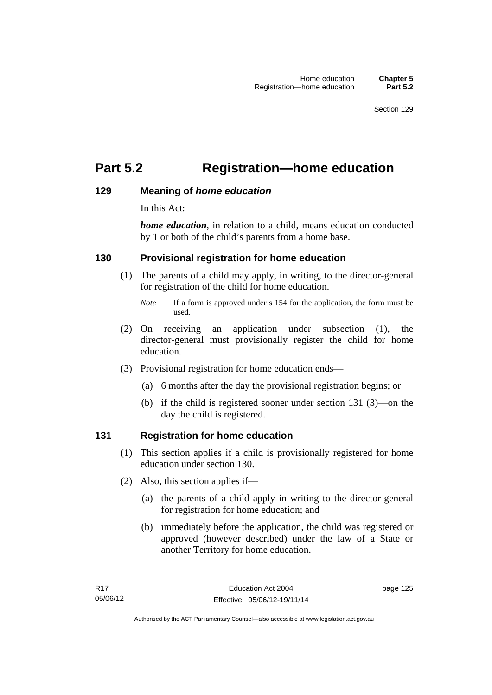# **Part 5.2 Registration—home education**

#### **129 Meaning of** *home education*

In this Act:

*home education*, in relation to a child, means education conducted by 1 or both of the child's parents from a home base.

### **130 Provisional registration for home education**

(1) The parents of a child may apply, in writing, to the director-general for registration of the child for home education.

- (2) On receiving an application under subsection (1), the director-general must provisionally register the child for home education.
- (3) Provisional registration for home education ends—
	- (a) 6 months after the day the provisional registration begins; or
	- (b) if the child is registered sooner under section 131 (3)—on the day the child is registered.

#### **131 Registration for home education**

- (1) This section applies if a child is provisionally registered for home education under section 130.
- (2) Also, this section applies if—
	- (a) the parents of a child apply in writing to the director-general for registration for home education; and
	- (b) immediately before the application, the child was registered or approved (however described) under the law of a State or another Territory for home education.

*Note* If a form is approved under s 154 for the application, the form must be used.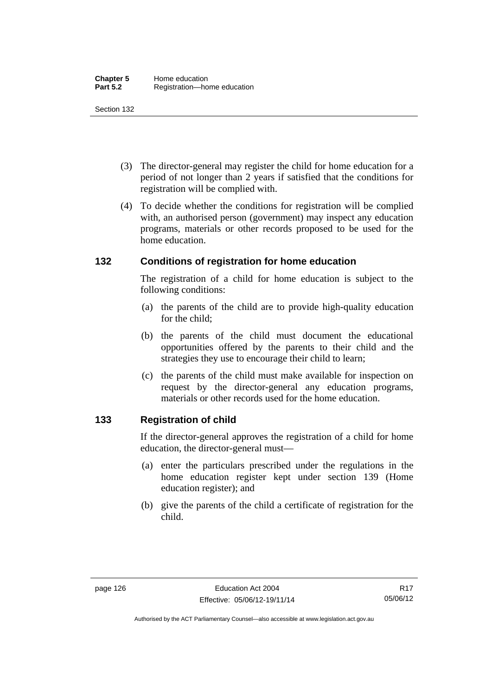- (3) The director-general may register the child for home education for a period of not longer than 2 years if satisfied that the conditions for registration will be complied with.
- (4) To decide whether the conditions for registration will be complied with, an authorised person (government) may inspect any education programs, materials or other records proposed to be used for the home education.

### **132 Conditions of registration for home education**

The registration of a child for home education is subject to the following conditions:

- (a) the parents of the child are to provide high-quality education for the child;
- (b) the parents of the child must document the educational opportunities offered by the parents to their child and the strategies they use to encourage their child to learn;
- (c) the parents of the child must make available for inspection on request by the director-general any education programs, materials or other records used for the home education.

# **133 Registration of child**

If the director-general approves the registration of a child for home education, the director-general must—

- (a) enter the particulars prescribed under the regulations in the home education register kept under section 139 (Home education register); and
- (b) give the parents of the child a certificate of registration for the child.

Authorised by the ACT Parliamentary Counsel—also accessible at www.legislation.act.gov.au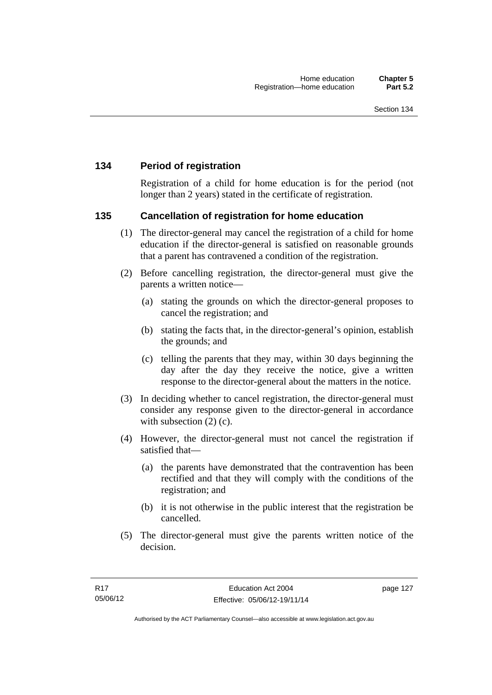# **134 Period of registration**

Registration of a child for home education is for the period (not longer than 2 years) stated in the certificate of registration.

#### **135 Cancellation of registration for home education**

- (1) The director-general may cancel the registration of a child for home education if the director-general is satisfied on reasonable grounds that a parent has contravened a condition of the registration.
- (2) Before cancelling registration, the director-general must give the parents a written notice—
	- (a) stating the grounds on which the director-general proposes to cancel the registration; and
	- (b) stating the facts that, in the director-general's opinion, establish the grounds; and
	- (c) telling the parents that they may, within 30 days beginning the day after the day they receive the notice, give a written response to the director-general about the matters in the notice.
- (3) In deciding whether to cancel registration, the director-general must consider any response given to the director-general in accordance with subsection  $(2)$  (c).
- (4) However, the director-general must not cancel the registration if satisfied that—
	- (a) the parents have demonstrated that the contravention has been rectified and that they will comply with the conditions of the registration; and
	- (b) it is not otherwise in the public interest that the registration be cancelled.
- (5) The director-general must give the parents written notice of the decision.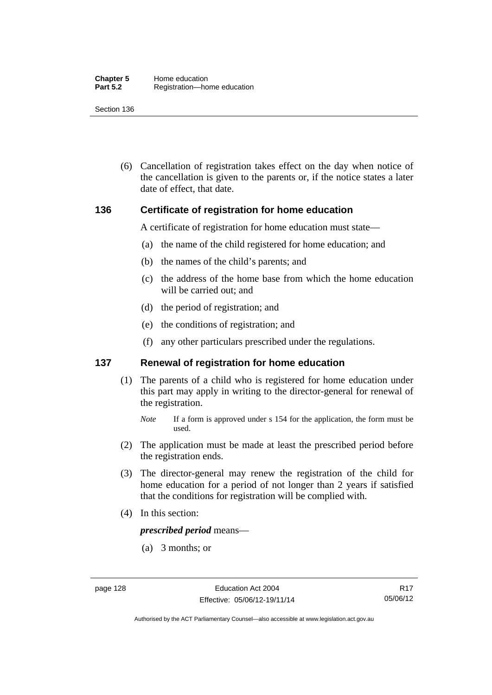(6) Cancellation of registration takes effect on the day when notice of the cancellation is given to the parents or, if the notice states a later date of effect, that date.

#### **136 Certificate of registration for home education**

A certificate of registration for home education must state—

- (a) the name of the child registered for home education; and
- (b) the names of the child's parents; and
- (c) the address of the home base from which the home education will be carried out; and
- (d) the period of registration; and
- (e) the conditions of registration; and
- (f) any other particulars prescribed under the regulations.

#### **137 Renewal of registration for home education**

(1) The parents of a child who is registered for home education under this part may apply in writing to the director-general for renewal of the registration.

- (2) The application must be made at least the prescribed period before the registration ends.
- (3) The director-general may renew the registration of the child for home education for a period of not longer than 2 years if satisfied that the conditions for registration will be complied with.
- (4) In this section:

*prescribed period* means—

(a) 3 months; or

*Note* If a form is approved under s 154 for the application, the form must be used.

R17 05/06/12

Authorised by the ACT Parliamentary Counsel—also accessible at www.legislation.act.gov.au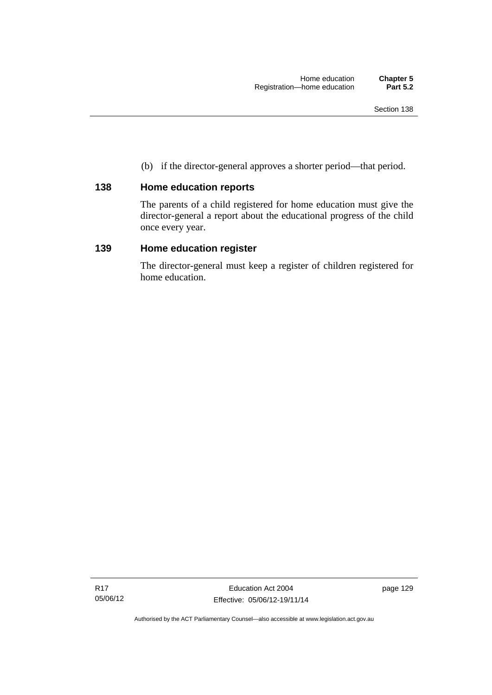(b) if the director-general approves a shorter period—that period.

# **138 Home education reports**

The parents of a child registered for home education must give the director-general a report about the educational progress of the child once every year.

## **139 Home education register**

The director-general must keep a register of children registered for home education.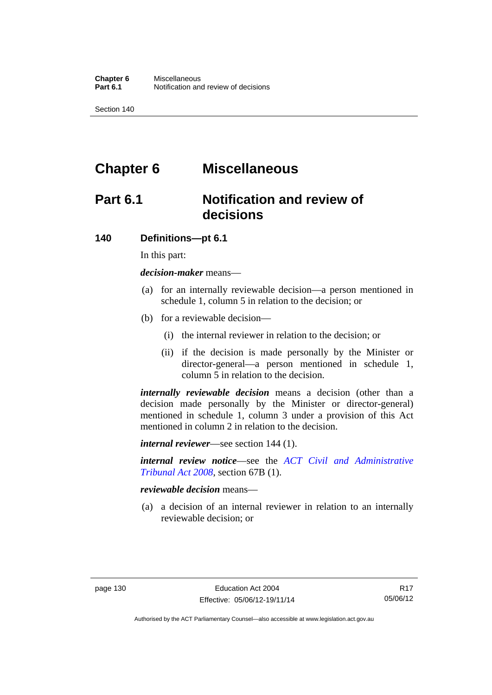# **Chapter 6 Miscellaneous**

# **Part 6.1 Notification and review of decisions**

#### **140 Definitions***—***pt 6.1**

In this part:

*decision-maker* means—

- (a) for an internally reviewable decision—a person mentioned in schedule 1, column 5 in relation to the decision; or
- (b) for a reviewable decision—
	- (i) the internal reviewer in relation to the decision; or
	- (ii) if the decision is made personally by the Minister or director-general—a person mentioned in schedule 1, column 5 in relation to the decision.

*internally reviewable decision* means a decision (other than a decision made personally by the Minister or director-general) mentioned in schedule 1, column 3 under a provision of this Act mentioned in column 2 in relation to the decision.

*internal reviewer*—see section 144 (1).

*internal review notice*—see the *[ACT Civil and Administrative](http://www.legislation.act.gov.au/a/2008-35)  [Tribunal Act 2008](http://www.legislation.act.gov.au/a/2008-35)*, section 67B (1).

*reviewable decision* means—

 (a) a decision of an internal reviewer in relation to an internally reviewable decision; or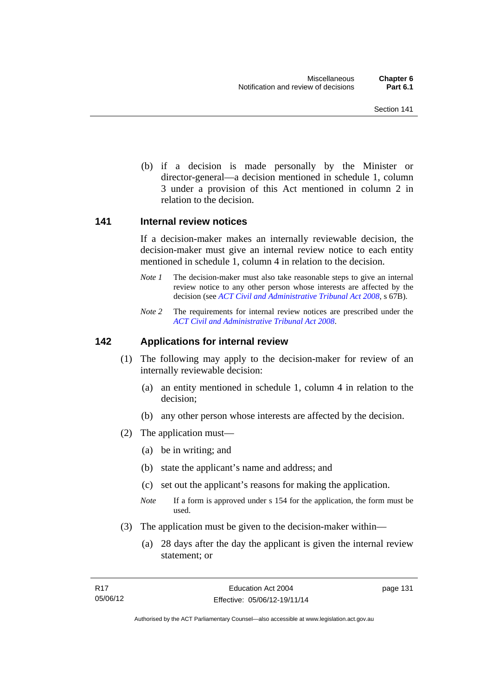(b) if a decision is made personally by the Minister or director-general—a decision mentioned in schedule 1, column 3 under a provision of this Act mentioned in column 2 in relation to the decision.

#### **141 Internal review notices**

If a decision-maker makes an internally reviewable decision, the decision-maker must give an internal review notice to each entity mentioned in schedule 1, column 4 in relation to the decision.

- *Note 1* The decision-maker must also take reasonable steps to give an internal review notice to any other person whose interests are affected by the decision (see *[ACT Civil and Administrative Tribunal Act 2008](http://www.legislation.act.gov.au/a/2008-35)*, s 67B).
- *Note 2* The requirements for internal review notices are prescribed under the *[ACT Civil and Administrative Tribunal Act 2008](http://www.legislation.act.gov.au/a/2008-35)*.

#### **142 Applications for internal review**

- (1) The following may apply to the decision-maker for review of an internally reviewable decision:
	- (a) an entity mentioned in schedule 1, column 4 in relation to the decision;
	- (b) any other person whose interests are affected by the decision.
- (2) The application must—
	- (a) be in writing; and
	- (b) state the applicant's name and address; and
	- (c) set out the applicant's reasons for making the application.
	- *Note* If a form is approved under s 154 for the application, the form must be used.
- (3) The application must be given to the decision-maker within—
	- (a) 28 days after the day the applicant is given the internal review statement; or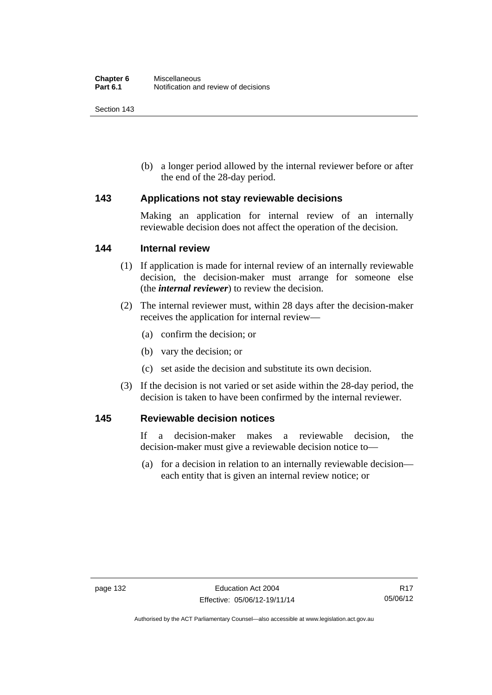(b) a longer period allowed by the internal reviewer before or after the end of the 28-day period.

#### **143 Applications not stay reviewable decisions**

Making an application for internal review of an internally reviewable decision does not affect the operation of the decision.

#### **144 Internal review**

- (1) If application is made for internal review of an internally reviewable decision, the decision-maker must arrange for someone else (the *internal reviewer*) to review the decision.
- (2) The internal reviewer must, within 28 days after the decision-maker receives the application for internal review—
	- (a) confirm the decision; or
	- (b) vary the decision; or
	- (c) set aside the decision and substitute its own decision.
- (3) If the decision is not varied or set aside within the 28-day period, the decision is taken to have been confirmed by the internal reviewer.

#### **145 Reviewable decision notices**

If a decision-maker makes a reviewable decision, the decision-maker must give a reviewable decision notice to—

 (a) for a decision in relation to an internally reviewable decision each entity that is given an internal review notice; or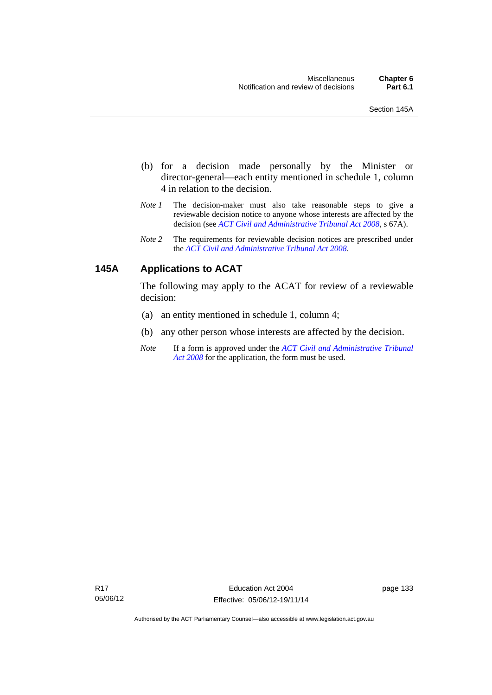- (b) for a decision made personally by the Minister or director-general—each entity mentioned in schedule 1, column 4 in relation to the decision.
- *Note 1* The decision-maker must also take reasonable steps to give a reviewable decision notice to anyone whose interests are affected by the decision (see *[ACT Civil and Administrative Tribunal Act 2008](http://www.legislation.act.gov.au/a/2008-35)*, s 67A).
- *Note 2* The requirements for reviewable decision notices are prescribed under the *[ACT Civil and Administrative Tribunal Act 2008](http://www.legislation.act.gov.au/a/2008-35)*.

# **145A Applications to ACAT**

The following may apply to the ACAT for review of a reviewable decision:

- (a) an entity mentioned in schedule 1, column 4;
- (b) any other person whose interests are affected by the decision.
- *Note* If a form is approved under the *[ACT Civil and Administrative Tribunal](http://www.legislation.act.gov.au/a/2008-35)  [Act 2008](http://www.legislation.act.gov.au/a/2008-35)* for the application, the form must be used.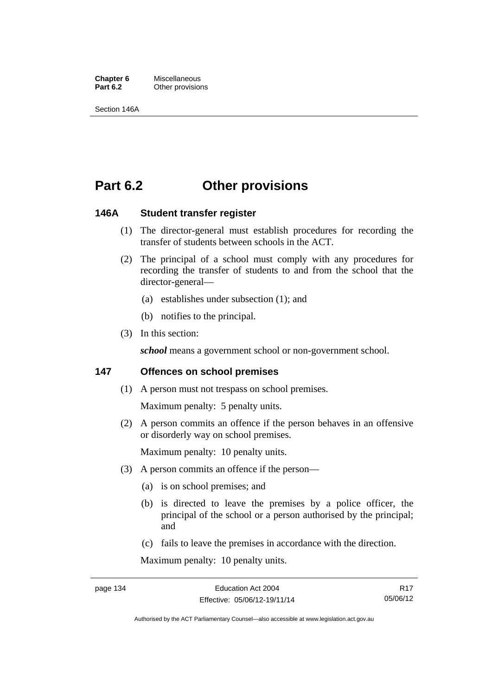**Chapter 6** Miscellaneous<br>**Part 6.2** Other provision **Other provisions** 

Section 146A

# **Part 6.2 Other provisions**

## **146A Student transfer register**

- (1) The director-general must establish procedures for recording the transfer of students between schools in the ACT.
- (2) The principal of a school must comply with any procedures for recording the transfer of students to and from the school that the director-general—
	- (a) establishes under subsection (1); and
	- (b) notifies to the principal.
- (3) In this section:

*school* means a government school or non-government school.

## **147 Offences on school premises**

(1) A person must not trespass on school premises.

Maximum penalty: 5 penalty units.

 (2) A person commits an offence if the person behaves in an offensive or disorderly way on school premises.

Maximum penalty: 10 penalty units.

- (3) A person commits an offence if the person—
	- (a) is on school premises; and
	- (b) is directed to leave the premises by a police officer, the principal of the school or a person authorised by the principal; and
	- (c) fails to leave the premises in accordance with the direction.

Maximum penalty: 10 penalty units.

R17 05/06/12

Authorised by the ACT Parliamentary Counsel—also accessible at www.legislation.act.gov.au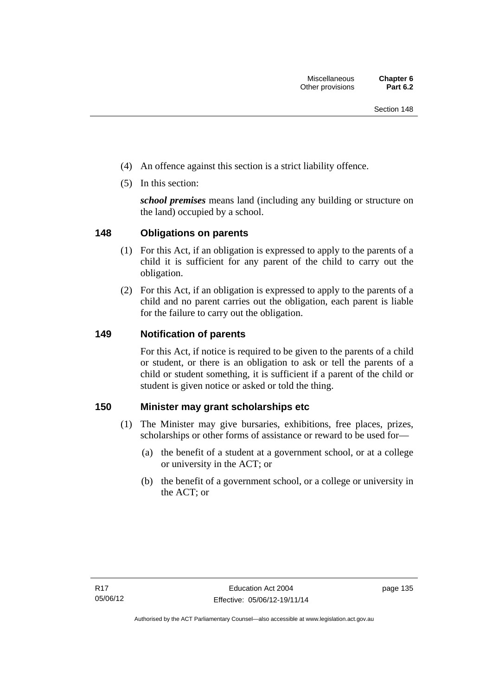- (4) An offence against this section is a strict liability offence.
- (5) In this section:

*school premises* means land (including any building or structure on the land) occupied by a school.

# **148 Obligations on parents**

- (1) For this Act, if an obligation is expressed to apply to the parents of a child it is sufficient for any parent of the child to carry out the obligation.
- (2) For this Act, if an obligation is expressed to apply to the parents of a child and no parent carries out the obligation, each parent is liable for the failure to carry out the obligation.

# **149 Notification of parents**

For this Act, if notice is required to be given to the parents of a child or student, or there is an obligation to ask or tell the parents of a child or student something, it is sufficient if a parent of the child or student is given notice or asked or told the thing.

# **150 Minister may grant scholarships etc**

- (1) The Minister may give bursaries, exhibitions, free places, prizes, scholarships or other forms of assistance or reward to be used for—
	- (a) the benefit of a student at a government school, or at a college or university in the ACT; or
	- (b) the benefit of a government school, or a college or university in the ACT; or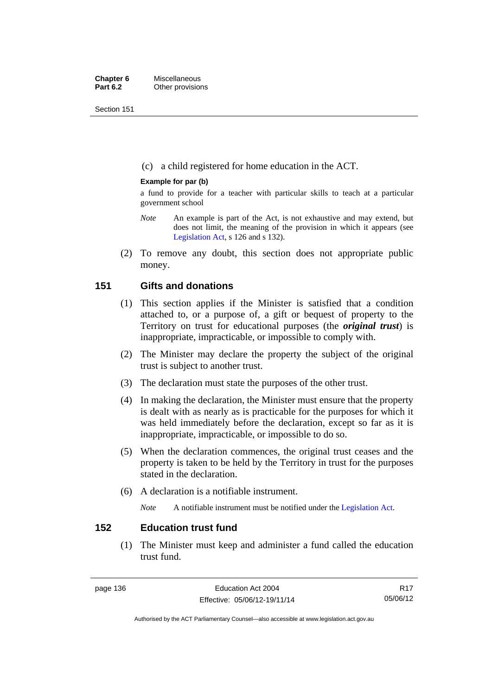Section 151

(c) a child registered for home education in the ACT.

## **Example for par (b)**

a fund to provide for a teacher with particular skills to teach at a particular government school

- *Note* An example is part of the Act, is not exhaustive and may extend, but does not limit, the meaning of the provision in which it appears (see [Legislation Act,](http://www.legislation.act.gov.au/a/2001-14) s 126 and s 132).
- (2) To remove any doubt, this section does not appropriate public money.

# **151 Gifts and donations**

- (1) This section applies if the Minister is satisfied that a condition attached to, or a purpose of, a gift or bequest of property to the Territory on trust for educational purposes (the *original trust*) is inappropriate, impracticable, or impossible to comply with.
- (2) The Minister may declare the property the subject of the original trust is subject to another trust.
- (3) The declaration must state the purposes of the other trust.
- (4) In making the declaration, the Minister must ensure that the property is dealt with as nearly as is practicable for the purposes for which it was held immediately before the declaration, except so far as it is inappropriate, impracticable, or impossible to do so.
- (5) When the declaration commences, the original trust ceases and the property is taken to be held by the Territory in trust for the purposes stated in the declaration.
- (6) A declaration is a notifiable instrument.

*Note* A notifiable instrument must be notified under the [Legislation Act](http://www.legislation.act.gov.au/a/2001-14).

# **152 Education trust fund**

 (1) The Minister must keep and administer a fund called the education trust fund.

R17 05/06/12

Authorised by the ACT Parliamentary Counsel—also accessible at www.legislation.act.gov.au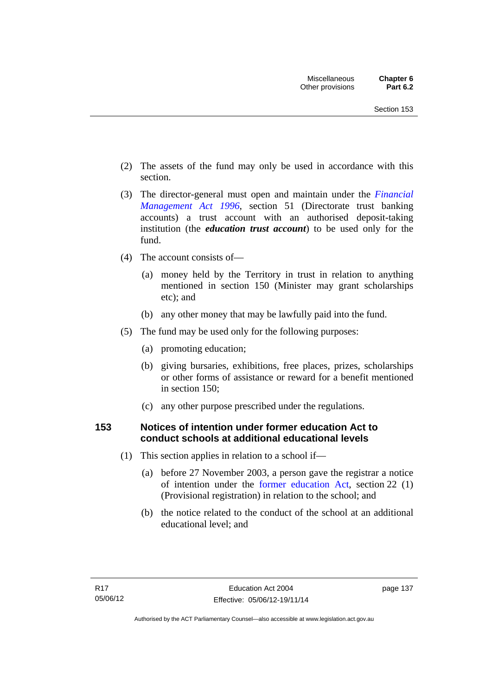- (2) The assets of the fund may only be used in accordance with this section.
- (3) The director-general must open and maintain under the *[Financial](http://www.legislation.act.gov.au/a/1996-22)  [Management Act 1996](http://www.legislation.act.gov.au/a/1996-22)*, section 51 (Directorate trust banking accounts) a trust account with an authorised deposit-taking institution (the *education trust account*) to be used only for the fund.
- (4) The account consists of—
	- (a) money held by the Territory in trust in relation to anything mentioned in section 150 (Minister may grant scholarships etc); and
	- (b) any other money that may be lawfully paid into the fund.
- (5) The fund may be used only for the following purposes:
	- (a) promoting education;
	- (b) giving bursaries, exhibitions, free places, prizes, scholarships or other forms of assistance or reward for a benefit mentioned in section 150;
	- (c) any other purpose prescribed under the regulations.

# **153 Notices of intention under former education Act to conduct schools at additional educational levels**

- (1) This section applies in relation to a school if—
	- (a) before 27 November 2003, a person gave the registrar a notice of intention under the [former education Act](http://www.legislation.act.gov.au/a/1937-25/default.asp), section 22 (1) (Provisional registration) in relation to the school; and
	- (b) the notice related to the conduct of the school at an additional educational level; and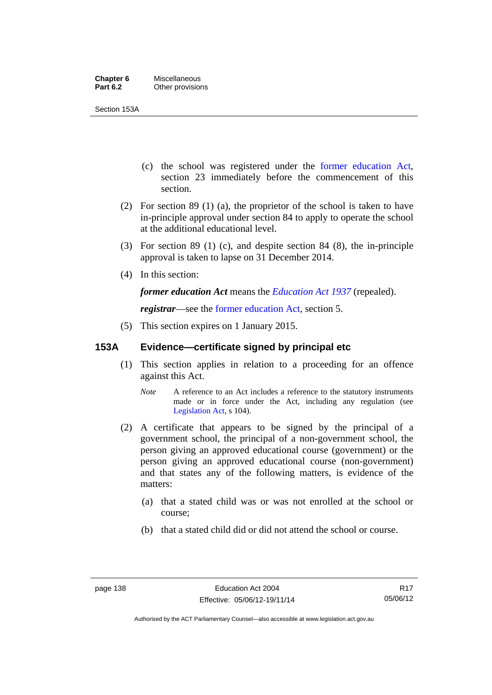Section 153A

- (c) the school was registered under the [former education Act](http://www.legislation.act.gov.au/a/1937-25/default.asp), section 23 immediately before the commencement of this section.
- (2) For section 89 (1) (a), the proprietor of the school is taken to have in-principle approval under section 84 to apply to operate the school at the additional educational level.
- (3) For section 89 (1) (c), and despite section 84 (8), the in-principle approval is taken to lapse on 31 December 2014.
- (4) In this section:

*former education Act* means the *[Education Act 1937](http://www.legislation.act.gov.au/a/1937-25)* (repealed).

*registrar*—see the [former education Act](http://www.legislation.act.gov.au/a/1937-25/default.asp), section 5.

(5) This section expires on 1 January 2015.

# **153A Evidence—certificate signed by principal etc**

- (1) This section applies in relation to a proceeding for an offence against this Act.
	- *Note* A reference to an Act includes a reference to the statutory instruments made or in force under the Act, including any regulation (see [Legislation Act,](http://www.legislation.act.gov.au/a/2001-14) s 104).
- (2) A certificate that appears to be signed by the principal of a government school, the principal of a non-government school, the person giving an approved educational course (government) or the person giving an approved educational course (non-government) and that states any of the following matters, is evidence of the matters:
	- (a) that a stated child was or was not enrolled at the school or course;
	- (b) that a stated child did or did not attend the school or course.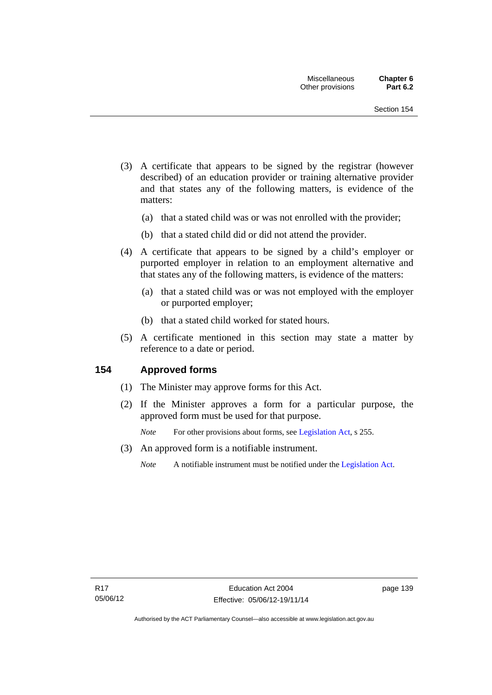- (3) A certificate that appears to be signed by the registrar (however described) of an education provider or training alternative provider and that states any of the following matters, is evidence of the matters:
	- (a) that a stated child was or was not enrolled with the provider;
	- (b) that a stated child did or did not attend the provider.
- (4) A certificate that appears to be signed by a child's employer or purported employer in relation to an employment alternative and that states any of the following matters, is evidence of the matters:
	- (a) that a stated child was or was not employed with the employer or purported employer;
	- (b) that a stated child worked for stated hours.
- (5) A certificate mentioned in this section may state a matter by reference to a date or period.

# **154 Approved forms**

- (1) The Minister may approve forms for this Act.
- (2) If the Minister approves a form for a particular purpose, the approved form must be used for that purpose.

*Note* For other provisions about forms, see [Legislation Act,](http://www.legislation.act.gov.au/a/2001-14) s 255.

- (3) An approved form is a notifiable instrument.
	- *Note* A notifiable instrument must be notified under the [Legislation Act](http://www.legislation.act.gov.au/a/2001-14).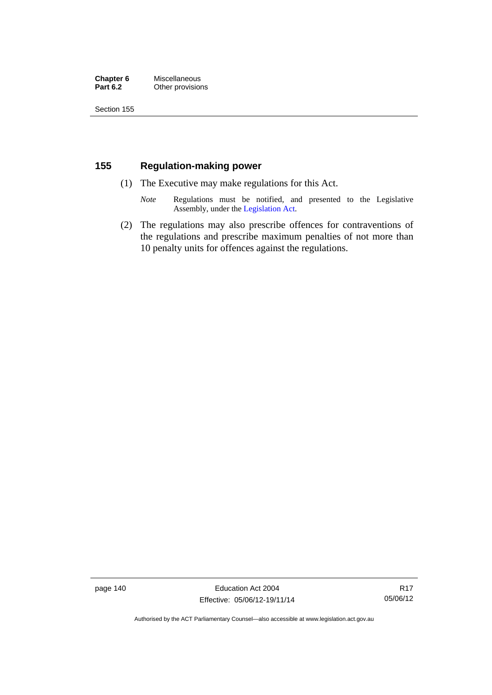## **Chapter 6** Miscellaneous<br>**Part 6.2** Other provision **Other provisions**

Section 155

# **155 Regulation-making power**

- (1) The Executive may make regulations for this Act.
	- *Note* Regulations must be notified, and presented to the Legislative Assembly, under the [Legislation Act](http://www.legislation.act.gov.au/a/2001-14).
- (2) The regulations may also prescribe offences for contraventions of the regulations and prescribe maximum penalties of not more than 10 penalty units for offences against the regulations.

page 140 Education Act 2004 Effective: 05/06/12-19/11/14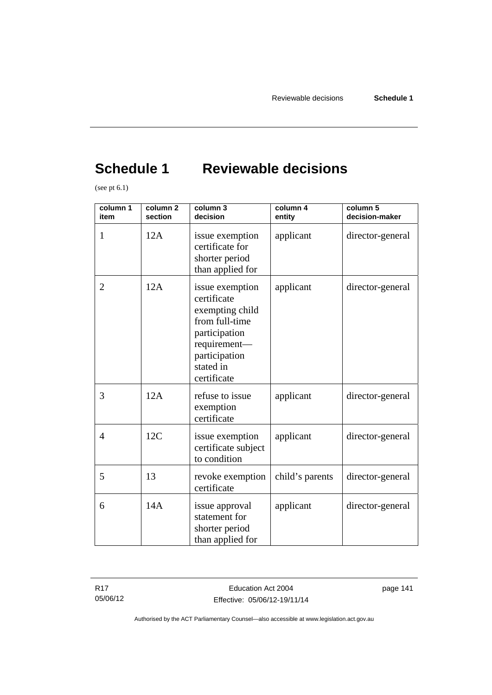# **Schedule 1 Reviewable decisions**

(see pt 6.1)

| column 1<br>item | column <sub>2</sub><br>section | column 3<br>decision                                                                                                                              | column 4<br>entity | column 5<br>decision-maker |
|------------------|--------------------------------|---------------------------------------------------------------------------------------------------------------------------------------------------|--------------------|----------------------------|
| 1                | 12A                            | issue exemption<br>certificate for<br>shorter period<br>than applied for                                                                          | applicant          | director-general           |
| $\overline{2}$   | 12A                            | issue exemption<br>certificate<br>exempting child<br>from full-time<br>participation<br>requirement-<br>participation<br>stated in<br>certificate | applicant          | director-general           |
| 3                | 12A                            | refuse to issue<br>exemption<br>certificate                                                                                                       | applicant          | director-general           |
| $\overline{4}$   | 12C                            | issue exemption<br>certificate subject<br>to condition                                                                                            | applicant          | director-general           |
| 5                | 13                             | revoke exemption<br>certificate                                                                                                                   | child's parents    | director-general           |
| 6                | 14A                            | issue approval<br>statement for<br>shorter period<br>than applied for                                                                             | applicant          | director-general           |

R17 05/06/12 page 141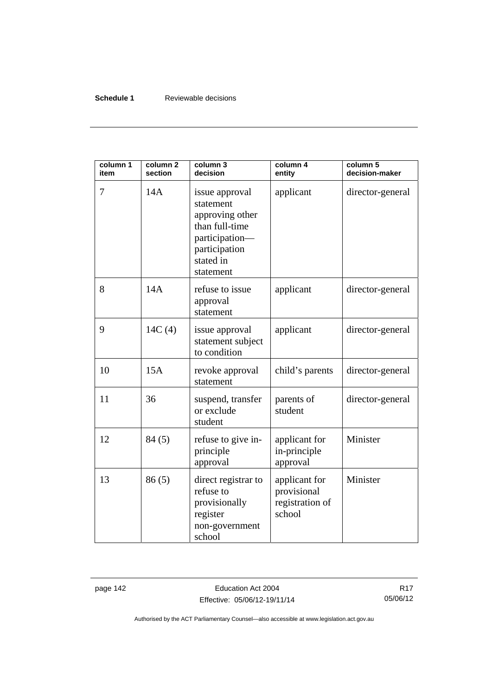## **Schedule 1** Reviewable decisions

| column 1<br>item | column <sub>2</sub><br>section | column 3<br>decision                                                                                                          | column 4<br>entity                                        | column 5<br>decision-maker |
|------------------|--------------------------------|-------------------------------------------------------------------------------------------------------------------------------|-----------------------------------------------------------|----------------------------|
| 7                | 14A                            | issue approval<br>statement<br>approving other<br>than full-time<br>participation-<br>participation<br>stated in<br>statement | applicant                                                 | director-general           |
| 8                | 14A                            | refuse to issue<br>approval<br>statement                                                                                      | applicant                                                 | director-general           |
| 9                | 14C(4)                         | issue approval<br>statement subject<br>to condition                                                                           | applicant                                                 | director-general           |
| 10               | 15A                            | revoke approval<br>statement                                                                                                  | child's parents                                           | director-general           |
| 11               | 36                             | suspend, transfer<br>or exclude<br>student                                                                                    | parents of<br>student                                     | director-general           |
| 12               | 84(5)                          | refuse to give in-<br>principle<br>approval                                                                                   | applicant for<br>in-principle<br>approval                 | Minister                   |
| 13               | 86(5)                          | direct registrar to<br>refuse to<br>provisionally<br>register<br>non-government<br>school                                     | applicant for<br>provisional<br>registration of<br>school | Minister                   |

page 142 **Education Act 2004** Effective: 05/06/12-19/11/14

R17 05/06/12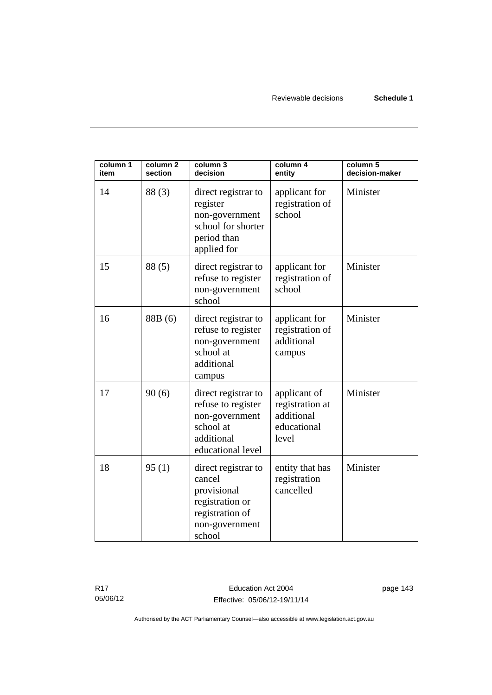| column 1<br>item | column <sub>2</sub><br>section | column 3<br>decision                                                                                           | column 4<br>entity                                                    | column 5<br>decision-maker |
|------------------|--------------------------------|----------------------------------------------------------------------------------------------------------------|-----------------------------------------------------------------------|----------------------------|
| 14               | 88(3)                          | direct registrar to<br>register<br>non-government<br>school for shorter<br>period than<br>applied for          | applicant for<br>registration of<br>school                            | Minister                   |
| 15               | 88(5)                          | direct registrar to<br>refuse to register<br>non-government<br>school                                          | applicant for<br>registration of<br>school                            | Minister                   |
| 16               | 88B (6)                        | direct registrar to<br>refuse to register<br>non-government<br>school at<br>additional<br>campus               | applicant for<br>registration of<br>additional<br>campus              | Minister                   |
| 17               | 90(6)                          | direct registrar to<br>refuse to register<br>non-government<br>school at<br>additional<br>educational level    | applicant of<br>registration at<br>additional<br>educational<br>level | Minister                   |
| 18               | 95(1)                          | direct registrar to<br>cancel<br>provisional<br>registration or<br>registration of<br>non-government<br>school | entity that has<br>registration<br>cancelled                          | Minister                   |

R17 05/06/12 page 143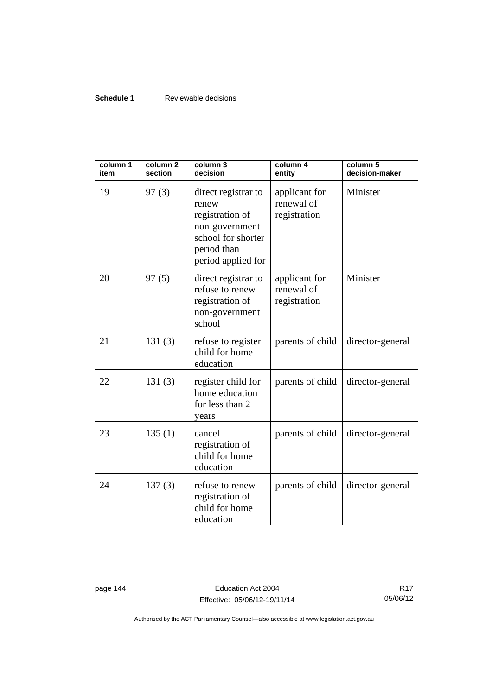## **Schedule 1** Reviewable decisions

| column 1<br>item | column <sub>2</sub><br>section | column 3<br>decision                                                                                                         | column 4<br>entity                          | column 5<br>decision-maker |
|------------------|--------------------------------|------------------------------------------------------------------------------------------------------------------------------|---------------------------------------------|----------------------------|
| 19               | 97(3)                          | direct registrar to<br>renew<br>registration of<br>non-government<br>school for shorter<br>period than<br>period applied for | applicant for<br>renewal of<br>registration | Minister                   |
| 20               | 97(5)                          | direct registrar to<br>refuse to renew<br>registration of<br>non-government<br>school                                        | applicant for<br>renewal of<br>registration | Minister                   |
| 21               | 131(3)                         | refuse to register<br>child for home<br>education                                                                            | parents of child                            | director-general           |
| 22               | 131(3)                         | register child for<br>home education<br>for less than 2<br>years                                                             | parents of child                            | director-general           |
| 23               | 135(1)                         | cancel<br>registration of<br>child for home<br>education                                                                     | parents of child                            | director-general           |
| 24               | 137(3)                         | refuse to renew<br>registration of<br>child for home<br>education                                                            | parents of child                            | director-general           |

page 144 **Education Act 2004** Effective: 05/06/12-19/11/14

R17 05/06/12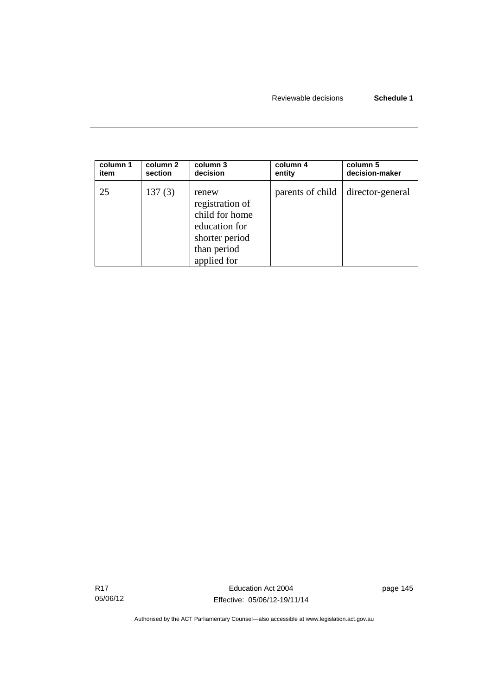| column 1 | column 2 | column 3                                                                                                    | column 4         | column 5         |
|----------|----------|-------------------------------------------------------------------------------------------------------------|------------------|------------------|
| item     | section  | decision                                                                                                    | entity           | decision-maker   |
| 25       | 137(3)   | renew<br>registration of<br>child for home<br>education for<br>shorter period<br>than period<br>applied for | parents of child | director-general |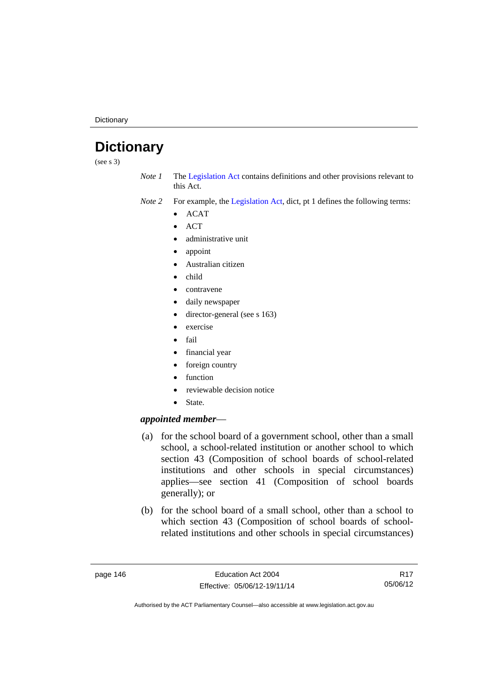**Dictionary** 

# **Dictionary**

(see s 3)

*Note 1* The [Legislation Act](http://www.legislation.act.gov.au/a/2001-14) contains definitions and other provisions relevant to this Act.

*Note 2* For example, the [Legislation Act,](http://www.legislation.act.gov.au/a/2001-14) dict, pt 1 defines the following terms:

- $\bullet$  ACAT
- **ACT**
- administrative unit
- appoint
- Australian citizen
- child
- contravene
- daily newspaper
- director-general (see s 163)
- exercise
- fail
- financial year
- foreign country
- function
- reviewable decision notice
- State.

## *appointed member*—

- (a) for the school board of a government school, other than a small school, a school-related institution or another school to which section 43 (Composition of school boards of school-related institutions and other schools in special circumstances) applies—see section 41 (Composition of school boards generally); or
- (b) for the school board of a small school, other than a school to which section 43 (Composition of school boards of schoolrelated institutions and other schools in special circumstances)

R17 05/06/12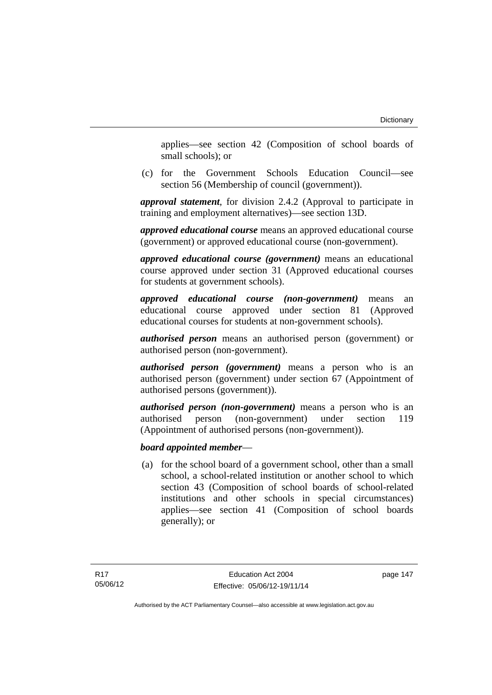applies—see section 42 (Composition of school boards of small schools); or

 (c) for the Government Schools Education Council—see section 56 (Membership of council (government)).

*approval statement*, for division 2.4.2 (Approval to participate in training and employment alternatives)—see section 13D.

*approved educational course* means an approved educational course (government) or approved educational course (non-government).

*approved educational course (government)* means an educational course approved under section 31 (Approved educational courses for students at government schools).

*approved educational course (non-government)* means an educational course approved under section 81 (Approved educational courses for students at non-government schools).

*authorised person* means an authorised person (government) or authorised person (non-government).

*authorised person (government)* means a person who is an authorised person (government) under section 67 (Appointment of authorised persons (government)).

*authorised person (non-government)* means a person who is an authorised person (non-government) under section 119 (Appointment of authorised persons (non-government)).

## *board appointed member*—

 (a) for the school board of a government school, other than a small school, a school-related institution or another school to which section 43 (Composition of school boards of school-related institutions and other schools in special circumstances) applies—see section 41 (Composition of school boards generally); or

page 147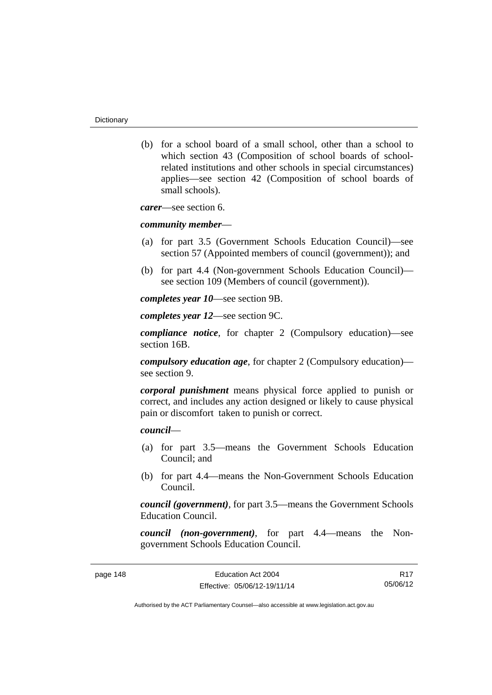(b) for a school board of a small school, other than a school to which section 43 (Composition of school boards of schoolrelated institutions and other schools in special circumstances) applies—see section 42 (Composition of school boards of small schools).

*carer*—see section 6.

#### *community member*—

- (a) for part 3.5 (Government Schools Education Council)—see section 57 (Appointed members of council (government)); and
- (b) for part 4.4 (Non-government Schools Education Council) see section 109 (Members of council (government)).

*completes year 10*—see section 9B.

*completes year 12*—see section 9C.

*compliance notice*, for chapter 2 (Compulsory education)—see section 16B.

*compulsory education age*, for chapter 2 (Compulsory education) see section 9.

*corporal punishment* means physical force applied to punish or correct, and includes any action designed or likely to cause physical pain or discomfort taken to punish or correct.

## *council*—

- (a) for part 3.5—means the Government Schools Education Council; and
- (b) for part 4.4—means the Non-Government Schools Education Council.

*council (government)*, for part 3.5—means the Government Schools Education Council.

*council (non-government)*, for part 4.4—means the Nongovernment Schools Education Council.

R17 05/06/12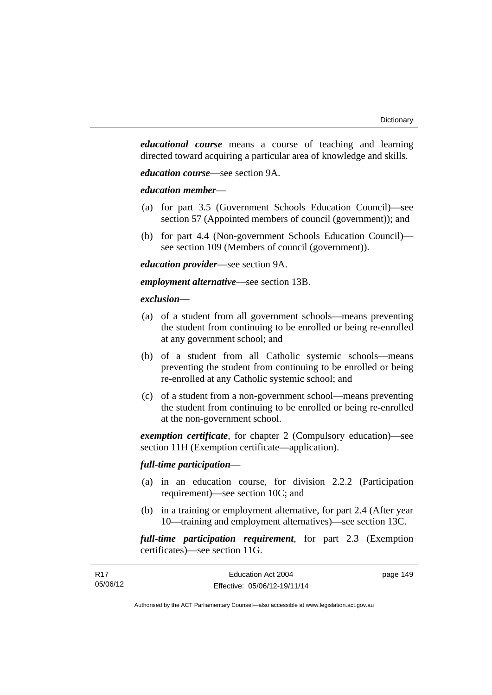*educational course* means a course of teaching and learning directed toward acquiring a particular area of knowledge and skills.

*education course*—see section 9A.

## *education member*—

- (a) for part 3.5 (Government Schools Education Council)—see section 57 (Appointed members of council (government)); and
- (b) for part 4.4 (Non-government Schools Education Council) see section 109 (Members of council (government)).

*education provider*—see section 9A.

*employment alternative*—see section 13B.

## *exclusion***—**

- (a) of a student from all government schools—means preventing the student from continuing to be enrolled or being re-enrolled at any government school; and
- (b) of a student from all Catholic systemic schools—means preventing the student from continuing to be enrolled or being re-enrolled at any Catholic systemic school; and
- (c) of a student from a non-government school—means preventing the student from continuing to be enrolled or being re-enrolled at the non-government school.

*exemption certificate*, for chapter 2 (Compulsory education)—see section 11H (Exemption certificate—application).

## *full-time participation*—

- (a) in an education course, for division 2.2.2 (Participation requirement)—see section 10C; and
- (b) in a training or employment alternative, for part 2.4 (After year 10—training and employment alternatives)—see section 13C.

*full-time participation requirement*, for part 2.3 (Exemption certificates)—see section 11G.

| R17      | Education Act 2004           | page 149 |
|----------|------------------------------|----------|
| 05/06/12 | Effective: 05/06/12-19/11/14 |          |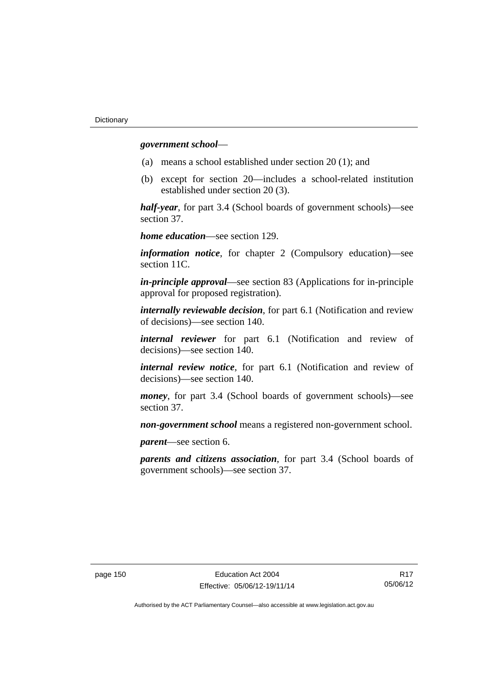## *government school*—

- (a) means a school established under section 20 (1); and
- (b) except for section 20—includes a school-related institution established under section 20 (3).

*half-year*, for part 3.4 (School boards of government schools)—see section 37.

*home education*—see section 129.

*information notice*, for chapter 2 (Compulsory education)—see section 11C.

*in-principle approval*—see section 83 (Applications for in-principle approval for proposed registration).

*internally reviewable decision*, for part 6.1 (Notification and review of decisions)—see section 140.

*internal reviewer* for part 6.1 (Notification and review of decisions)—see section 140.

*internal review notice*, for part 6.1 (Notification and review of decisions)—see section 140.

*money*, for part 3.4 (School boards of government schools)—see section 37.

*non-government school* means a registered non-government school.

*parent*—see section 6.

*parents and citizens association*, for part 3.4 (School boards of government schools)—see section 37.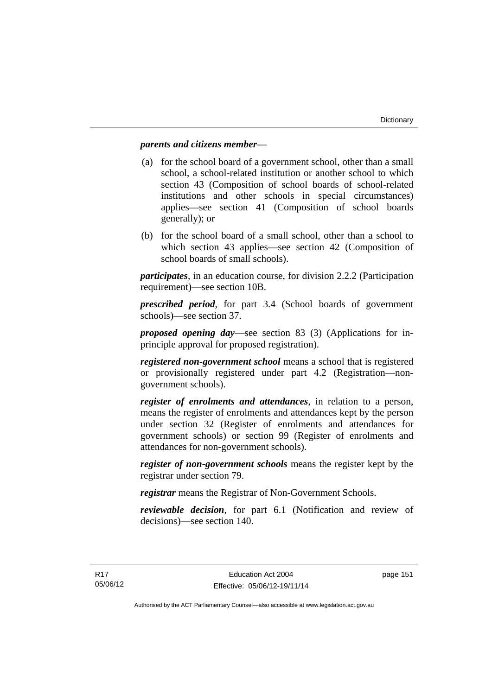## *parents and citizens member*—

- (a) for the school board of a government school, other than a small school, a school-related institution or another school to which section 43 (Composition of school boards of school-related institutions and other schools in special circumstances) applies—see section 41 (Composition of school boards generally); or
- (b) for the school board of a small school, other than a school to which section 43 applies—see section 42 (Composition of school boards of small schools).

*participates*, in an education course, for division 2.2.2 (Participation requirement)—see section 10B.

*prescribed period*, for part 3.4 (School boards of government schools)—see section 37.

*proposed opening day*—see section 83 (3) (Applications for inprinciple approval for proposed registration).

*registered non-government school* means a school that is registered or provisionally registered under part 4.2 (Registration—nongovernment schools).

*register of enrolments and attendances*, in relation to a person, means the register of enrolments and attendances kept by the person under section 32 (Register of enrolments and attendances for government schools) or section 99 (Register of enrolments and attendances for non-government schools).

*register of non-government schools* means the register kept by the registrar under section 79.

*registrar* means the Registrar of Non-Government Schools.

*reviewable decision*, for part 6.1 (Notification and review of decisions)—see section 140.

page 151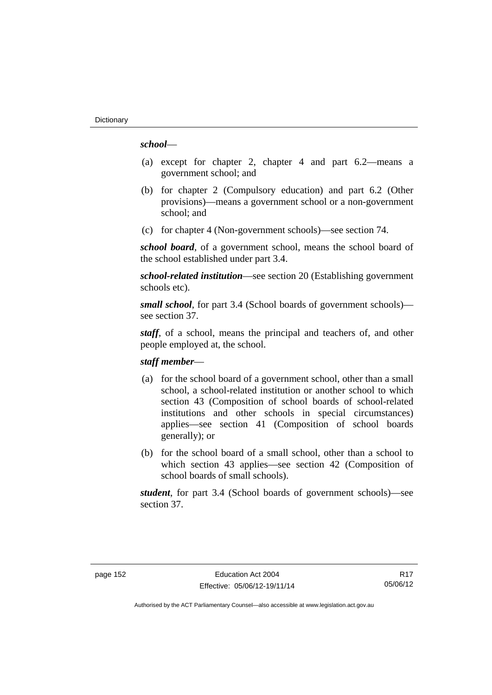## *school*—

- (a) except for chapter 2, chapter 4 and part 6.2—means a government school; and
- (b) for chapter 2 (Compulsory education) and part 6.2 (Other provisions)—means a government school or a non-government school; and
- (c) for chapter 4 (Non-government schools)—see section 74.

*school board*, of a government school, means the school board of the school established under part 3.4.

*school-related institution*—see section 20 (Establishing government schools etc).

*small school*, for part 3.4 (School boards of government schools) see section 37.

*staff*, of a school, means the principal and teachers of, and other people employed at, the school.

## *staff member*—

- (a) for the school board of a government school, other than a small school, a school-related institution or another school to which section 43 (Composition of school boards of school-related institutions and other schools in special circumstances) applies—see section 41 (Composition of school boards generally); or
- (b) for the school board of a small school, other than a school to which section 43 applies—see section 42 (Composition of school boards of small schools).

*student*, for part 3.4 (School boards of government schools)—see section 37.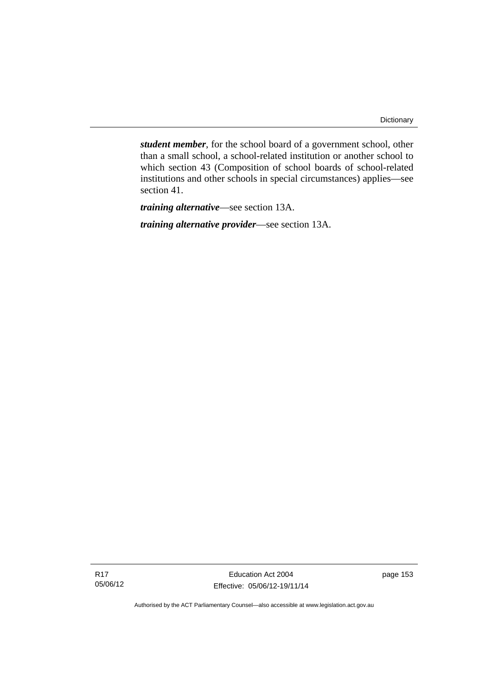*student member*, for the school board of a government school, other than a small school, a school-related institution or another school to which section 43 (Composition of school boards of school-related institutions and other schools in special circumstances) applies—see section 41.

*training alternative*—see section 13A.

*training alternative provider*—see section 13A.

Education Act 2004 Effective: 05/06/12-19/11/14 page 153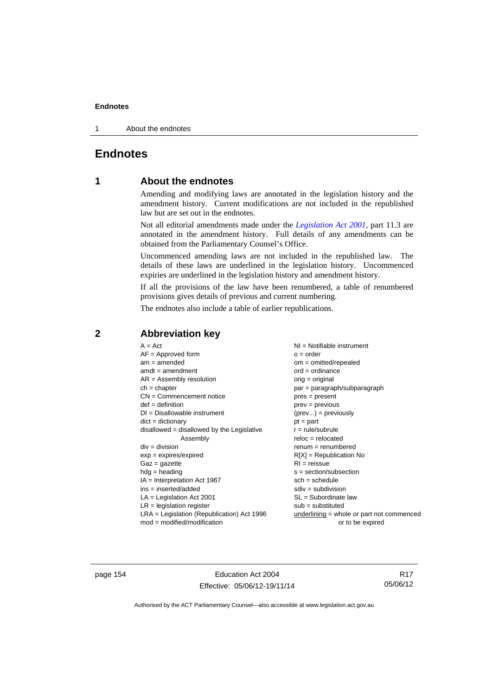1 About the endnotes

# **Endnotes**

# **1 About the endnotes**

Amending and modifying laws are annotated in the legislation history and the amendment history. Current modifications are not included in the republished law but are set out in the endnotes.

Not all editorial amendments made under the *[Legislation Act 2001](http://www.legislation.act.gov.au/a/2001-14)*, part 11.3 are annotated in the amendment history. Full details of any amendments can be obtained from the Parliamentary Counsel's Office.

Uncommenced amending laws are not included in the republished law. The details of these laws are underlined in the legislation history. Uncommenced expiries are underlined in the legislation history and amendment history.

If all the provisions of the law have been renumbered, a table of renumbered provisions gives details of previous and current numbering.

The endnotes also include a table of earlier republications.

## **2 Abbreviation key**

page 154 Education Act 2004 Effective: 05/06/12-19/11/14

R17 05/06/12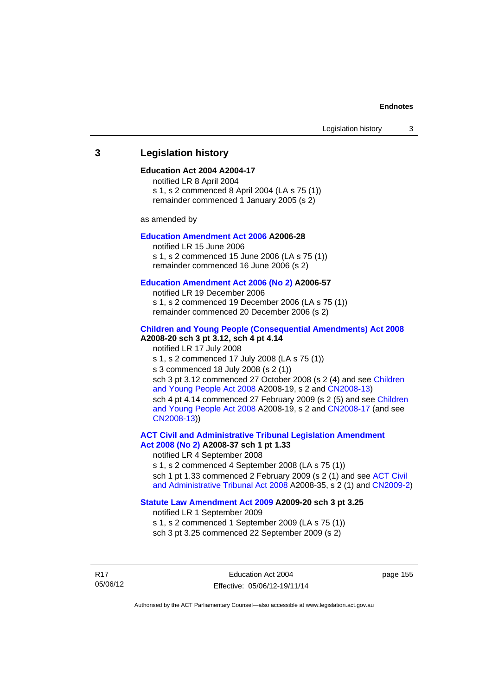## **3 Legislation history**

## **Education Act 2004 A2004-17**

notified LR 8 April 2004 s 1, s 2 commenced 8 April 2004 (LA s 75 (1)) remainder commenced 1 January 2005 (s 2)

as amended by

## **[Education Amendment Act 2006](http://www.legislation.act.gov.au/a/2006-28) A2006-28**

notified LR 15 June 2006 s 1, s 2 commenced 15 June 2006 (LA s 75 (1)) remainder commenced 16 June 2006 (s 2)

#### **[Education Amendment Act 2006 \(No 2\)](http://www.legislation.act.gov.au/a/2006-57) A2006-57**

notified LR 19 December 2006 s 1, s 2 commenced 19 December 2006 (LA s 75 (1)) remainder commenced 20 December 2006 (s 2)

### **[Children and Young People \(Consequential Amendments\) Act 2008](http://www.legislation.act.gov.au/a/2008-20) A2008-20 sch 3 pt 3.12, sch 4 pt 4.14**

notified LR 17 July 2008 s 1, s 2 commenced 17 July 2008 (LA s 75 (1)) s 3 commenced 18 July 2008 (s 2 (1)) sch 3 pt 3.12 commenced 27 October 2008 (s 2 (4) and see [Children](http://www.legislation.act.gov.au/a/2008-19)  [and Young People Act 2008](http://www.legislation.act.gov.au/a/2008-19) A2008-19, s 2 and [CN2008-13](http://www.legislation.act.gov.au/cn/2008-13/default.asp)) sch 4 pt 4.14 commenced 27 February 2009 (s 2 (5) and see [Children](http://www.legislation.act.gov.au/a/2008-19)  [and Young People Act 2008](http://www.legislation.act.gov.au/a/2008-19) A2008-19, s 2 and [CN2008-17 \(](http://www.legislation.act.gov.au/cn/2008-17/default.asp)and see [CN2008-13](http://www.legislation.act.gov.au/cn/2008-13/default.asp)))

**[ACT Civil and Administrative Tribunal Legislation Amendment](http://www.legislation.act.gov.au/a/2008-37)  [Act 2008 \(No 2\)](http://www.legislation.act.gov.au/a/2008-37) A2008-37 sch 1 pt 1.33** 

notified LR 4 September 2008

s 1, s 2 commenced 4 September 2008 (LA s 75 (1)) sch 1 pt 1.33 commenced 2 February 2009 (s 2 (1) and see [ACT Civil](http://www.legislation.act.gov.au/a/2008-35)  [and Administrative Tribunal Act 2008](http://www.legislation.act.gov.au/a/2008-35) A2008-35, s 2 (1) and [CN2009-2](http://www.legislation.act.gov.au/cn/2009-2/default.asp))

## **[Statute Law Amendment Act 2009](http://www.legislation.act.gov.au/a/2009-20) A2009-20 sch 3 pt 3.25**

notified LR 1 September 2009 s 1, s 2 commenced 1 September 2009 (LA s 75 (1)) sch 3 pt 3.25 commenced 22 September 2009 (s 2)

R17 05/06/12 page 155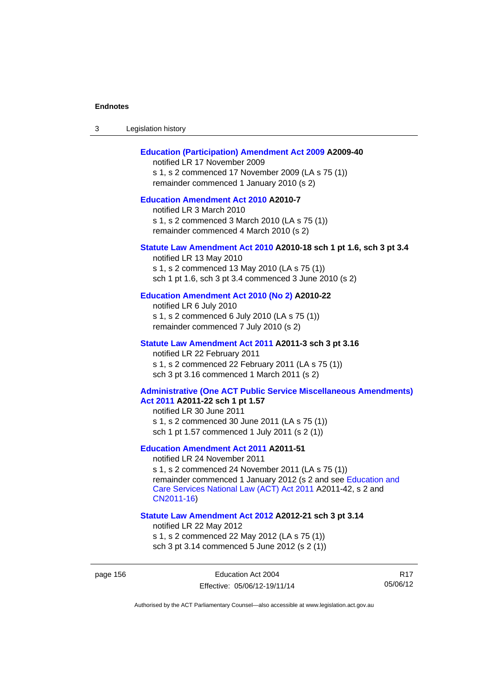| -3 | Legislation history |  |
|----|---------------------|--|
|----|---------------------|--|

## **[Education \(Participation\) Amendment Act 2009](http://www.legislation.act.gov.au/a/2009-40) A2009-40**

notified LR 17 November 2009 s 1, s 2 commenced 17 November 2009 (LA s 75 (1)) remainder commenced 1 January 2010 (s 2)

## **[Education Amendment Act 2010](http://www.legislation.act.gov.au/a/2010-7) A2010-7**

notified LR 3 March 2010 s 1, s 2 commenced 3 March 2010 (LA s 75 (1)) remainder commenced 4 March 2010 (s 2)

## **[Statute Law Amendment Act 2010](http://www.legislation.act.gov.au/a/2010-18) A2010-18 sch 1 pt 1.6, sch 3 pt 3.4**

notified LR 13 May 2010 s 1, s 2 commenced 13 May 2010 (LA s 75 (1)) sch 1 pt 1.6, sch 3 pt 3.4 commenced 3 June 2010 (s 2)

## **[Education Amendment Act 2010 \(No 2\)](http://www.legislation.act.gov.au/a/2010-22) A2010-22**

notified LR 6 July 2010 s 1, s 2 commenced 6 July 2010 (LA s 75 (1)) remainder commenced 7 July 2010 (s 2)

#### **[Statute Law Amendment Act 2011](http://www.legislation.act.gov.au/a/2011-3) A2011-3 sch 3 pt 3.16**

notified LR 22 February 2011 s 1, s 2 commenced 22 February 2011 (LA s 75 (1)) sch 3 pt 3.16 commenced 1 March 2011 (s 2)

#### **[Administrative \(One ACT Public Service Miscellaneous Amendments\)](http://www.legislation.act.gov.au/a/2011-22)  [Act 2011](http://www.legislation.act.gov.au/a/2011-22) A2011-22 sch 1 pt 1.57**

notified LR 30 June 2011 s 1, s 2 commenced 30 June 2011 (LA s 75 (1)) sch 1 pt 1.57 commenced 1 July 2011 (s 2 (1))

## **[Education Amendment Act 2011](http://www.legislation.act.gov.au/a/2011-51) A2011-51**

notified LR 24 November 2011

s 1, s 2 commenced 24 November 2011 (LA s 75 (1)) remainder commenced 1 January 2012 (s 2 and see [Education and](http://www.legislation.act.gov.au/a/2011-42)  [Care Services National Law \(ACT\) Act 2011](http://www.legislation.act.gov.au/a/2011-42) A2011-42, s 2 and [CN2011-16](http://www.legislation.act.gov.au/cn/2011-16/default.asp))

#### **[Statute Law Amendment Act 2012](http://www.legislation.act.gov.au/a/2012-21) A2012-21 sch 3 pt 3.14**

notified LR 22 May 2012

s 1, s 2 commenced 22 May 2012 (LA s 75 (1)) sch 3 pt 3.14 commenced 5 June 2012 (s 2 (1))

R17 05/06/12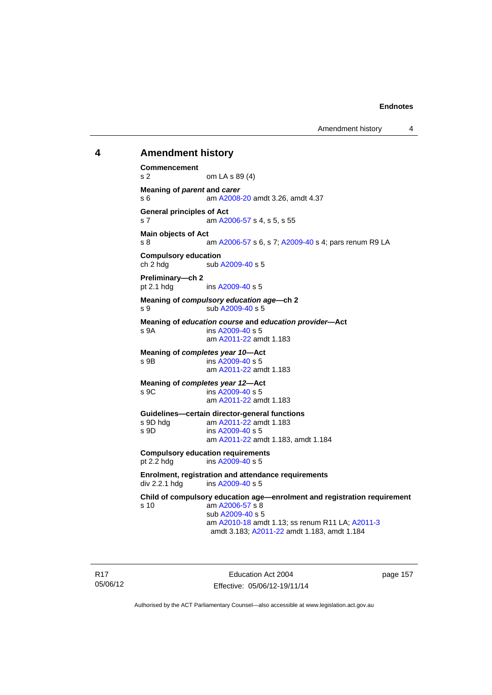Amendment history 4

## **4 Amendment history**

**Commencement**  s 2 om LA s 89 (4) **Meaning of** *parent* **and** *carer*  s 6 am [A2008-20](http://www.legislation.act.gov.au/a/2008-20) amdt 3.26, amdt 4.37 **General principles of Act**  s 7 am [A2006-57](http://www.legislation.act.gov.au/a/2006-57) s 4, s 5, s 55 **Main objects of Act**  s 8 am [A2006-57](http://www.legislation.act.gov.au/a/2006-57) s 6, s 7; [A2009-40](http://www.legislation.act.gov.au/a/2009-40) s 4; pars renum R9 LA **Compulsory education**  ch 2 hdg sub [A2009-40](http://www.legislation.act.gov.au/a/2009-40) s 5 **Preliminary—ch 2**  pt 2.1 hdg ins [A2009-40](http://www.legislation.act.gov.au/a/2009-40) s 5 **Meaning of** *compulsory education age***—ch 2**  s 9 sub [A2009-40](http://www.legislation.act.gov.au/a/2009-40) s 5 **Meaning of** *education course* **and** *education provider***—Act**  s 9A ins [A2009-40](http://www.legislation.act.gov.au/a/2009-40) s 5 am [A2011-22](http://www.legislation.act.gov.au/a/2011-22) amdt 1.183 **Meaning of** *completes year 10***—Act**  s 9B ins [A2009-40](http://www.legislation.act.gov.au/a/2009-40) s 5 am [A2011-22](http://www.legislation.act.gov.au/a/2011-22) amdt 1.183 **Meaning of** *completes year 12***—Act**  s 9C ins [A2009-40](http://www.legislation.act.gov.au/a/2009-40) s 5 am [A2011-22](http://www.legislation.act.gov.au/a/2011-22) amdt 1.183 **Guidelines—certain director-general functions**  am [A2011-22](http://www.legislation.act.gov.au/a/2011-22) amdt 1.183 s 9D ins [A2009-40](http://www.legislation.act.gov.au/a/2009-40) s 5 am [A2011-22](http://www.legislation.act.gov.au/a/2011-22) amdt 1.183, amdt 1.184 **Compulsory education requirements**  pt 2.2 hdg ins [A2009-40](http://www.legislation.act.gov.au/a/2009-40) s 5 **Enrolment, registration and attendance requirements**  div 2.2.1 hdg ins [A2009-40](http://www.legislation.act.gov.au/a/2009-40) s 5 **Child of compulsory education age—enrolment and registration requirement**  s 10 am [A2006-57](http://www.legislation.act.gov.au/a/2006-57) s 8 sub [A2009-40](http://www.legislation.act.gov.au/a/2009-40) s 5 am [A2010-18](http://www.legislation.act.gov.au/a/2010-18) amdt 1.13; ss renum R11 LA; [A2011-3](http://www.legislation.act.gov.au/a/2011-3) amdt 3.183; [A2011-22](http://www.legislation.act.gov.au/a/2011-22) amdt 1.183, amdt 1.184

R17 05/06/12

Education Act 2004 Effective: 05/06/12-19/11/14 page 157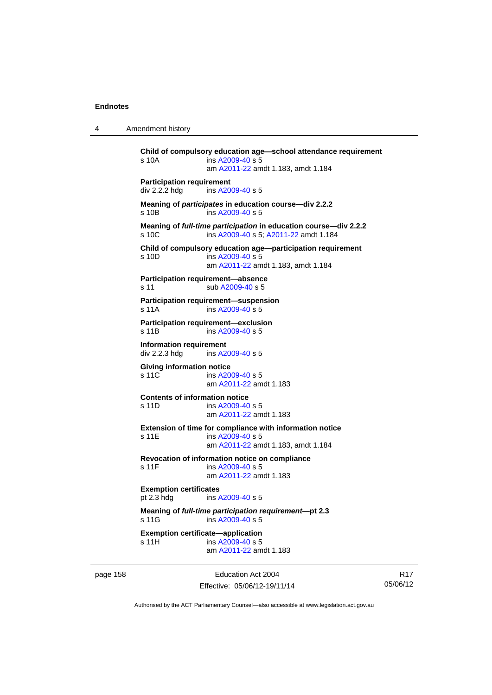4 Amendment history

```
Child of compulsory education age—school attendance requirement 
s 10A ins A2009-40 s 5
                am A2011-22 amdt 1.183, amdt 1.184 
Participation requirement 
div 2.2.2 hdg ins A2009-40 s 5
Meaning of participates in education course—div 2.2.2 
s 10B ins A2009-40 s 5
Meaning of full-time participation in education course—div 2.2.2 
A2009-40 A2011-22 amdt 1.184
Child of compulsory education age—participation requirement 
s 10D ins A2009-40 s 5
                am A2011-22 amdt 1.183, amdt 1.184 
Participation requirement—absence 
A2009-40 s 5
Participation requirement—suspension 
s 11A ins A2009-40 s 5
Participation requirement—exclusion 
s 11B ins A2009-40 s 5
Information requirement 
div 2.2.3 hdg ins A2009-40 s 5
Giving information notice 
A2009-40 s 5
                am A2011-22 amdt 1.183
Contents of information notice 
s 11D ins A2009-40 s 5
                am A2011-22 amdt 1.183
Extension of time for compliance with information notice 
A2009-40 s 5
                am A2011-22 amdt 1.183, amdt 1.184 
Revocation of information notice on compliance 
A2009-40 s 5
                am A2011-22 amdt 1.183
Exemption certificates 
pt 2.3 hdg ins A2009-40 s 5
Meaning of full-time participation requirement—pt 2.3 
 A2009-40 s 5
Exemption certificate—application 
A2009-40 s 5
                am A2011-22 amdt 1.183
```
page 158 Education Act 2004 Effective: 05/06/12-19/11/14

R17 05/06/12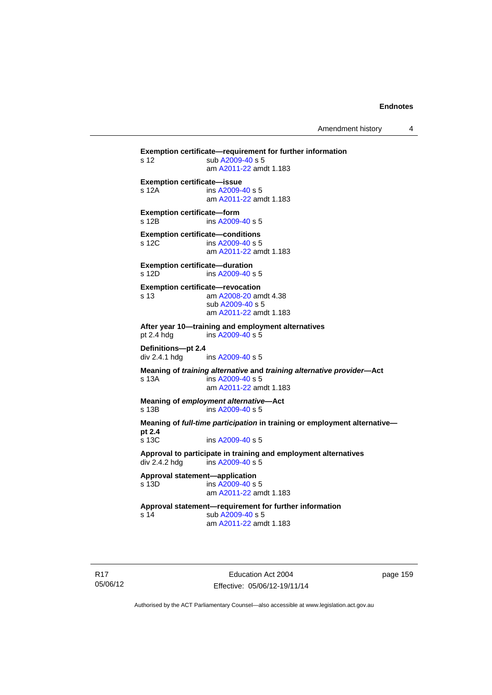Amendment history 4

**Exemption certificate—requirement for further information**  s 12 sub [A2009-40](http://www.legislation.act.gov.au/a/2009-40) s 5 am [A2011-22](http://www.legislation.act.gov.au/a/2011-22) amdt 1.183 **Exemption certificate—issue**  s 12A ins [A2009-40](http://www.legislation.act.gov.au/a/2009-40) s 5 am [A2011-22](http://www.legislation.act.gov.au/a/2011-22) amdt 1.183 **Exemption certificate—form**  s 12B ins [A2009-40](http://www.legislation.act.gov.au/a/2009-40) s 5 **Exemption certificate—conditions**  s 12C ins [A2009-40](http://www.legislation.act.gov.au/a/2009-40) s 5 am [A2011-22](http://www.legislation.act.gov.au/a/2011-22) amdt 1.183 **Exemption certificate—duration**  s 12D ins [A2009-40](http://www.legislation.act.gov.au/a/2009-40) s 5 **Exemption certificate—revocation**  s 13 am [A2008-20](http://www.legislation.act.gov.au/a/2008-20) amdt 4.38 sub [A2009-40](http://www.legislation.act.gov.au/a/2009-40) s 5 am [A2011-22](http://www.legislation.act.gov.au/a/2011-22) amdt 1.183 **After year 10—training and employment alternatives**  pt 2.4 hdg ins [A2009-40](http://www.legislation.act.gov.au/a/2009-40) s 5 **Definitions—pt 2.4**  ins [A2009-40](http://www.legislation.act.gov.au/a/2009-40) s 5 **Meaning of** *training alternative* **and** *training alternative provider***—Act**  s 13A ins [A2009-40](http://www.legislation.act.gov.au/a/2009-40) s 5 am [A2011-22](http://www.legislation.act.gov.au/a/2011-22) amdt 1.183 **Meaning of** *employment alternative***—Act**  s 13B ins [A2009-40](http://www.legislation.act.gov.au/a/2009-40) s 5 **Meaning of** *full-time participation* **in training or employment alternative pt 2.4**  s 13C ins [A2009-40](http://www.legislation.act.gov.au/a/2009-40) s 5 **Approval to participate in training and employment alternatives**  div 2.4.2 hdg ins [A2009-40](http://www.legislation.act.gov.au/a/2009-40) s 5 **Approval statement—application**   $ins A2009-40 s 5$  $ins A2009-40 s 5$  $ins A2009-40 s 5$  am [A2011-22](http://www.legislation.act.gov.au/a/2011-22) amdt 1.183 **Approval statement—requirement for further information**  s 14 sub [A2009-40](http://www.legislation.act.gov.au/a/2009-40) s 5 am [A2011-22](http://www.legislation.act.gov.au/a/2011-22) amdt 1.183

R17 05/06/12

Education Act 2004 Effective: 05/06/12-19/11/14 page 159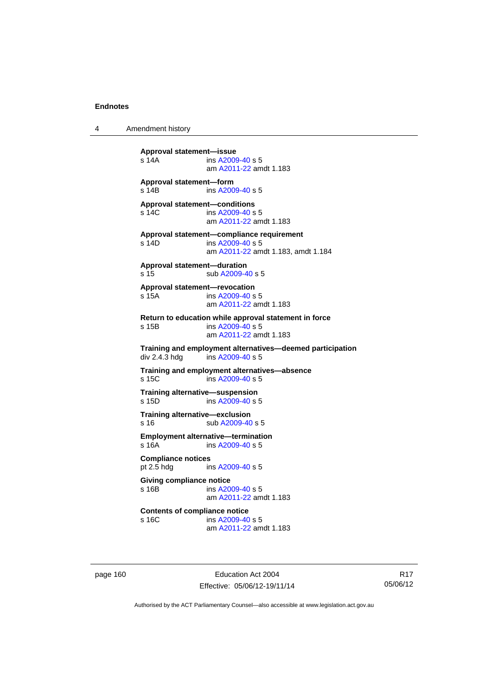4 Amendment history

**Approval statement—issue**  s 14A ins [A2009-40](http://www.legislation.act.gov.au/a/2009-40) s 5 am [A2011-22](http://www.legislation.act.gov.au/a/2011-22) amdt 1.183 **Approval statement—form**  s 14B ins [A2009-40](http://www.legislation.act.gov.au/a/2009-40) s 5 **Approval statement—conditions**  s 14C ins [A2009-40](http://www.legislation.act.gov.au/a/2009-40) s 5 am [A2011-22](http://www.legislation.act.gov.au/a/2011-22) amdt 1.183 **Approval statement—compliance requirement**  s 14D ins [A2009-40](http://www.legislation.act.gov.au/a/2009-40) s 5 am [A2011-22](http://www.legislation.act.gov.au/a/2011-22) amdt 1.183, amdt 1.184 **Approval statement—duration**  s 15 sub [A2009-40](http://www.legislation.act.gov.au/a/2009-40) s 5 **Approval statement—revocation**  s 15A ins [A2009-40](http://www.legislation.act.gov.au/a/2009-40) s 5 am [A2011-22](http://www.legislation.act.gov.au/a/2011-22) amdt 1.183 **Return to education while approval statement in force**  s 15B ins [A2009-40](http://www.legislation.act.gov.au/a/2009-40) s 5 am [A2011-22](http://www.legislation.act.gov.au/a/2011-22) amdt 1.183 **Training and employment alternatives—deemed participation**   $ins$  [A2009-40](http://www.legislation.act.gov.au/a/2009-40) s 5 **Training and employment alternatives—absence**  s 15C ins [A2009-40](http://www.legislation.act.gov.au/a/2009-40) s 5 **Training alternative—suspension**<br>s 15D **ins A2009-40 s** 5  $ins A2009-40 s 5$  $ins A2009-40 s 5$  $ins A2009-40 s 5$ **Training alternative—exclusion**  s 16 sub [A2009-40](http://www.legislation.act.gov.au/a/2009-40) s 5 **Employment alternative—termination**  s 16A ins [A2009-40](http://www.legislation.act.gov.au/a/2009-40) s 5 **Compliance notices**  pt 2.5 hdg ins [A2009-40](http://www.legislation.act.gov.au/a/2009-40) s 5 **Giving compliance notice**  s 16B ins [A2009-40](http://www.legislation.act.gov.au/a/2009-40) s 5 am [A2011-22](http://www.legislation.act.gov.au/a/2011-22) amdt 1.183 **Contents of compliance notice**<br>s 16C ins A2009-40 ins [A2009-40](http://www.legislation.act.gov.au/a/2009-40) s 5 am [A2011-22](http://www.legislation.act.gov.au/a/2011-22) amdt 1.183

page 160 Education Act 2004 Effective: 05/06/12-19/11/14

R17 05/06/12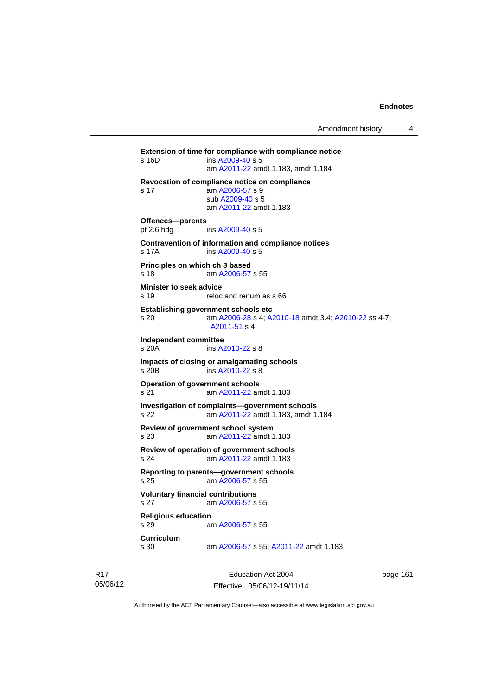**Extension of time for compliance with compliance notice**  s 16D ins [A2009-40](http://www.legislation.act.gov.au/a/2009-40) s 5 am [A2011-22](http://www.legislation.act.gov.au/a/2011-22) amdt 1.183, amdt 1.184 **Revocation of compliance notice on compliance**  s 17 am [A2006-57](http://www.legislation.act.gov.au/a/2006-57) s 9 sub [A2009-40](http://www.legislation.act.gov.au/a/2009-40) s 5 am [A2011-22](http://www.legislation.act.gov.au/a/2011-22) amdt 1.183 **Offences—parents**<br>pt 2.6 hdg ins [A2009-40](http://www.legislation.act.gov.au/a/2009-40) s 5 **Contravention of information and compliance notices**  s 17A ins [A2009-40](http://www.legislation.act.gov.au/a/2009-40) s 5 **Principles on which ch 3 based**  s 18 am [A2006-57](http://www.legislation.act.gov.au/a/2006-57) s 55 **Minister to seek advice**  s 19 reloc and renum as s 66 **Establishing government schools etc**  s 20 am [A2006-28](http://www.legislation.act.gov.au/a/2006-28) s 4; [A2010-18](http://www.legislation.act.gov.au/a/2010-18) amdt 3.4; [A2010-22](http://www.legislation.act.gov.au/a/2010-22) ss 4-7; [A2011-51](http://www.legislation.act.gov.au/a/2011-51) s 4 **Independent committee**  ins [A2010-22](http://www.legislation.act.gov.au/a/2010-22) s 8 **Impacts of closing or amalgamating schools**  s 20B ins [A2010-22](http://www.legislation.act.gov.au/a/2010-22) s 8 **Operation of government schools**  s 21 am [A2011-22](http://www.legislation.act.gov.au/a/2011-22) amdt 1.183 **Investigation of complaints—government schools**  s 22 am [A2011-22](http://www.legislation.act.gov.au/a/2011-22) amdt 1.183, amdt 1.184 **Review of government school system**  s 23 am [A2011-22](http://www.legislation.act.gov.au/a/2011-22) amdt 1.183 **Review of operation of government schools**  s 24 am [A2011-22](http://www.legislation.act.gov.au/a/2011-22) amdt 1.183 **Reporting to parents—government schools**  s 25 am [A2006-57](http://www.legislation.act.gov.au/a/2006-57) s 55 **Voluntary financial contributions**  s 27 am [A2006-57](http://www.legislation.act.gov.au/a/2006-57) s 55 **Religious education**  s 29 am [A2006-57](http://www.legislation.act.gov.au/a/2006-57) s 55 **Curriculum**  am [A2006-57](http://www.legislation.act.gov.au/a/2006-57) s 55; [A2011-22](http://www.legislation.act.gov.au/a/2011-22) amdt 1.183

R17 05/06/12

Education Act 2004 Effective: 05/06/12-19/11/14 page 161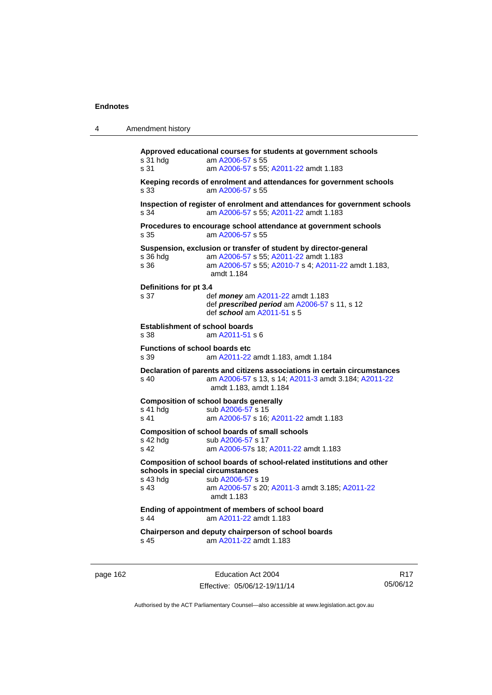| Amendment history<br>4 |  |
|------------------------|--|
|------------------------|--|

**Approved educational courses for students at government schools**  s 31 hdg am [A2006-57](http://www.legislation.act.gov.au/a/2006-57) s 55 s 31 am [A2006-57](http://www.legislation.act.gov.au/a/2006-57) s 55; [A2011-22](http://www.legislation.act.gov.au/a/2011-22) amdt 1.183 **Keeping records of enrolment and attendances for government schools**  s 33 am [A2006-57](http://www.legislation.act.gov.au/a/2006-57) s 55 **Inspection of register of enrolment and attendances for government schools**  s 34 am [A2006-57](http://www.legislation.act.gov.au/a/2006-57) s 55; [A2011-22](http://www.legislation.act.gov.au/a/2011-22) amdt 1.183 **Procedures to encourage school attendance at government schools**  s 35 am [A2006-57](http://www.legislation.act.gov.au/a/2006-57) s 55 **Suspension, exclusion or transfer of student by director-general** s 36 hdg am A2006-57 s 55; A2011-22 amdt 1.183 s 36 hdg am [A2006-57](http://www.legislation.act.gov.au/a/2006-57) s 55; [A2011-22](http://www.legislation.act.gov.au/a/2011-22) amdt 1.183 am [A2006-57](http://www.legislation.act.gov.au/a/2006-57) s 55; [A2010-7](http://www.legislation.act.gov.au/a/2010-7) s 4; [A2011-22](http://www.legislation.act.gov.au/a/2011-22) amdt 1.183, amdt 1.184 **Definitions for pt 3.4**  s 37 def *money* am [A2011-22](http://www.legislation.act.gov.au/a/2011-22) amdt 1.183 def *prescribed period* am [A2006-57](http://www.legislation.act.gov.au/a/2006-57) s 11, s 12 def *school* am [A2011-51](http://www.legislation.act.gov.au/a/2011-51) s 5 **Establishment of school boards**  s 38 am [A2011-51](http://www.legislation.act.gov.au/a/2011-51) s 6 **Functions of school boards etc**  s 39 am [A2011-22](http://www.legislation.act.gov.au/a/2011-22) amdt 1.183, amdt 1.184 **Declaration of parents and citizens associations in certain circumstances**  s 40 am [A2006-57](http://www.legislation.act.gov.au/a/2006-57) s 13, s 14; [A2011-3](http://www.legislation.act.gov.au/a/2011-3) amdt 3.184; [A2011-22](http://www.legislation.act.gov.au/a/2011-22) amdt 1.183, amdt 1.184 **Composition of school boards generally**  s 41 hdg sub [A2006-57](http://www.legislation.act.gov.au/a/2006-57) s 15 s 41 am [A2006-57](http://www.legislation.act.gov.au/a/2006-57) s 16; [A2011-22](http://www.legislation.act.gov.au/a/2011-22) amdt 1.183 **Composition of school boards of small schools**  s 42 hdg sub [A2006-57](http://www.legislation.act.gov.au/a/2006-57) s 17<br>s 42 am A2006-57 s 18: am [A2006-57](http://www.legislation.act.gov.au/a/2006-57)s 18; [A2011-22](http://www.legislation.act.gov.au/a/2011-22) amdt 1.183 **Composition of school boards of school-related institutions and other schools in special circumstances**  s 43 hdg sub [A2006-57](http://www.legislation.act.gov.au/a/2006-57) s 19 s 43 am [A2006-57](http://www.legislation.act.gov.au/a/2006-57) s 20; [A2011-3](http://www.legislation.act.gov.au/a/2011-3) amdt 3.185; [A2011-22](http://www.legislation.act.gov.au/a/2011-22) amdt 1.183 **Ending of appointment of members of school board**  s 44 am [A2011-22](http://www.legislation.act.gov.au/a/2011-22) amdt 1.183 **Chairperson and deputy chairperson of school boards**  s 45 am [A2011-22](http://www.legislation.act.gov.au/a/2011-22) amdt 1.183

page 162 Education Act 2004 Effective: 05/06/12-19/11/14

R17 05/06/12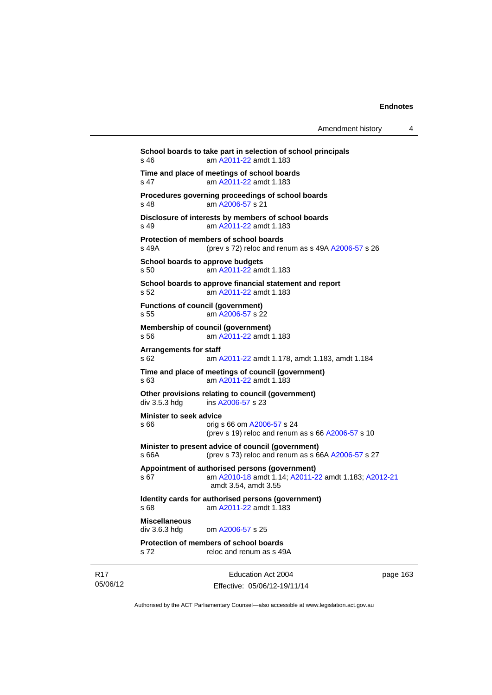| Amendment history |  |
|-------------------|--|
|-------------------|--|

Education Act 2004 **School boards to take part in selection of school principals**  s 46 am [A2011-22](http://www.legislation.act.gov.au/a/2011-22) amdt 1.183 **Time and place of meetings of school boards**  s 47 am [A2011-22](http://www.legislation.act.gov.au/a/2011-22) amdt 1.183 **Procedures governing proceedings of school boards**  s 48 am [A2006-57](http://www.legislation.act.gov.au/a/2006-57) s 21 **Disclosure of interests by members of school boards**  s 49 am [A2011-22](http://www.legislation.act.gov.au/a/2011-22) amdt 1.183 **Protection of members of school boards**  s 49A (prev s 72) reloc and renum as s 49A [A2006-57](http://www.legislation.act.gov.au/a/2006-57) s 26 **School boards to approve budgets**  s 50 am [A2011-22](http://www.legislation.act.gov.au/a/2011-22) amdt 1.183 **School boards to approve financial statement and report**  s 52 am [A2011-22](http://www.legislation.act.gov.au/a/2011-22) amdt 1.183 **Functions of council (government)**  s 55 am [A2006-57](http://www.legislation.act.gov.au/a/2006-57) s 22 **Membership of council (government)**  s 56 am [A2011-22](http://www.legislation.act.gov.au/a/2011-22) amdt 1.183 **Arrangements for staff**  s 62 am [A2011-22](http://www.legislation.act.gov.au/a/2011-22) amdt 1.178, amdt 1.183, amdt 1.184 **Time and place of meetings of council (government)**  s 63 am [A2011-22](http://www.legislation.act.gov.au/a/2011-22) amdt 1.183 **Other provisions relating to council (government)**  div 3.5.3 hdg ins [A2006-57](http://www.legislation.act.gov.au/a/2006-57) s 23 **Minister to seek advice**  s 66 orig s 66 om [A2006-57](http://www.legislation.act.gov.au/a/2006-57) s 24 (prev s 19) reloc and renum as s 66 [A2006-57](http://www.legislation.act.gov.au/a/2006-57) s 10 **Minister to present advice of council (government)**  s 66A (prev s 73) reloc and renum as s 66A [A2006-57](http://www.legislation.act.gov.au/a/2006-57) s 27 **Appointment of authorised persons (government)**  s 67 am [A2010-18](http://www.legislation.act.gov.au/a/2010-18) amdt 1.14; [A2011-22](http://www.legislation.act.gov.au/a/2011-22) amdt 1.183; [A2012-21](http://www.legislation.act.gov.au/a/2012-21) amdt 3.54, amdt 3.55 **Identity cards for authorised persons (government)**  s 68 am [A2011-22](http://www.legislation.act.gov.au/a/2011-22) amdt 1.183 **Miscellaneous**  div 3.6.3 hdg om [A2006-57](http://www.legislation.act.gov.au/a/2006-57) s 25 **Protection of members of school boards**  s 72 reloc and renum as s 49A

R17 05/06/12

Effective: 05/06/12-19/11/14

page 163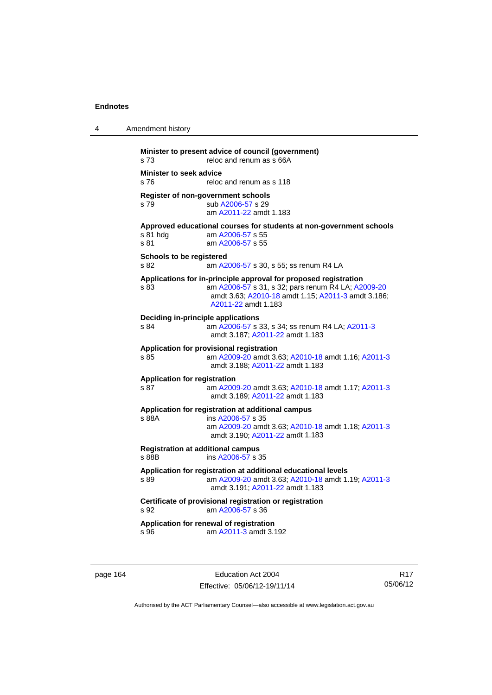| 4 | Amendment history                                                                                                                                                                                           |
|---|-------------------------------------------------------------------------------------------------------------------------------------------------------------------------------------------------------------|
|   | Minister to present advice of council (government)<br>s 73<br>reloc and renum as s 66A                                                                                                                      |
|   | <b>Minister to seek advice</b><br>s 76<br>reloc and renum as s 118                                                                                                                                          |
|   | Register of non-government schools<br>sub A2006-57 s 29<br>s 79<br>am A2011-22 amdt 1.183                                                                                                                   |
|   | Approved educational courses for students at non-government schools<br>s 81 hdg<br>am A2006-57 s 55<br>s 81<br>am A2006-57 s 55                                                                             |
|   | Schools to be registered<br>s 82<br>am A2006-57 s 30, s 55; ss renum R4 LA                                                                                                                                  |
|   | Applications for in-principle approval for proposed registration<br>am A2006-57 s 31, s 32; pars renum R4 LA; A2009-20<br>s 83<br>amdt 3.63; A2010-18 amdt 1.15; A2011-3 amdt 3.186;<br>A2011-22 amdt 1.183 |
|   | Deciding in-principle applications<br>am A2006-57 s 33, s 34; ss renum R4 LA; A2011-3<br>s 84<br>amdt 3.187; A2011-22 amdt 1.183                                                                            |
|   | Application for provisional registration<br>am A2009-20 amdt 3.63; A2010-18 amdt 1.16; A2011-3<br>s 85<br>amdt 3.188: A2011-22 amdt 1.183                                                                   |
|   | <b>Application for registration</b><br>s 87<br>am A2009-20 amdt 3.63; A2010-18 amdt 1.17; A2011-3<br>amdt 3.189; A2011-22 amdt 1.183                                                                        |
|   | Application for registration at additional campus<br>s 88A<br>ins A2006-57 s 35<br>am A2009-20 amdt 3.63; A2010-18 amdt 1.18; A2011-3<br>amdt 3.190; A2011-22 amdt 1.183                                    |
|   | <b>Registration at additional campus</b><br>s 88B<br>ins A2006-57 s 35                                                                                                                                      |
|   | Application for registration at additional educational levels<br>am A2009-20 amdt 3.63; A2010-18 amdt 1.19; A2011-3<br>s 89<br>amdt 3.191; A2011-22 amdt 1.183                                              |
|   | Certificate of provisional registration or registration<br>s 92<br>am A2006-57 s 36                                                                                                                         |
|   | Application for renewal of registration<br>am A2011-3 amdt 3.192<br>s 96                                                                                                                                    |

page 164 **Education Act 2004** Effective: 05/06/12-19/11/14

R17 05/06/12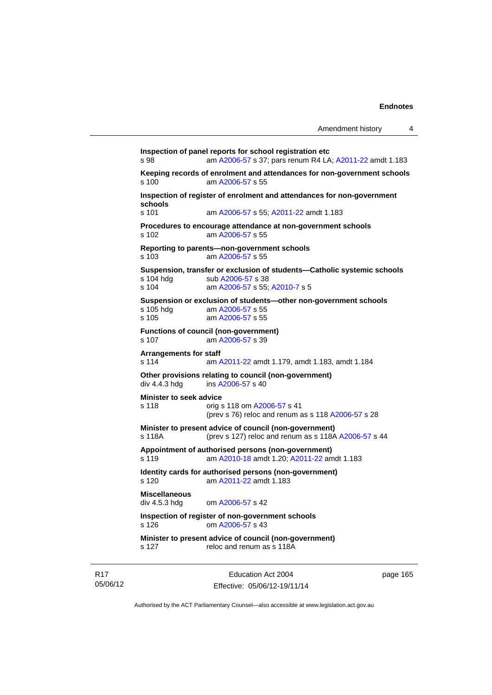```
Inspection of panel reports for school registration etc 
s 98 am A2006-57 s 37; pars renum R4 LA; A2011-22 amdt 1.183 
Keeping records of enrolment and attendances for non-government schools <br>s 100 am A2006-57 s 55
                 A2006-57 s 55
Inspection of register of enrolment and attendances for non-government 
schools 
s 101 am A2006-57 s 55; A2011-22 amdt 1.183 
Procedures to encourage attendance at non-government schools 
s 102 am A2006-57 s 55 
Reporting to parents—non-government schools 
s 103 am A2006-57 s 55 
Suspension, transfer or exclusion of students—Catholic systemic schools 
                A2006-57 s 38
s 104 am A2006-57 s 55; A2010-7 s 5 
Suspension or exclusion of students—other non-government schools 
                A2006-57 s 55
s 105 am A2006-57 s 55 
Functions of council (non-government) 
s 107 am A2006-57 s 39 
Arrangements for staff 
s 114 am A2011-22 amdt 1.179, amdt 1.183, amdt 1.184 
Other provisions relating to council (non-government) 
A2006-57 s 40
Minister to seek advice 
s 118 orig s 118 om A2006-57 s 41 
                (prev s 76) reloc and renum as s 118 A2006-57 s 28 
Minister to present advice of council (non-government) 
A2006-57 s 44
Appointment of authorised persons (non-government) 
s 119 am A2010-18 amdt 1.20; A2011-22 amdt 1.183 
Identity cards for authorised persons (non-government) 
s 120 am A2011-22 amdt 1.183
Miscellaneous 
div 4.5.3 hdg om A2006-57 s 42 
Inspection of register of non-government schools 
s 126 om A2006-57 s 43 
Minister to present advice of council (non-government) 
s 127 reloc and renum as s 118A
```
R17 05/06/12

Education Act 2004 Effective: 05/06/12-19/11/14 page 165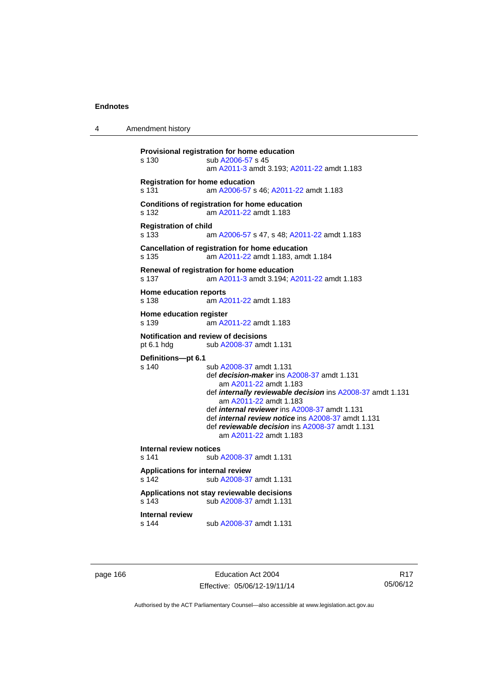4 Amendment history

```
Provisional registration for home education 
s 130 sub A2006-57 s 45 
                  am A2011-3 amdt 3.193; A2011-22 amdt 1.183 
Registration for home education 
s 131 am A2006-57 s 46; A2011-22 amdt 1.183 
Conditions of registration for home education 
s 132 am A2011-22 amdt 1.183
Registration of child 
s 133 am A2006-57 s 47, s 48; A2011-22 amdt 1.183 
Cancellation of registration for home education 
s 135 am A2011-22 amdt 1.183, amdt 1.184 
Renewal of registration for home education 
s 137 am A2011-3 amdt 3.194; A2011-22 amdt 1.183 
Home education reports 
s 138 am A2011-22 amdt 1.183
Home education register 
s 139 am A2011-22 amdt 1.183
Notification and review of decisions 
pt 6.1 hdg sub A2008-37 amdt 1.131 
Definitions—pt 6.1 
                 A2008-37 amdt 1.131
                  def decision-maker ins A2008-37 amdt 1.131 
                     am A2011-22 amdt 1.183
                  def internally reviewable decision ins A2008-37 amdt 1.131 
                     am A2011-22 amdt 1.183
                  def internal reviewer ins A2008-37 amdt 1.131 
                  def internal review notice ins A2008-37 amdt 1.131 
                  def reviewable decision ins A2008-37 amdt 1.131 
                     am A2011-22 amdt 1.183
Internal review notices 
                A2008-37 amdt 1.131
Applications for internal review 
s 142 sub A2008-37 amdt 1.131 
Applications not stay reviewable decisions 
s 143 sub A2008-37 amdt 1.131 
Internal review 
s 144 sub A2008-37 amdt 1.131
```
page 166 Education Act 2004 Effective: 05/06/12-19/11/14

R17 05/06/12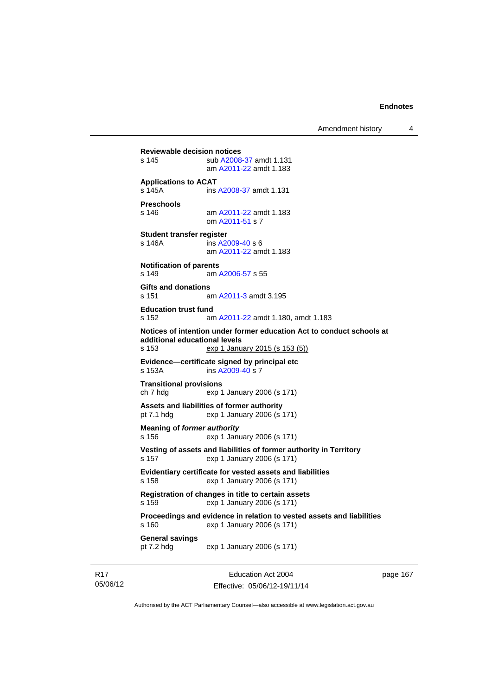Amendment history 4

**Reviewable decision notices**  s 145 sub [A2008-37](http://www.legislation.act.gov.au/a/2008-37) amdt 1.131 am [A2011-22](http://www.legislation.act.gov.au/a/2011-22) amdt 1.183 **Applications to ACAT**  s 145A ins [A2008-37](http://www.legislation.act.gov.au/a/2008-37) amdt 1.131 **Preschools**  s 146 am [A2011-22](http://www.legislation.act.gov.au/a/2011-22) amdt 1.183 om [A2011-51](http://www.legislation.act.gov.au/a/2011-51) s 7 **Student transfer register**  s 146A ins [A2009-40](http://www.legislation.act.gov.au/a/2009-40) s 6 am [A2011-22](http://www.legislation.act.gov.au/a/2011-22) amdt 1.183 **Notification of parents**  s 149 am [A2006-57](http://www.legislation.act.gov.au/a/2006-57) s 55 **Gifts and donations**  s 151 am [A2011-3](http://www.legislation.act.gov.au/a/2011-3) amdt 3.195 **Education trust fund**  s 152 am [A2011-22](http://www.legislation.act.gov.au/a/2011-22) amdt 1.180, amdt 1.183 **Notices of intention under former education Act to conduct schools at additional educational levels**  exp 1 January 2015 (s 153 (5)) **Evidence—certificate signed by principal etc**  s 153A ins [A2009-40](http://www.legislation.act.gov.au/a/2009-40) s 7 **Transitional provisions**  ch 7 hdg exp 1 January 2006 (s 171) **Assets and liabilities of former authority**  pt 7.1 hdg exp 1 January 2006 (s 171) **Meaning of** *former authority* s 156 exp 1 January 2006 (s 171) **Vesting of assets and liabilities of former authority in Territory**  s 157 exp 1 January 2006 (s 171) **Evidentiary certificate for vested assets and liabilities**  s 158 exp 1 January 2006 (s 171) **Registration of changes in title to certain assets**  s 159 exp 1 January 2006 (s 171) **Proceedings and evidence in relation to vested assets and liabilities**  s 160 exp 1 January 2006 (s 171) **General savings**  exp 1 January 2006 (s 171)

R17 05/06/12

Education Act 2004 Effective: 05/06/12-19/11/14 page 167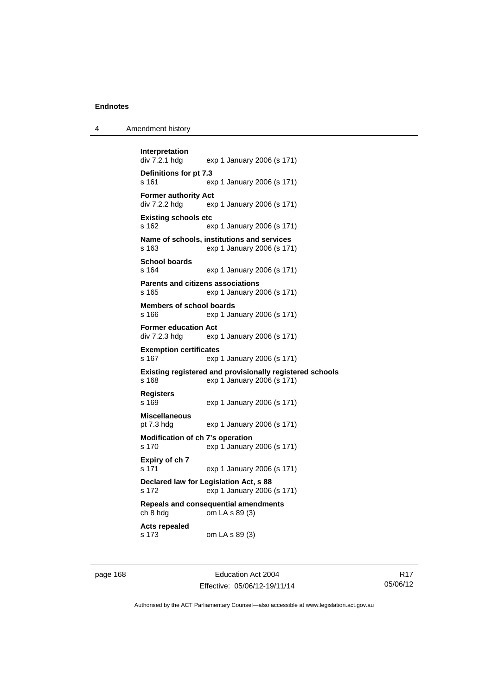| 4 | Amendment history |
|---|-------------------|
|---|-------------------|

```
Interpretation 
                exp 1 January 2006 (s 171)
Definitions for pt 7.3 
s 161 exp 1 January 2006 (s 171) 
Former authority Act 
div 7.2.2 hdg exp 1 January 2006 (s 171) 
Existing schools etc 
s 162 exp 1 January 2006 (s 171) 
Name of schools, institutions and services 
s 163 exp 1 January 2006 (s 171) 
School boards 
s 164 exp 1 January 2006 (s 171) 
Parents and citizens associations 
s 165 exp 1 January 2006 (s 171) 
Members of school boards 
s 166 exp 1 January 2006 (s 171) 
Former education Act 
div 7.2.3 hdg exp 1 January 2006 (s 171) 
Exemption certificates 
s 167 exp 1 January 2006 (s 171) 
Existing registered and provisionally registered schools 
s 168 exp 1 January 2006 (s 171) 
Registers 
s 169 exp 1 January 2006 (s 171) 
Miscellaneous 
pt 7.3 hdg exp 1 January 2006 (s 171) 
Modification of ch 7's operation 
s 170 exp 1 January 2006 (s 171) 
Expiry of ch 7 
s 171 exp 1 January 2006 (s 171) 
Declared law for Legislation Act, s 88 
s 172 exp 1 January 2006 (s 171) 
Repeals and consequential amendments 
ch 8 hdg om LA s 89 (3) 
Acts repealed 
s 173 om LA s 89 (3)
```
page 168 Education Act 2004 Effective: 05/06/12-19/11/14

R17 05/06/12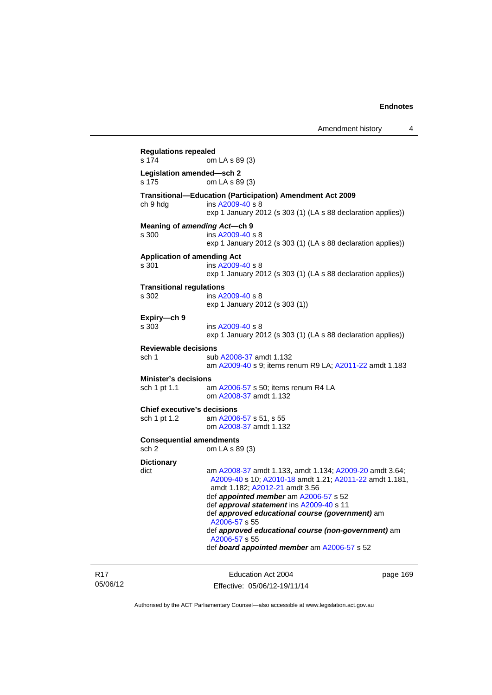**Regulations repealed**  om LA s 89 (3) **Legislation amended—sch 2**  om LA s 89 (3) **Transitional—Education (Participation) Amendment Act 2009**  ch 9 hdg ins [A2009-40](http://www.legislation.act.gov.au/a/2009-40) s 8 exp 1 January 2012 (s 303 (1) (LA s 88 declaration applies)) **Meaning of** *amending Act***—ch 9**  s 300 ins [A2009-40](http://www.legislation.act.gov.au/a/2009-40) s 8 exp 1 January 2012 (s 303 (1) (LA s 88 declaration applies)) **Application of amending Act**  s 301 ins [A2009-40](http://www.legislation.act.gov.au/a/2009-40) s 8 exp 1 January 2012 (s 303 (1) (LA s 88 declaration applies)) **Transitional regulations**  s 302 ins [A2009-40](http://www.legislation.act.gov.au/a/2009-40) s 8 exp 1 January 2012 (s 303 (1)) **Expiry—ch 9**  s 303 ins [A2009-40](http://www.legislation.act.gov.au/a/2009-40) s 8 exp 1 January 2012 (s 303 (1) (LA s 88 declaration applies)) **Reviewable decisions**  sub [A2008-37](http://www.legislation.act.gov.au/a/2008-37) amdt 1.132 am [A2009-40](http://www.legislation.act.gov.au/a/2009-40) s 9; items renum R9 LA; [A2011-22](http://www.legislation.act.gov.au/a/2011-22) amdt 1.183 **Minister's decisions**  sch 1 pt 1.1 am [A2006-57](http://www.legislation.act.gov.au/a/2006-57) s 50; items renum R4 LA om [A2008-37](http://www.legislation.act.gov.au/a/2008-37) amdt 1.132 **Chief executive's decisions**  sch 1 pt 1.2 am [A2006-57](http://www.legislation.act.gov.au/a/2006-57) s 51, s 55 om [A2008-37](http://www.legislation.act.gov.au/a/2008-37) amdt 1.132 **Consequential amendments**  sch 2 om LA s 89 (3) **Dictionary**  dict am [A2008-37](http://www.legislation.act.gov.au/a/2008-37) amdt 1.133, amdt 1.134; [A2009-20](http://www.legislation.act.gov.au/a/2009-20) amdt 3.64; [A2009-40](http://www.legislation.act.gov.au/a/2009-40) s 10; [A2010-18](http://www.legislation.act.gov.au/a/2010-18) amdt 1.21; [A2011-22](http://www.legislation.act.gov.au/a/2011-22) amdt 1.181, amdt 1.182; [A2012-21](http://www.legislation.act.gov.au/a/2012-21) amdt 3.56 def *appointed member* am [A2006-57](http://www.legislation.act.gov.au/a/2006-57) s 52 def *approval statement* ins [A2009-40](http://www.legislation.act.gov.au/a/2009-40) s 11 def *approved educational course (government)* am [A2006-57](http://www.legislation.act.gov.au/a/2006-57) s 55 def *approved educational course (non-government)* am [A2006-57](http://www.legislation.act.gov.au/a/2006-57) s 55 def *board appointed member* am [A2006-57](http://www.legislation.act.gov.au/a/2006-57) s 52

R17 05/06/12

Education Act 2004 Effective: 05/06/12-19/11/14 page 169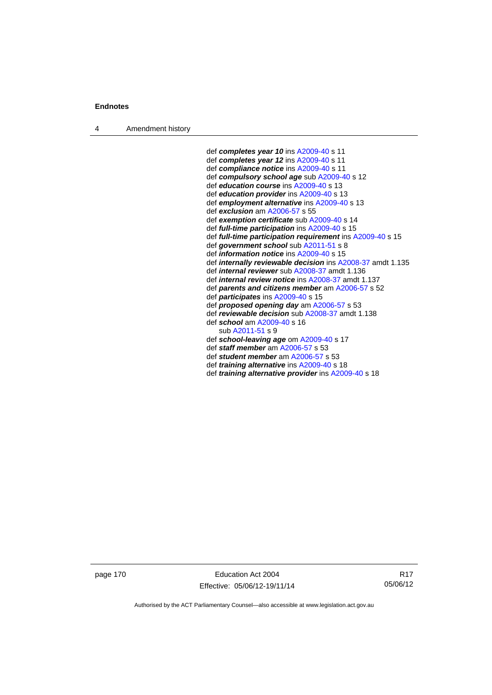4 Amendment history

 def *completes year 10* ins [A2009-40](http://www.legislation.act.gov.au/a/2009-40) s 11 def *completes year 12* ins [A2009-40](http://www.legislation.act.gov.au/a/2009-40) s 11 def *compliance notice* ins [A2009-40](http://www.legislation.act.gov.au/a/2009-40) s 11 def *compulsory school age* sub [A2009-40](http://www.legislation.act.gov.au/a/2009-40) s 12 def *education course* ins [A2009-40](http://www.legislation.act.gov.au/a/2009-40) s 13 def *education provider* ins [A2009-40](http://www.legislation.act.gov.au/a/2009-40) s 13 def *employment alternative* ins [A2009-40](http://www.legislation.act.gov.au/a/2009-40) s 13 def *exclusion* am [A2006-57](http://www.legislation.act.gov.au/a/2006-57) s 55 def *exemption certificate* sub [A2009-40](http://www.legislation.act.gov.au/a/2009-40) s 14 def *full-time participation* ins [A2009-40](http://www.legislation.act.gov.au/a/2009-40) s 15 def *full-time participation requirement* ins [A2009-40](http://www.legislation.act.gov.au/a/2009-40) s 15 def *government school* sub [A2011-51](http://www.legislation.act.gov.au/a/2011-51) s 8 def *information notice* ins [A2009-40](http://www.legislation.act.gov.au/a/2009-40) s 15 def *internally reviewable decision* ins [A2008-37](http://www.legislation.act.gov.au/a/2008-37) amdt 1.135 def *internal reviewer* sub [A2008-37](http://www.legislation.act.gov.au/a/2008-37) amdt 1.136 def *internal review notice* ins [A2008-37](http://www.legislation.act.gov.au/a/2008-37) amdt 1.137 def *parents and citizens member* am [A2006-57](http://www.legislation.act.gov.au/a/2006-57) s 52 def *participates* ins [A2009-40](http://www.legislation.act.gov.au/a/2009-40) s 15 def *proposed opening day* am [A2006-57](http://www.legislation.act.gov.au/a/2006-57) s 53 def *reviewable decision* sub [A2008-37](http://www.legislation.act.gov.au/a/2008-37) amdt 1.138 def *school* am [A2009-40](http://www.legislation.act.gov.au/a/2009-40) s 16 sub [A2011-51](http://www.legislation.act.gov.au/a/2011-51) s 9 def *school-leaving age* om [A2009-40](http://www.legislation.act.gov.au/a/2009-40) s 17 def *staff member* am [A2006-57](http://www.legislation.act.gov.au/a/2006-57) s 53 def *student member* am [A2006-57](http://www.legislation.act.gov.au/a/2006-57) s 53 def *training alternative* ins [A2009-40](http://www.legislation.act.gov.au/a/2009-40) s 18 def *training alternative provider* ins [A2009-40](http://www.legislation.act.gov.au/a/2009-40) s 18

page 170 Education Act 2004 Effective: 05/06/12-19/11/14

R17 05/06/12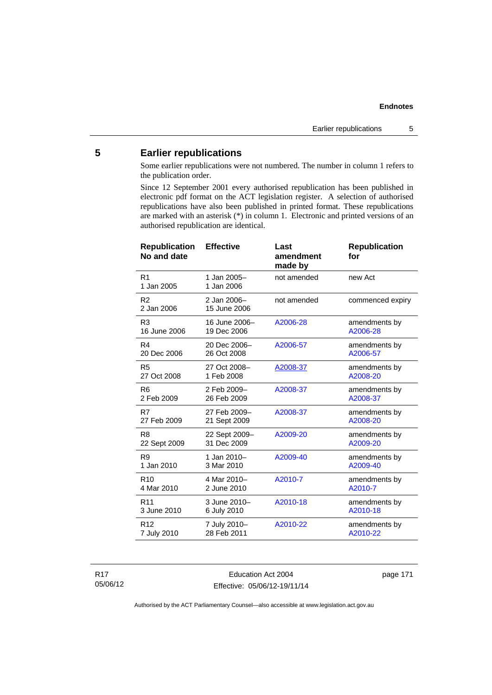# **5 Earlier republications**

Some earlier republications were not numbered. The number in column 1 refers to the publication order.

Since 12 September 2001 every authorised republication has been published in electronic pdf format on the ACT legislation register. A selection of authorised republications have also been published in printed format. These republications are marked with an asterisk (\*) in column 1. Electronic and printed versions of an authorised republication are identical.

| <b>Republication</b><br>No and date | <b>Effective</b>            | Last<br>amendment<br>made by | <b>Republication</b><br>for |
|-------------------------------------|-----------------------------|------------------------------|-----------------------------|
| R <sub>1</sub><br>1 Jan 2005        | 1 Jan 2005-<br>1 Jan 2006   | not amended                  | new Act                     |
| R <sub>2</sub><br>2 Jan 2006        | 2 Jan 2006-<br>15 June 2006 | not amended                  | commenced expiry            |
| R3                                  | 16 June 2006-               | A2006-28                     | amendments by               |
| 16 June 2006                        | 19 Dec 2006                 |                              | A2006-28                    |
| R4                                  | 20 Dec 2006-                | A2006-57                     | amendments by               |
| 20 Dec 2006                         | 26 Oct 2008                 |                              | A2006-57                    |
| R <sub>5</sub>                      | 27 Oct 2008-                | A2008-37                     | amendments by               |
| 27 Oct 2008                         | 1 Feb 2008                  |                              | A2008-20                    |
| R <sub>6</sub>                      | 2 Feb 2009-                 | A2008-37                     | amendments by               |
| 2 Feb 2009                          | 26 Feb 2009                 |                              | A2008-37                    |
| R7                                  | 27 Feb 2009-                | A2008-37                     | amendments by               |
| 27 Feb 2009                         | 21 Sept 2009                |                              | A2008-20                    |
| R <sub>8</sub>                      | 22 Sept 2009-               | A2009-20                     | amendments by               |
| 22 Sept 2009                        | 31 Dec 2009                 |                              | A2009-20                    |
| R <sub>9</sub>                      | 1 Jan 2010-                 | A2009-40                     | amendments by               |
| 1 Jan 2010                          | 3 Mar 2010                  |                              | A2009-40                    |
| R <sub>10</sub>                     | 4 Mar 2010-                 | A2010-7                      | amendments by               |
| 4 Mar 2010                          | 2 June 2010                 |                              | A2010-7                     |
| R <sub>11</sub>                     | 3 June 2010-                | A2010-18                     | amendments by               |
| 3 June 2010                         | 6 July 2010                 |                              | A2010-18                    |
| R <sub>12</sub>                     | 7 July 2010-                | A2010-22                     | amendments by               |
| 7 July 2010                         | 28 Feb 2011                 |                              | A2010-22                    |

R17 05/06/12

Education Act 2004 Effective: 05/06/12-19/11/14 page 171